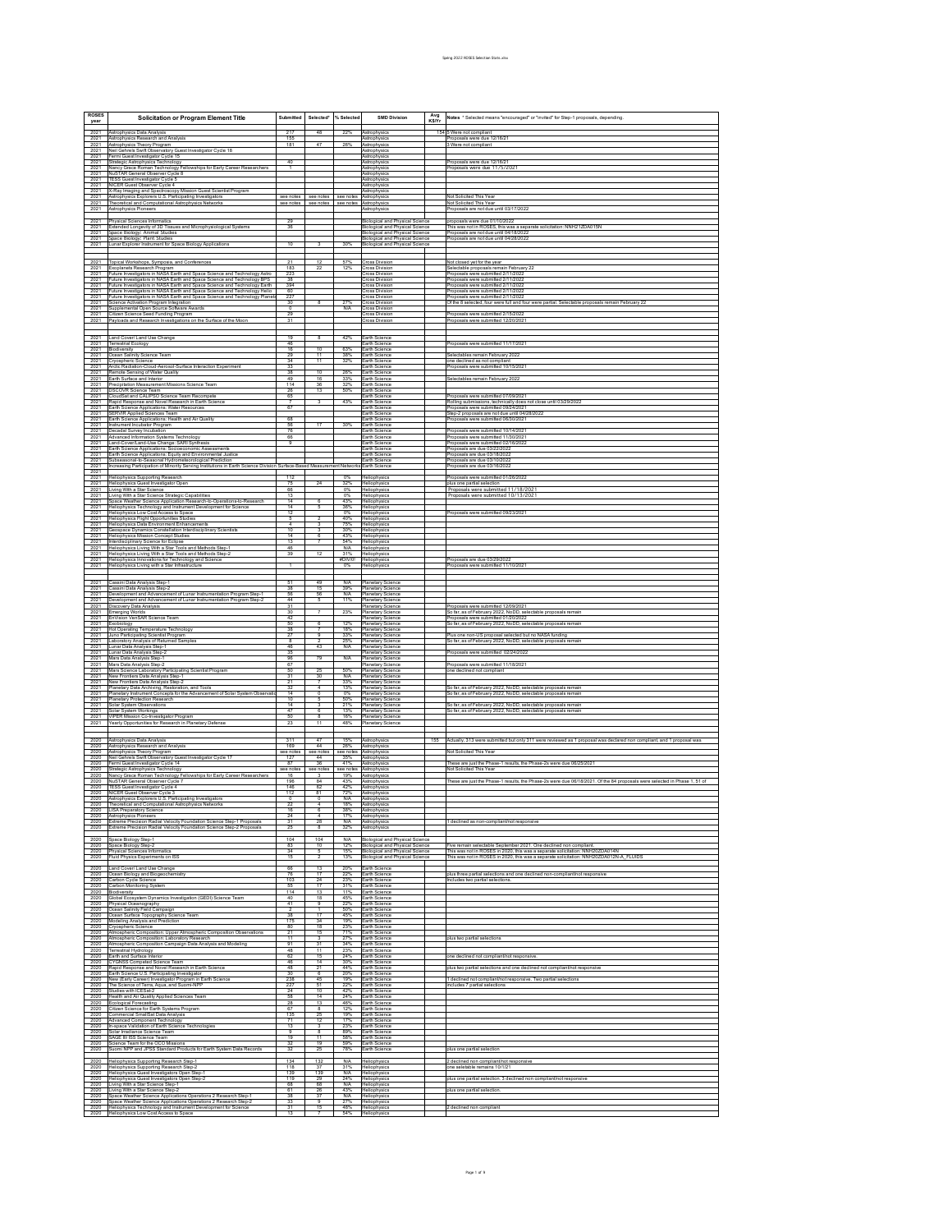| <b>ROSES</b><br>year                                                                                                                                                                                                                                                                                                  | <b>Solicitation or Program Element Title</b>                                                                                                                                                                                                                   | Submitted                           | Selected*                                                | % Selected               | <b>SMD Division</b>                                                                                          | Avg<br>K\$/Yr | Notes * Selected means "encouraged" or "invited" for Step-1 proposals, depending,                                                                                                  |
|-----------------------------------------------------------------------------------------------------------------------------------------------------------------------------------------------------------------------------------------------------------------------------------------------------------------------|----------------------------------------------------------------------------------------------------------------------------------------------------------------------------------------------------------------------------------------------------------------|-------------------------------------|----------------------------------------------------------|--------------------------|--------------------------------------------------------------------------------------------------------------|---------------|------------------------------------------------------------------------------------------------------------------------------------------------------------------------------------|
| 2021<br>2021                                                                                                                                                                                                                                                                                                          | Astrophysics Data Analysis<br>Astrophysics Research and Analysis                                                                                                                                                                                               | 217<br>155                          | 48                                                       | 22%                      | Astrophysic<br>Astrophysics                                                                                  |               | 154 5 Were not compliant<br>Proposals were due 12/16/21                                                                                                                            |
| 2021<br>2021                                                                                                                                                                                                                                                                                                          | Astrophysics Theory Program<br>Neil Gehrels Swift Observatory Guest Investigator Cycle 18                                                                                                                                                                      | 181                                 | 47                                                       | 26%                      | Astrophysics<br>Astrophysics                                                                                 |               | 3 Were not compliant                                                                                                                                                               |
| 2021<br>2021<br>2021                                                                                                                                                                                                                                                                                                  | Fermi Guest Investigator Cycle 15<br>Strategic Astrophysics Technology<br>Nancy Grace Roman Technology Fellowships for Early Career Researchers                                                                                                                | 40<br>$\mathbf{1}$                  |                                                          |                          | Astrophysic<br>Astrophysics<br>Astrophysics                                                                  |               | Proposals were due 12/16/21<br>Proposals were due 11/5/2021                                                                                                                        |
| 2021<br>2021                                                                                                                                                                                                                                                                                                          | NuSTAR General Observer Cycle 8<br>TESS Guest Investigator Cycle 5<br>NICER Guest Observer Cycle 4                                                                                                                                                             |                                     |                                                          |                          | Astrophysics<br>Astrophysic                                                                                  |               |                                                                                                                                                                                    |
| 2021<br>2021<br>2021                                                                                                                                                                                                                                                                                                  | X-Ray Imaging and Spectroscopy Mission Guest Scientist Program<br>Astrophysics Explorers U.S. Participating Investigators                                                                                                                                      |                                     | see notes see notes see notes Astrophysics               |                          | Astrophysics<br>Astrophysics                                                                                 |               | Not Solicited This Year                                                                                                                                                            |
| 2021<br>2021                                                                                                                                                                                                                                                                                                          | Theoretical and Computational Astrophysics Networks<br>Astrophysics Pioneers                                                                                                                                                                                   | see notes                           | see notes see notes                                      |                          | Astrophysics<br>Astrophysics                                                                                 |               | Not Solicited This Year<br>Proposals are not due until 03/17/2022                                                                                                                  |
| 2021<br>2021                                                                                                                                                                                                                                                                                                          | Physical Sciences Informatics<br>Extended Longevity of 3D Tissues and Microphysiological Systems                                                                                                                                                               | 29<br>36                            |                                                          |                          | <b>Biological and Physical Science</b><br><b>Biological and Physical Science</b>                             |               | proposals were due 01/10/2022<br>proposana wave wat to monasca.<br>This was not in ROSES, this was a separate solicitation: NNH21ZDA015N<br>Proposals are not due until 04/18/2022 |
| 2021<br>2021<br>$rac{101}{2021}$                                                                                                                                                                                                                                                                                      | Space Biology: Animal Studies<br>Space Biology: Plant Studies                                                                                                                                                                                                  | 10                                  |                                                          | 30%                      | <b>Biological and Physical Science</b><br>Biological and Physical Science                                    |               | Proposals are not due until 04/28/2022                                                                                                                                             |
|                                                                                                                                                                                                                                                                                                                       | unar Explorer Instrument for Space Biology Applications                                                                                                                                                                                                        |                                     |                                                          |                          | <b>Biological and Physical Science</b>                                                                       |               |                                                                                                                                                                                    |
| 2021<br>2021<br>2021                                                                                                                                                                                                                                                                                                  | Topical Workshops, Symposia, and Conferences<br>Exoplanets Research Program<br>Future Investigators in NASA Earth and<br>Space Science and Technology Astro                                                                                                    | 21<br>183<br>223                    | 12<br>22                                                 | 57%<br>12%               | <b>Cross Division</b><br><b>Cross Division</b><br><b>Cross Division</b>                                      |               | Not closed yet for the year<br>Selectable proposals remain February<br>Proposals were submitted 2/11/2022                                                                          |
| 2021<br>2021                                                                                                                                                                                                                                                                                                          | Future Investigators in NASA Earth and Space Science and Technology BPS<br>uture Investigators in NASA Earth and Space Science and Technology Earth                                                                                                            | 38<br>394                           |                                                          |                          | <b>Cross Division</b><br><b>Cross Division</b>                                                               |               | Proposals were submitted 2/11/2022<br>roposals were submitted 2/11/2022                                                                                                            |
| 2021<br>2021<br>2021                                                                                                                                                                                                                                                                                                  | Future Investigators in NASA Earth and Space Science and Technology Helio<br>Future Investigators in NASA Earth and Space Science and Technology Helio                                                                                                         | 60<br>227<br>30                     | 8                                                        | 27%                      | <b>Cross Division</b><br><b>Cross Division</b><br><b>Cross Division</b>                                      |               | Proposals were submitted 2/11/2022<br>roposals were submitted 2/11/2023<br>Of the 8 selected, four were full and four were partial. Selectable proposals remain February 22        |
| 2021<br>2021                                                                                                                                                                                                                                                                                                          | Science Activation Program Integration<br>Supplemental Open Source Software Awards<br>Supposession - Press.<br>Sitizen Science Seed Funding Program                                                                                                            | 29                                  |                                                          | <b>N/A</b>               | <b>Cross Division</b><br><b>Cross Division</b>                                                               |               | Proposals were submitted 2/15/2022                                                                                                                                                 |
| 2021                                                                                                                                                                                                                                                                                                                  | Payloads and Research Investigations on the Surface of the Moon                                                                                                                                                                                                | 31                                  |                                                          |                          | <b>Cross Division</b>                                                                                        |               | Proposals were submitted 12/20/2021                                                                                                                                                |
| 2021<br>2021<br>2021                                                                                                                                                                                                                                                                                                  | Land Cover/ Land Use Change<br><b>Terrestrial Ecology</b><br>Biodiversity                                                                                                                                                                                      | 19<br>46<br>16                      | $\overline{\mathbf{8}}$<br>10                            | 42%<br>63%               | Earth Science<br>Earth Science<br>Earth Science                                                              |               | Proposals were submitted 11/17/2021                                                                                                                                                |
| 2021<br>2021                                                                                                                                                                                                                                                                                                          | cean Salinity Science Team<br>ryospheric Science<br>vctic Radiation-Cloud-Aerosol-Surface Interaction Experiment                                                                                                                                               | 29<br>34<br>33                      | 11<br>$\overline{11}$                                    | 38%<br>32%               | arth Science<br>Earth Science                                                                                |               | Selectables remain February 2022<br>one declined as not complian                                                                                                                   |
| 2021<br>2021<br>2021                                                                                                                                                                                                                                                                                                  | Remote Sensing of Water Quality<br>arth Surface and Interior                                                                                                                                                                                                   | 38<br>49                            | 10<br>16                                                 | 26%<br>33%               | arth Science<br>Earth Science<br>arth Science                                                                |               | Proposals were submitted 10/15/2021<br>Selectables remain February 2022                                                                                                            |
| 2021<br>2021<br>2021                                                                                                                                                                                                                                                                                                  | Precipitation Measurement Missions Science Team<br>DSCOVR Science Team<br>CloudSat and CALIPSO Science Team Recompete                                                                                                                                          | 114<br>26<br>65                     | 36<br>13                                                 | 32%<br>50%               | Earth Science<br>arth Science<br>Earth Science                                                               |               | Proposals were submitted 07/09/2021                                                                                                                                                |
| 2021<br>2021                                                                                                                                                                                                                                                                                                          | lapid Response and Novel Research in Earth Scienc<br>Earth Science Applications: Water Resources<br>SERVIR Applied Sciences Team                                                                                                                               | 67                                  | $\overline{\mathbf{3}}$                                  | 43%                      | arth Science<br>Earth Science                                                                                |               | n<br>Rolling submissions, technically does not close until 03/29/202<br>Proposals were submitted 09/24/2021                                                                        |
| 2021<br>2021<br>2021                                                                                                                                                                                                                                                                                                  | Earth Science Applications: Health and Air Quality<br>Instrument Incubator Program                                                                                                                                                                             | 68<br>56                            | 17                                                       | 30%                      | Earth Science<br>Earth Science<br>arth Science                                                               |               | Step-2 proposals are not due until 04/28/2022<br>Proposals were submitted 06/30/2021                                                                                               |
| 2021<br>2021<br>2021                                                                                                                                                                                                                                                                                                  | nsummannsum<br>Decadal Survey Incubation<br>Advanced Information Systems Technology<br>Land-CoverLand-Use Change: SARI Synthesis<br>Earth Science Applications: Socioeconomic Assessments                                                                      | 76<br>66<br>$\overline{9}$          |                                                          |                          | Farth Science<br>arth Science<br>Earth Science                                                               |               | roposals were submitted 10/14/2021<br>roposals were submitted 11/30/2021                                                                                                           |
| 2021<br>2021                                                                                                                                                                                                                                                                                                          | Earth Science Applications: Equity and Environmental Justice<br>Subseasonal-to-Seasonal Hydrometeorological Prediction                                                                                                                                         |                                     |                                                          |                          | Earth Science<br>Earth Science                                                                               |               | Proposals were submitted 02/16/2022<br>roposals are due 03/22/2022<br>Proposals are due 03/18/2022                                                                                 |
| 2021<br>2021<br>2021                                                                                                                                                                                                                                                                                                  | creasing Participation of Minority Serving Institutions in Earth Science Di                                                                                                                                                                                    | Surface-Based Measure               |                                                          | tent Network             | Earth Science<br>Earth Science                                                                               |               | Proposals are due 03/10/2022<br>Proposals are due 03/16/2022                                                                                                                       |
| 2021<br>2021                                                                                                                                                                                                                                                                                                          | <b>Heliophysics Supporting Research</b><br>Heliophysics Guest Investigator Open                                                                                                                                                                                | 112<br>75                           | 24                                                       | 0%<br>32%                | Heliophysics<br>Heliophysics                                                                                 |               | Proposals were submitted 01/26/2022<br>plus one partial selection<br>Proposals were submitted 11/18/2021                                                                           |
| 2021<br>2021<br>2021                                                                                                                                                                                                                                                                                                  | iving With a Star Science Strategic Capabilities<br>pace Weather Science Application Research-to-Operations-to-Research                                                                                                                                        | 66<br>13<br>14                      | $\overline{6}$                                           | 0%<br>0%<br>43%          | <b>Heliophysics</b><br>Heliophysics<br>Heliophysics                                                          |               | Proposals were submitted 10/13/2021                                                                                                                                                |
| 2021<br>2021<br>2021                                                                                                                                                                                                                                                                                                  | Philophysics Technology and Instrument Development for Science<br> Heliophysics Technology and Instrument Development for Science<br> Heliophysics Low Cost Access to Space<br>eliophysics Flight Opportunities Studies                                        | 14<br>12                            | 5                                                        | 36%<br>0%<br>40%         | <b>Heliophysics</b><br>Heliophysics<br>Heliophysics                                                          |               | Proposals were submitted 09/23/2021                                                                                                                                                |
| 2021<br>2021                                                                                                                                                                                                                                                                                                          | Heliophysics Data Environment Enhancements<br>Seospace Dynamics Constellation Interdisciplinary Scientists                                                                                                                                                     | 4<br>10                             |                                                          | 75%<br>30%               | Heliophysic<br><b>Heliophysics</b>                                                                           |               |                                                                                                                                                                                    |
| 2021<br>2021<br>2021                                                                                                                                                                                                                                                                                                  | Heliophysics Mission Concept Studies<br>terdisciplinary Science for Eclipse<br>Heliophysics Living With a Star Tools and Methods Step-1                                                                                                                        | 14<br>$\overline{13}$<br>46         | $\overline{6}$                                           | 43%<br>54%<br><b>N/A</b> | Heliophysics<br>Heliophysics<br><b>Heliophysics</b>                                                          |               |                                                                                                                                                                                    |
| 2021<br>2021<br>2021                                                                                                                                                                                                                                                                                                  | eliophysics Living With a Star Tools and Methods Step-2<br>Heliophysics Innovations for Technology and Science<br>leliophysics Living with a Star Infrastructure                                                                                               | 39                                  | 12                                                       | 31%<br>#DIV/0!<br>$0\%$  | Heliophysics<br>Heliophysics<br>Heliophysics                                                                 |               | Proposals are due 03/29/2022<br>roposals were submitted 11/10/202                                                                                                                  |
|                                                                                                                                                                                                                                                                                                                       |                                                                                                                                                                                                                                                                |                                     |                                                          |                          |                                                                                                              |               |                                                                                                                                                                                    |
| 2021<br>2021<br>2021                                                                                                                                                                                                                                                                                                  | :assini Data Analysis Step-1<br>:assini Data Analysis Step-2<br>Jevelopment and Advancement of Lunar Instrumentation Program Step-1                                                                                                                            | 51<br>38<br>56                      | 49<br>15<br>56                                           | N/A<br>39%<br>N/A        | Planetary Scienc<br>Planetary Science                                                                        |               |                                                                                                                                                                                    |
| 2021<br>2021<br>2021                                                                                                                                                                                                                                                                                                  | evelopment and Advancement of Lunar Instrumentation Program Step-2<br>Discovery Data Analysis<br>merging Worlds                                                                                                                                                | 44<br>31<br>30                      | 5                                                        | 11%<br>23%               | <b>Planetary Science</b><br>Planetary Science<br><b>Planetary Science</b><br>Planetary Science               |               | Proposals were submitted 12/09/2021<br>So far, as of February 2022, NoDD, selectable proposals remai                                                                               |
| 2021<br>2021                                                                                                                                                                                                                                                                                                          | nVision VenSAR Science Team<br>xobiology                                                                                                                                                                                                                       | 42<br>50                            | 6                                                        | 12%                      | Planetary Science<br>Planetary Science                                                                       |               | Proposals were submitted 01/20/2022<br>So far, as of February 2022, NoDD, selectable proposals remai                                                                               |
| 2021<br>2021<br>2021                                                                                                                                                                                                                                                                                                  | Hot Operating Temperature Technology<br>Juno Participating Scientist Program<br>Laboratory Analysis of Returned Samples                                                                                                                                        | 38<br>27<br>$\overline{\mathbf{8}}$ | $\overline{7}$                                           | 18%<br>33%<br>25%        | <b>Planetary Science</b><br>Planetary Science                                                                |               | Yus one non-US proposal selected but no NASA funding<br>So far, as of February 2022, NoDD, selectable proposals rema                                                               |
| 2021<br>2021<br>2021                                                                                                                                                                                                                                                                                                  | Lunar Data Analysis Step-1<br>unar Data Analysis Step-2<br>Mars Data Analysis Step-1                                                                                                                                                                           | 46<br>35<br>96                      | 43<br>79                                                 | <b>N/A</b><br>N/A        | Planetary Science<br>Planetary Science<br><b>Planetary Science</b><br>Planetary Science                      |               | Proposals were submitted 02/24/2022                                                                                                                                                |
| 2021<br>2021                                                                                                                                                                                                                                                                                                          | Mars Data Analysis Step-2<br>Mars Science Laboratory Participating Scientist Program                                                                                                                                                                           | 67<br>50                            | 25                                                       | 50%                      | Planetary Science<br>Planetary Science                                                                       |               | Proposals were submitted 11/18/2021<br>one declined not compliant                                                                                                                  |
| 2021<br>2021<br>2021                                                                                                                                                                                                                                                                                                  | New Frontiers Data Analysis Step-1<br>lew Frontiers Data Analysis Step-2<br>Planetary Data Archiving, Restoration, and Tools<br>Planetary Data Archiving, Restoration, and Tools<br>Planetary Instrument Concepts for the Advancement of Solar System Observat | 31<br>32                            | 30<br>$\overline{4}$                                     | <b>N/A</b><br>33%<br>13% | <b>Planetary Science</b><br>Planetary Science                                                                |               | So far, as of February 2022, NoDD, selectable proposals remain                                                                                                                     |
| 2021<br>2021<br>2021                                                                                                                                                                                                                                                                                                  | Planetary Protection Research<br>Solar System Observations                                                                                                                                                                                                     | 14<br>10<br>14                      | 5                                                        | 0%<br>50%<br>21%         | Planetary Science<br>Planetary Science<br><b>Planetary Science</b><br>Planetary Science                      |               | So far, as of February 2022, NoDD, selectable proposals remain<br>So far, as of February 2022, NoDD, selectable proposals remai                                                    |
| 2021<br>2021<br>$\frac{2021}{2021}$                                                                                                                                                                                                                                                                                   | Solar System Workings<br>VIPER Mission Co-Investigator Program                                                                                                                                                                                                 | 47<br>50                            | 6                                                        | 13%<br>16%               | <b>Planetary Science</b><br>Planetary Science                                                                |               | So far, as of February 2022, NoDD, selectable proposals remain                                                                                                                     |
|                                                                                                                                                                                                                                                                                                                       | Yearly Opportunities for Research in Planetary Defense                                                                                                                                                                                                         | 23                                  | 11                                                       | 48%                      | <b>Planetary Science</b>                                                                                     |               |                                                                                                                                                                                    |
| 2020<br>2020<br>2020                                                                                                                                                                                                                                                                                                  | strophysics Data Analysis<br>Astrophysics Research and Analysis<br>strophysics Theory Program                                                                                                                                                                  | 311<br>169<br>see notes             | 47<br>44<br>see notes                                    | 15%<br>26%<br>see notes  | Astrophysic<br>Astrophysics<br>Astrophysics                                                                  |               | 155 Actually, 313 were submitted but only 311 were reviewed as 1 proposal was declared non compliant, and 1 proposal wa<br>Not Solicited This Year                                 |
| 2020<br>2020                                                                                                                                                                                                                                                                                                          | Neil Gehrels Swift Observatory Guest Investigator Cycle 17<br>Fermi Guest Investigator Cycle 14                                                                                                                                                                | 127<br>87                           | 44<br>36                                                 | 35%<br>41%               | Astrophysic<br>Astrophysic                                                                                   |               | These are just the Phase-1 results, the Phase-2s were due 06/25/2021                                                                                                               |
| 2020<br>2020<br>2020                                                                                                                                                                                                                                                                                                  | trategic Astrophysics Technology<br>ancy Grace Roman Technology Fellowships for Early Career Researc<br>NuSTAR General Observer Cycle 7                                                                                                                        | see notes<br>16<br>196              | see notes<br>84                                          | see notes<br>19%<br>43%  | Astrophysics<br>Astrophysic<br>Astrophysic                                                                   |               | Not Solicited This Year<br>These are just the Phase-1 results, the Phase-2s were due 06/18/2021. Of the 84 proposals were selected in Phase 1, 51 of                               |
| 2020<br>2020                                                                                                                                                                                                                                                                                                          | FESS Guest Investigator Cycle 4<br>2020 NICER Guest Observer Cycle 3<br>2020 NICER Guest Observer Cycle 3<br>2020 Astrophysics Explorers U.S. Participating Investigators                                                                                      | 146<br>112                          | 62<br>$\frac{81}{0}$                                     | 42%<br>72%<br>N/A        | Astrophysic<br>Astrophysic<br>Astrophysic                                                                    |               |                                                                                                                                                                                    |
| 2020<br>2020                                                                                                                                                                                                                                                                                                          | Theoretical and Computational Astrophysics Networks                                                                                                                                                                                                            | $\overline{22}$<br>16               |                                                          | 18%<br>38%<br>17%        | Astrophysic<br>Astrophysics                                                                                  |               |                                                                                                                                                                                    |
| 2020<br>2020<br>$\frac{2020}{2020}$                                                                                                                                                                                                                                                                                   | Astrophysics Pioneers<br>Extreme Precision Radial Velocity Foundation Science Step-1 Proposals<br>Extreme Precision Radial Velocity Foundation Science Step-2 Proposals                                                                                        | 24<br>31<br>25                      | $\overline{4}$<br>28<br>$\overline{8}$                   | <b>N/A</b><br>32%        | Astrophysics<br>Astrophysics<br>Astrophysics                                                                 |               | 1 declined as non-compliant/not responsive                                                                                                                                         |
|                                                                                                                                                                                                                                                                                                                       |                                                                                                                                                                                                                                                                | 104<br>83                           | 104<br>10                                                | <b>N/A</b><br>12%        | Biological and Physical Scien                                                                                |               | ive remain selectable September 2021. One declined non compliant                                                                                                                   |
|                                                                                                                                                                                                                                                                                                                       | 2020 Space Biology Step-1<br>2020 Space Biology Step-2<br>2020 Physical Sciences Info<br>2020 Fluid Physics Experime<br>hysical Sciences Informatics<br><b>Fluid Physics Experiments on ISS</b>                                                                | 34<br>15                            | 5<br>$\overline{2}$                                      | 15%<br>13%               | Biological and Physical Science<br>Biological and Physical Science<br><b>Biological and Physical Science</b> |               | This was not in ROSES in 2020, this was a separate solicitation: NNH20ZDA014N<br>This was not in ROSES in 2020, this was a separate solicitation: NNH20ZDA012N-A_FLUIDS            |
| $\begin{array}{r l} 2020 & 1.8 \\ 2020 & 0.0 \\ 2020 & 0.0 \\ 2020 & 0.0 \\ 2020 & 0.0 \\ 2020 & 0.0 \\ 2020 & 0.0 \\ 2020 & 0.0 \\ 2020 & 0.0 \\ 2020 & 0.0 \\ 2020 & 0.0 \\ 2020 & 0.0 \\ 2020 & 0.0 \\ 2020 & 0.0 \\ 2020 & 0.0 \\ 2020 & 0.0 \\ 2020 & 0.0 \\ 2020 & 0.0 \\ 2020 & 0.0 \\ 2$                      | and Cover/ Land Use Change<br>Dcean Biology and Biogeochemistry<br>Carbon Cycle Science                                                                                                                                                                        | 66<br>76                            | 13<br>17                                                 | 20%<br>22%               | Earth Science<br>Earth Science                                                                               |               | plus three partial selections and one declined non-compliant/not responsive                                                                                                        |
|                                                                                                                                                                                                                                                                                                                       | arbon Monitoring System<br>odiversity                                                                                                                                                                                                                          | 103<br>55<br>114                    | 24<br>$\overline{17}$<br>13                              | 23%<br>31%<br>11%        | Earth Science<br>Earth Science<br>arth Science                                                               |               | Includes two partial selections.                                                                                                                                                   |
|                                                                                                                                                                                                                                                                                                                       | sourrorary<br>Siobal Ecosystem Dynamics Investigation (GEDI) Science Team<br>Ynysical Oceanography<br>Joean Salinity Field Campaign                                                                                                                            | 40<br>41                            | 18                                                       | 45%<br>22%               | Earth Science<br>Earth Science                                                                               |               |                                                                                                                                                                                    |
|                                                                                                                                                                                                                                                                                                                       | cean Surface Topography Science Team                                                                                                                                                                                                                           | $\overline{2}$<br>38<br>175         | $\overline{\phantom{a}}$<br>17<br>34                     | 50%<br>45%<br>19%        | Earth Science<br>Earth Science<br>Earth Science                                                              |               |                                                                                                                                                                                    |
|                                                                                                                                                                                                                                                                                                                       | Modeling Analysis and Prediction<br>Cryospheric Science<br>.<br>Mmospheric Composition: Upper Almospheric Composition Observation:<br>Mmospheric Composition: Laboratory Research                                                                              | 80<br>21<br>$\overline{11}$         | 18<br>15                                                 | 23%<br>71%<br>27%        | Earth Science<br>Earth Science<br>arth Science                                                               |               | plus two partial selections                                                                                                                                                        |
|                                                                                                                                                                                                                                                                                                                       | Atmospheric Composition Campaign Data Analysis and Modeling                                                                                                                                                                                                    | 91<br>$\frac{48}{62}$               | 31<br>11                                                 | 34%<br>23%               | Earth Science<br>Earth Science                                                                               |               |                                                                                                                                                                                    |
|                                                                                                                                                                                                                                                                                                                       |                                                                                                                                                                                                                                                                | 46<br>48                            | 15<br>$\overline{14}$<br>21                              | 24%<br>30%<br>44%        | Earth Science<br>Earth Science<br>Earth Science                                                              |               | one declined not compliant/not responsive.<br>plus two partial selections and one declined not compliant/not responsive                                                            |
|                                                                                                                                                                                                                                                                                                                       | he Science of Terra, Aqua, and Suomi-NPP                                                                                                                                                                                                                       | 30<br>238<br>227                    | - 45<br>51                                               | 20%<br>19%<br>22%        | Earth Science<br>Earth Science<br>Earth Science                                                              |               | 1 declined not compliant/not responsive. Two partial selections<br>includes 7 partial selections                                                                                   |
|                                                                                                                                                                                                                                                                                                                       | <b>Studies with ICESat-2</b><br>lealth and Air Quality Applied Sciences Team                                                                                                                                                                                   | 24<br>58                            | 10                                                       | 42%<br>24%               | Earth Science<br>Earth Science                                                                               |               |                                                                                                                                                                                    |
|                                                                                                                                                                                                                                                                                                                       | icological Forecasting<br>:itizen Science for Earth Systems Program<br>ommercial SmallSat Data Analysis                                                                                                                                                        | 28<br>67<br>135                     | 13<br>25                                                 | 46%<br>12%<br>19%        | Earth Science<br>Earth Science<br>Earth Science                                                              |               |                                                                                                                                                                                    |
| $\begin{array}{r} 2020 \\ 2020 \\ 2020 \\ 2020 \\ 2020 \\ 2020 \\ 2020 \\ 2020 \\ 2020 \\ 2020 \\ 2020 \\ 2020 \\ 2020 \\ 2020 \\ 2020 \\ 2020 \\ 2020 \\ 2020 \\ 2020 \\ 2020 \\ 2020 \\ 2020 \\ 2020 \\ 2020 \\ 2020 \\ 2020 \\ 2020 \\ 2020 \\ 2020 \\ 2020 \\ 2020 \\ 2020 \\ 2020 \\ 2020 \\ 2020 \\ 20$<br>2020 | dvanced Component Technology<br>space Validation of Earth Science Technologies<br>olar Irradiance Science Team                                                                                                                                                 | 71<br>13                            | 12<br>$\overline{\mathbf{3}}$<br>$\overline{\mathbf{8}}$ | 17%<br>23%<br>89%        | Earth Science<br>Earth Science<br>arth Science                                                               |               |                                                                                                                                                                                    |
| 2020<br>2020<br>2020<br>2020                                                                                                                                                                                                                                                                                          | SAGE III/ ISS Science Team<br>procurs and control Team.<br>Science Team for the OCO Missions<br>Suomi NPP and JPSS Standard Products for Earth System Data Records                                                                                             | 19<br>$rac{32}{32}$                 | $\overline{11}$<br>19                                    | 58%<br>59%               | Earth Science<br>Earth Science                                                                               |               |                                                                                                                                                                                    |
|                                                                                                                                                                                                                                                                                                                       | Heliophysics Supporting Research Step-1                                                                                                                                                                                                                        | 134                                 | 25<br>132                                                | 78%<br><b>N/A</b>        | Earth Science<br>Heliophysics                                                                                |               | plus one partial selection<br>2 declined non compliant/not responsive                                                                                                              |
| $\frac{2020}{2020}$                                                                                                                                                                                                                                                                                                   | eliophysics Supporting Research Step-2<br>leliophysics Guest Investigators Open Step-1<br>Ieliophysics Guest Investigators Open Step-2                                                                                                                         | 118<br>139<br>119                   | 139<br>$\overline{29}$                                   | 31%<br><b>N/A</b><br>24% | Heliophysics<br>Heliophysics<br>Heliophysics                                                                 |               | one seletable remains 10/1/21                                                                                                                                                      |
| $\begin{array}{r}\n 2020 \\  \hline\n 2020 \\  \hline\n 2020 \\  \hline\n 2020 \\  \hline\n 2020 \\  \hline\n 2020 \\  \hline\n 2020 \\  \hline\n 2020\n \end{array}$                                                                                                                                                 | wing With a Star Science Step-1<br>wing With a Star Science Step-2                                                                                                                                                                                             | 68<br>61                            | 68                                                       | <b>N/A</b><br>43%        | Heliophysics<br>Heliophysics                                                                                 |               | plus one partial selection. 3 declined non compliant/not responsive<br>plus one partial selection.                                                                                 |
|                                                                                                                                                                                                                                                                                                                       | Space Weather Science Applications Operations 2 Research Step-1<br>2020 Space Weather Science Applications Operations 2 Research Step-2                                                                                                                        | 38<br>33<br>31                      | 37<br>15                                                 | <b>N/A</b><br>27%<br>48% | Heliophysics<br>Heliophysics<br>Heliophysics                                                                 |               | 2 declined non compliant                                                                                                                                                           |
|                                                                                                                                                                                                                                                                                                                       | 2020 Heliophysics Technology and Instrument Development for Science<br>2020 Heliophysics Low Cost Access to Space                                                                                                                                              | 13                                  |                                                          | 54%                      | Heliophysics                                                                                                 |               |                                                                                                                                                                                    |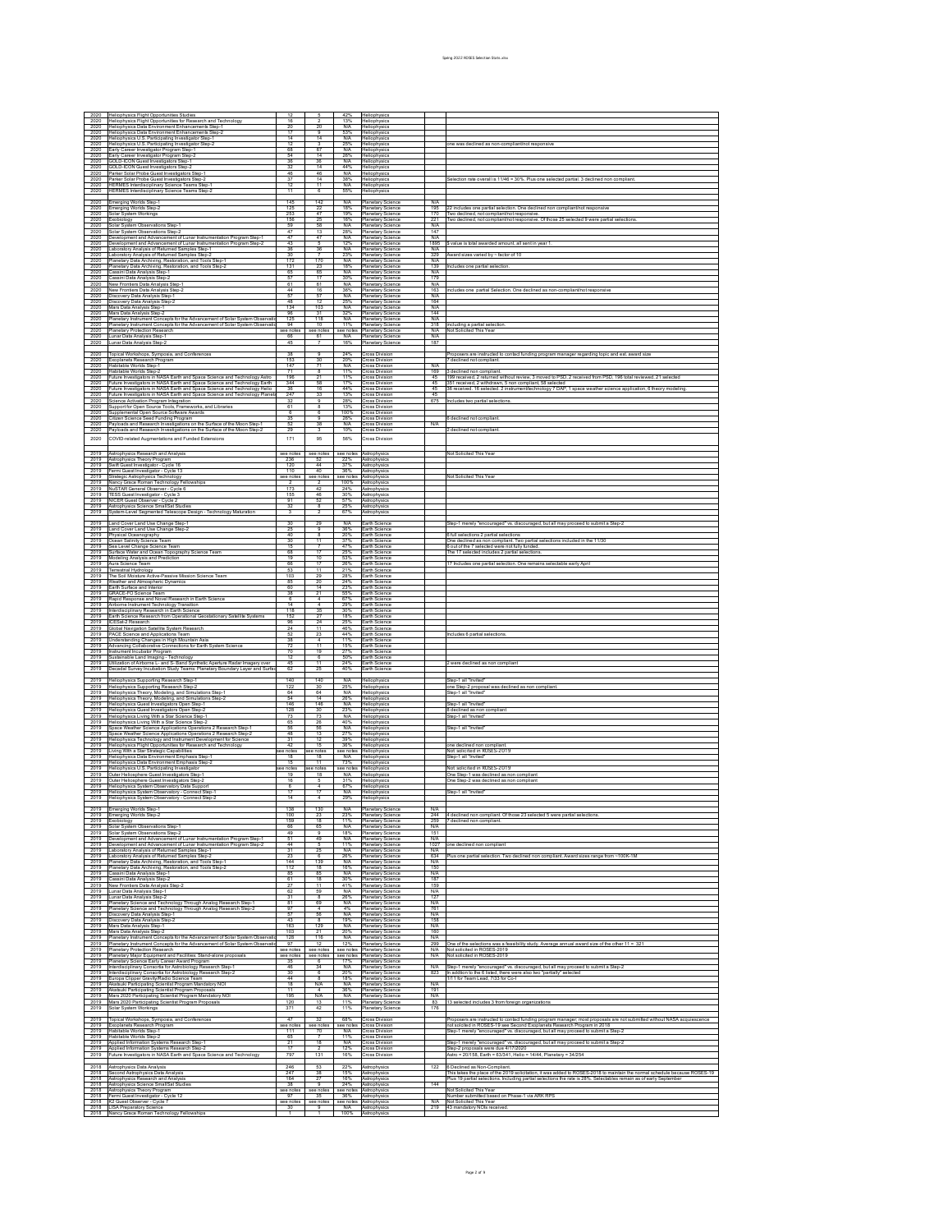|              | Heliophysics Flight Opportunities Studies                                                                                                                    |                        |                                  | 42%                             | Heliophysics                                            |                   |                                                                                                                                                                                                                                                |
|--------------|--------------------------------------------------------------------------------------------------------------------------------------------------------------|------------------------|----------------------------------|---------------------------------|---------------------------------------------------------|-------------------|------------------------------------------------------------------------------------------------------------------------------------------------------------------------------------------------------------------------------------------------|
| 2020<br>2020 | Heliophysics Flight Opportunities for Research and Technology<br>Heliophysics Data Environment Enhancements Step-1                                           | 16<br>20               |                                  | 13%<br>N/A                      | Heliophysics<br>Heliophysics                            |                   |                                                                                                                                                                                                                                                |
| 2020<br>2020 | Heliophysics Data Environment Enhancements Step-2<br>Heliophysics U.S. Participating Investigator Step-1                                                     | 17<br>-14              | $\overline{9}$<br>14             | 53%<br>N/A                      | Heliophysics<br>Heliophysics                            |                   |                                                                                                                                                                                                                                                |
| 2020         | Heliophysics U.S. Participating Investigator Step-2                                                                                                          | 12                     | $\overline{\mathcal{R}}$<br>67   | 25%<br>N/A                      | Heliophysic<br>Heliophysics                             |                   | ne was declined as non-compliant/not responsiv                                                                                                                                                                                                 |
| 2020<br>2020 | Early Career Investigator Program Step-1<br>any Career Investigator Program Step-2                                                                           | 68<br>54               | 14                               | 26%                             | Heliophysics                                            |                   |                                                                                                                                                                                                                                                |
| 2020<br>2020 | <b>SOLD-ICON Guest Investigators Step-1</b><br>GOLD-ICON Guest Investigators Step-2                                                                          | 36<br>32               | 36<br>14                         | N/A<br>44%                      | Heliophysics<br>Heliophysics                            |                   |                                                                                                                                                                                                                                                |
| 2020<br>2020 | arker Solar Probe Guest Investigators Step-1<br>Parker Solar Probe Guest Investigators Step-2                                                                | 46<br>37               | 46<br>14                         | N/A<br>38%                      | Heliophysics<br>Heliophysics                            |                   | Selection rate overall is 11/46 = 30%. Plus one selected partial. 3 declined non complia                                                                                                                                                       |
| 2020<br>2020 | HERMES Interdisciplinary Science Teams Step-<br><b>HERMES Interdisciplinary Science Teams Step</b>                                                           | -12<br>11              | 11<br>$\overline{6}$             | N/A<br>55%                      | Heliophysics<br>Heliophysics                            |                   |                                                                                                                                                                                                                                                |
|              |                                                                                                                                                              | 145                    |                                  |                                 |                                                         |                   |                                                                                                                                                                                                                                                |
| 2020<br>2020 | nerging Worlds Step-1<br>Emerging Worlds Step-2                                                                                                              | 125                    | 142<br>22                        | N/A<br>18%                      | <b>Planetary Science</b><br>Planetary Science           | N/A<br>195        | 22 includes one partial selection. One declined non compliant/not responsive                                                                                                                                                                   |
| 2020<br>2020 | olar System Workings<br>vpoloidox                                                                                                                            | 253<br>156             | $\overline{a}$                   | 19%<br>16%                      | Planetary Science<br>Planetary Science                  | 170<br>221        | Two declined, not compliant/not responsive<br>Two declined, not compliant/not responsive. Of those 25 selected 9 were partial selection:                                                                                                       |
| 2020<br>2020 | olar System Observations Step-1<br>Solar System Observations Step-2                                                                                          | 59<br>47               | 58<br>13                         | N/A<br>28%                      | Planetary Science<br>Planetary Science                  | N/A<br>147        |                                                                                                                                                                                                                                                |
| 2020         | evelopment and Advancement of Lunar Instrumentation Program Step-                                                                                            | 47                     | $\overline{a}$                   | N/A                             | Planetary Scienc                                        | N/A               |                                                                                                                                                                                                                                                |
| 2020<br>2020 | Jevelopment and Advancement of Lunar Instrumentation Program Step-2<br>aboratory Analysis of Returned Samples Step-1                                         | 43<br>36               | 36                               | 12%<br>N/A                      | Planetary Science<br><b>Planetary Science</b>           | 1895<br>N/A       | \$ value is total awarded amount, all sent in year 1                                                                                                                                                                                           |
| 2020<br>2020 | aboratory Analysis of Returned Samples Step-2<br>lanetary Data Archiving, Restoration, and Tools Step-1                                                      | 30<br>172              | 170                              | 23%<br>N/A                      | Planetary Science<br>Planetary Science                  | 329<br>N/A        | Award sizes varied by ~ factor of 10                                                                                                                                                                                                           |
| 2020<br>2020 | lanetary Data Archiving, Restoration, and Tools Step-2<br>assini Data Analysis Step-1                                                                        | 131<br>65              | 23<br>65                         | 18%<br>N/A                      | Planetary Science<br><b>Planetary Science</b>           | 139<br>N/A        | Includes one partial selection                                                                                                                                                                                                                 |
| 2020         | Cassini Data Analysis Step-2                                                                                                                                 | 57<br>61               | 17<br>61                         | 30%<br>N/A                      | Planetary Science                                       | 179<br>N/A        |                                                                                                                                                                                                                                                |
| 2020<br>2020 | New Frontiers Data Analysis Step-1<br>New Frontiers Data Analysis Step-2                                                                                     | -44                    | 16                               | 36%                             | Planetary Scienc<br>Planetary Science                   | 163               | includes one partial Selection. One declined as non-compliant/not responsiv                                                                                                                                                                    |
| 2020<br>2020 | Iscovery Data Analysis Step-1<br>Discovery Data Analysis Step-2                                                                                              | 57<br>48               | 57<br>12                         | N/A<br>25%                      | <b>Planetary Science</b><br>Planetary Science           | N/A<br>164        |                                                                                                                                                                                                                                                |
| 2020<br>2020 | Mars Data Analysis Step-1<br>Mars Data Analysis Step-2                                                                                                       | 134<br>96              | 103                              | N/A<br>32%                      | Planetary Scieno<br>Planetary Science                   | N/A<br>144        |                                                                                                                                                                                                                                                |
| 2020         | Planetary Instrument Concepts for the Advancement of Solar System Observati                                                                                  | 125                    | 118                              | N/A                             | <b>Planetary Science</b>                                | N/A               |                                                                                                                                                                                                                                                |
| 2020<br>2020 | lanetary Instrument Concepts for the Advancement of Solar System Observatio<br>Planetary Protection Research                                                 | 94<br>see not          | 10<br>bee not                    | 11%<br>see notes                | Planetary Science<br>Planetary Science                  | 318<br>N/A        | including a partial selection<br>Not Solicited This Year                                                                                                                                                                                       |
| 2020<br>2020 | Lunar Data Analysis Step-1<br>ınar Data Analysis Step-2                                                                                                      | 66<br>45               | 61                               | N/A<br>16%                      | Planetary Science<br>Planetary Scienc                   | N/A<br>187        |                                                                                                                                                                                                                                                |
| 2020         | opical Workshops, Symposia, and Conferences                                                                                                                  | 38                     | $\overline{a}$                   | 24%                             | cross Division                                          |                   | oposers are instructed to contact funding program manager regarding topic and est, award size                                                                                                                                                  |
| 2020         | Exoplanets Research Program<br>Habitable Worlds Step-1                                                                                                       | 153<br>147             | 30<br>$\overline{71}$            | 20%<br>N/A                      | <b>Cross Division</b>                                   | N/A               | 7 declined not compliant.                                                                                                                                                                                                                      |
| 2020<br>2020 | Habitable Worlds Step-2                                                                                                                                      | 71                     | -8                               | 11%                             | <b>Cross Division</b><br><b>Cross Division</b>          | 169               | declined non compliant.                                                                                                                                                                                                                        |
| 2020<br>2020 | Future Investigators in NASA Earth and Space Science and Technology Astro<br>uture Investigators in NASA Earth and Space Science and Technology Earth        | 198<br>344             | $\overline{\phantom{a}}$<br>58   | 11%<br>17%                      | <b>Cross Divisio</b><br><b>Cross Division</b>           | 45<br>45          | 199 received, 2 returned without review, 3 moved to PSD, 2 received from PSD, 196 total reviewed, 2<br>351 received, 2 withdrawn, 5 non compliant, 58 selected                                                                                 |
| 2020<br>2020 | uture Investigators in NASA Earth and Space Science and Technology Helio<br>uture Investigators in NASA Earth and Space Science and Technology Planet:       | 36<br>247              | 16<br>33                         | 44%<br>13%                      | <b>Cross Division</b><br><b>Cross Division</b>          | 45<br>45          | 36 received. 16 selected. 2 instrument/technology 7 DAP, 1 space weather science application, 6 theory mode                                                                                                                                    |
| 2020<br>2020 | zience Activation Program Integration                                                                                                                        | 32<br>61               | $\overline{a}$                   | 28%<br>13%                      | <b>Cross Divisio</b>                                    | 675               | cludes two partial selections                                                                                                                                                                                                                  |
| 2020         | upport for Open Source Tools, Frameworks, and Libraries<br>upplemental Open Source Software Awards                                                           |                        | $\overline{6}$                   | 100%                            | <b>Cross Division</b><br><b>Cross Division</b>          |                   |                                                                                                                                                                                                                                                |
| 2020<br>2020 | litizen Science Seed Funding Program<br>ayloads and Research Investigations on the Surface of the Moon Step-1                                                | 52                     | 38                               | 26%<br><b>N/A</b>               | <b>Cross Division</b><br><b>Cross Division</b>          | <b>N/A</b>        | 6 declined not compliant                                                                                                                                                                                                                       |
| 2020         | Payloads and Research Investigations on the Surface of the Moon Step-2                                                                                       | 29                     |                                  | 10%                             | <b>Cross Division</b>                                   |                   | 2 declined not compliant                                                                                                                                                                                                                       |
| 2020         | COVID-related Augmentations and Funded Extensions                                                                                                            | 171                    | 95                               | 56%                             | Cross Division                                          |                   |                                                                                                                                                                                                                                                |
| 2019         | Astrophysics Research and Analysis                                                                                                                           | see note               | see notes                        | see notes                       | Astrophysic                                             |                   | Not Solicited This Yea                                                                                                                                                                                                                         |
| 2019<br>2019 | Astrophysics Theory Program<br>wift Guest Investigator - Cycle 16                                                                                            | 236<br>120             | 52<br>44                         | 22%<br>37%                      | Astrophysics<br>Astrophysics                            |                   |                                                                                                                                                                                                                                                |
| 2019<br>2019 | Fermi Guest Investigator - Cycle 13<br>Strategic Astrophysics Technology                                                                                     | 110<br>see note        | 40<br>see notes                  | 36%<br>see notes                | Astrophysics<br>Astrophysics                            |                   | Not Solicited This Year                                                                                                                                                                                                                        |
| 2019<br>2019 | Nancy Grace Roman Technology Fellowships                                                                                                                     | 173                    | $\mathbf{2}$<br>42               | 100%<br>24%                     | Astrophysics                                            |                   |                                                                                                                                                                                                                                                |
| 2019         | NuSTAR General Observer - Cycle 6<br>TESS Guest Investigator - Cycle 3                                                                                       | 155                    | 46                               | 30%                             | Astrophysics<br>Astrophysics                            |                   |                                                                                                                                                                                                                                                |
| 2019<br>2019 | NICER Guest Observer - Cycle 2<br>Astrophysics Science SmallSat Studies                                                                                      | 91<br>32               | 52<br>-8                         | 57%<br>25%                      | Astrophysics<br>Astrophysics                            |                   |                                                                                                                                                                                                                                                |
| 2019         | System-Level Segmented Telescope Design - Technology Maturati                                                                                                |                        |                                  | 67%                             | Astrophysics                                            |                   |                                                                                                                                                                                                                                                |
| 2019         | and Cover Land Use Change Step-1                                                                                                                             | 30                     | 29                               | N/A                             | Earth Science                                           |                   | Step-1 merely "encouraged" vs. discouraged, but all may proceed to submit a Step-2                                                                                                                                                             |
| 2019<br>2019 | Land Cover Land Use Change Step-2<br>hysical Oceanography                                                                                                    | 25<br>40               | $\overline{9}$                   | 36%<br>20%                      | Earth Science<br>Earth Science                          |                   | 6 full selections 2 partial selections                                                                                                                                                                                                         |
| 2019<br>2019 | Ocean Salinity Science Team<br>ea Level Change Science Team                                                                                                  | 30<br>15               | 11                               | 37%<br>47%                      | <b>Farth Scienc</b><br>Earth Science                    |                   | One declined as non compliant. Two partial selections included in the 11/30<br>3 out of the 7 selected were not fully funded.                                                                                                                  |
| 2019<br>2019 | Surface Water and Ocean Topography Science Team<br>Modeling Analysis and Prediction                                                                          | 68<br>19               | 17<br>10                         | 25%<br>53%                      | Farth Science<br>Earth Science                          |                   | The 17 selected includes 2 partial selections                                                                                                                                                                                                  |
| 2019         | Aura Science Team                                                                                                                                            | 66                     | $\overline{17}$                  | 26%                             | Farth Scieno                                            |                   | 7 Includes one partial selection. One remains selectable early Apri                                                                                                                                                                            |
| 2019<br>2019 | Terrestrial Hydrology<br>The Soil Moisture Active-Passive Mission Science Team                                                                               | -53<br>103             | -11<br>29                        | 21%<br>28%                      | Earth Science<br>Earth Scieno                           |                   |                                                                                                                                                                                                                                                |
| 2019<br>2019 | Weather and Atmospheric Dynamics<br>Earth Surface and Interior                                                                                               | 85<br>60               | 20<br>14                         | 24%<br>23%                      | Earth Science<br>Farth Scieno                           |                   |                                                                                                                                                                                                                                                |
| 2019<br>2019 | <b>SRACE-FO Science Team</b><br>Rapid Response and Novel Research in Earth Science                                                                           | 38<br>R                | 21<br>$\overline{4}$             | 55%<br>67%                      | Earth Science<br>Farth Science                          |                   |                                                                                                                                                                                                                                                |
| 2019         | Airborne Instrument Technology Transition                                                                                                                    | 14                     |                                  | 29%                             | Earth Science                                           |                   |                                                                                                                                                                                                                                                |
| 2019<br>2019 | terdisciplinary Research in Earth Science<br>Earth Science Research from Operational Geostationary Satellite Systems                                         | 118<br>152             | 35                               | 30%<br>18%                      | Earth Scieno<br>Earth Science                           |                   |                                                                                                                                                                                                                                                |
| 2019<br>2019 | ICESat-2 Research<br>Slobal Navigation Satellite System Research                                                                                             | 96<br>24               | 24<br>11                         | 25%<br>46%                      | Earth Scieno<br>Earth Science                           |                   |                                                                                                                                                                                                                                                |
| 2019<br>2019 | ACE Science and Applications Team<br>Inderstanding Changes in High Mountain Asia                                                                             | 52                     | 23                               | 44%<br>11%                      | Farth Scieno<br>Earth Science                           |                   | cludes 6 partial selections                                                                                                                                                                                                                    |
| 2019         | dvancing Collaborative Connections for Earth System Science                                                                                                  | 72                     | -11                              | 15%<br>27%                      | Farth Science                                           |                   |                                                                                                                                                                                                                                                |
| 2019<br>2019 | nstrument Incubator Program<br>sustainable Land Imaging - Technology                                                                                         | 70<br>12               | 19<br>$\overline{6}$             | 50%                             | Earth Science<br>Earth Science                          |                   |                                                                                                                                                                                                                                                |
| 2019<br>2019 | Jtilization of Airborne L- and S- Band Synthetic Aperture Radar Imagery over<br>ecadal Survey Incubation Study Teams: Planetary Boundary Layer and Surfac    | 45<br>62               | 11<br>25                         | 24%<br>40%                      | Earth Science<br>Earth Scieno                           |                   | 2 were declined as non compliant                                                                                                                                                                                                               |
| 2019         | eliophysics Supporting Research Step-1                                                                                                                       | 140                    | 140                              | <b>N/A</b>                      | Heliophysics                                            |                   | Step-1 all "Invited                                                                                                                                                                                                                            |
| 2019<br>2019 | Heliophysics Supporting Research Step-2                                                                                                                      | 122<br>RA              | 30<br>64                         | 25%<br><b>N/A</b>               | Heliophysics                                            |                   | one Step-2 proposal was declined as non compliar                                                                                                                                                                                               |
| 2019         | leliophysics Theory, Modeling, and Simulations Step-1<br>Heliophysics Theory, Modeling, and Simulations Step-2                                               | 54                     | 14                               | 26%                             | Heliophysics<br>Heliophysics                            |                   | Step-1 all "Invited"                                                                                                                                                                                                                           |
| 2019<br>2019 | Heliophysics Guest Investigators Open Step-1<br>Heliophysics Guest Investigators Open Step-2                                                                 | 146<br>128             | 146<br>30                        | N/A<br>23%                      | Heliophysics<br>Heliophysics                            |                   | Step-1 all "Invited"<br>8 declined as non compliant                                                                                                                                                                                            |
| 2019<br>2019 | Heliophysics Living With a Star Science Step-1<br>Heliophysics Living With a Star Science Step-2                                                             | 73<br>65               | 73<br>26                         | <b>N/A</b><br>40%               | Heliophysics<br>Heliophysics                            |                   | Step-1 all "Invited"                                                                                                                                                                                                                           |
| 2019<br>2019 | Space Weather Science Applications Operations 2 Research Step-1<br>Space Weather Science Applications Operations 2 Research Step-2                           | 56<br>48               | 56<br>13                         | N/A<br>27%                      | Heliophysics<br>Heliophysics                            |                   | Step-1 all "Invited"                                                                                                                                                                                                                           |
| 2019         | Heliophysics Technology and Instrument Development for Science                                                                                               | 31                     | 12                               | 39%                             | Heliophysics                                            |                   |                                                                                                                                                                                                                                                |
| 2019<br>2019 | Heliophysics Flight Opportunities for Research and Technology<br>iving With a Star Strategic Capabilities                                                    | 42<br>ree notes        | 15<br>ee notes                   | 36%<br>see notes                | Heliophysics<br>Heliophysics                            |                   | one declined non compliant<br>Not solicited in ROSES-2019                                                                                                                                                                                      |
| 2019<br>2019 | Heliophysics Data Environment Emphasis Step-1<br>Heliophysics Data Environment Emphasis Step-2                                                               | 18<br>15               | 18<br>11                         | N/A<br>73%                      | Heliophysics<br>Heliophysics                            |                   | Step-1 all "Invited                                                                                                                                                                                                                            |
| 2019         | Heliophysics U.S. Participating Investigator                                                                                                                 | se note                | ee notes                         | N/A                             | see notes Heliophysics                                  |                   | Not solicited in ROSES-2019                                                                                                                                                                                                                    |
| 2019<br>2019 | Outer Heliosphere Guest Investigators Step-1<br>Outer Heliosphere Guest Investigators Step-2                                                                 | 19<br>16               | 18                               | 31%                             | Heliophysics<br>Heliophysics                            |                   | One Step-1 was declined as non compliant<br>One Step-2 was declined as non complian                                                                                                                                                            |
| 2019         | Heliophysics System Observatory Data Support<br>2019 Heliophysics System Observatory - Connect Step-1                                                        | -6<br>17               | 17                               | 67%<br>N/A                      | Heliophysics<br>Heliophysics                            |                   | Step-1 all "Invited"                                                                                                                                                                                                                           |
| 2019         | Heliophysics System Observatory - Connect Step-2                                                                                                             |                        |                                  | 29%                             | Heliophysics                                            |                   |                                                                                                                                                                                                                                                |
| 2019         | Emerging Worlds Step-1<br>2019 Emerging Worlds Step-2                                                                                                        | 138<br>100             | 130<br>-23                       | N/A<br>23%                      | Planetary Science<br>Planetary Science                  | N/A               |                                                                                                                                                                                                                                                |
| 2019         | Exobiology<br>Solar System Observations Step-1                                                                                                               | 159                    | 18                               | 11%                             | Planetary Science                                       |                   | 244 4 declined non compliant. Of those 23 selected 5 were partial selection<br>259 7 declined non compliant.                                                                                                                                   |
| 2019<br>2019 | Solar System Observations Step-2                                                                                                                             | 66<br>49               | 65                               | N/A<br>18%                      | Planetary Science<br>Planetary Science                  | N/A<br>151        |                                                                                                                                                                                                                                                |
| 2019<br>2019 | Development and Advancement of Lunar Instrumentation Program Step-1<br>Development and Advancement of Lunar Instrumentation Program Step-2                   | 51<br>44               | 49                               | N/A<br>11%                      | Planetary Science<br>Planetary Science                  | N/A<br>1027       | one declined non compliant                                                                                                                                                                                                                     |
| 2019         | Laboratory Analysis of Returned Samples Step-1<br>2019 Laboratory Analysis of Returned Samples Step-2                                                        | 31<br>23               | - 6                              | N/A<br>26%                      | Planetary Science<br><b>Planetary Science</b>           | N/A               | 634 Plus one partial selection. Two declined non compliant. Award sizes range from ~100K-1M                                                                                                                                                    |
|              |                                                                                                                                                              | 144                    | 139                              | N/A                             | Planetary Science                                       | N/A               |                                                                                                                                                                                                                                                |
| 2019         | Planetary Data Archiving, Restoration, and Tools Step-1                                                                                                      |                        |                                  |                                 |                                                         | 150               |                                                                                                                                                                                                                                                |
| 2019<br>2019 | Planetary Data Archiving, Restoration, and Tools Step-2<br>Cassini Data Analysis Step-1                                                                      | 112<br>$R^g$           | 18<br>RF                         | 16%<br>N/A                      | <b>Hanetary Science</b><br>Planetary Science            | N/A               |                                                                                                                                                                                                                                                |
| 2019         | Cassini Data Analysis Step-2<br>2019 New Frontiers Data Analysis Step-2                                                                                      | 61                     | 18<br>11                         | 30%<br>41%                      | <b>Planetary Science</b><br>Planetary Science           | 187<br>159        |                                                                                                                                                                                                                                                |
| 2019<br>2019 | Lunar Data Analysis Step-1                                                                                                                                   | 62<br>31               | 59                               | N/A<br>26%                      | Planetary Science<br>Planetary Science                  | <b>N/A</b><br>127 |                                                                                                                                                                                                                                                |
| 2019         | Lunar Data Analysis Step-2<br>Planetary Science and Technology Through Analog Research Step-1                                                                | 81                     | 69                               | <b>N/A</b>                      | <b>Planetary Science</b>                                | <b>N/A</b>        |                                                                                                                                                                                                                                                |
| 2019<br>2019 | Planetary Science and Technology Through Analog Research Step<br>Discovery Data Analysis Step-1                                                              | 97<br>57               | 56                               | 4%<br>N/A                       | Planetary Science<br><b>Hanetary Science</b>            | 761<br><b>N/A</b> |                                                                                                                                                                                                                                                |
| 2019<br>2019 | Discovery Data Analysis Step-2<br>Mars Data Analysis Step-1                                                                                                  | 43<br>163              | 129                              | 19%<br>N/A                      | Planetary Science<br><b>Planetary Science</b>           | 158<br>N/A        |                                                                                                                                                                                                                                                |
| 2019         | Mars Data Analysis Step-2                                                                                                                                    | 103<br>128             | 116                              | 20%                             | Planetary Science                                       | 160<br>N/A        |                                                                                                                                                                                                                                                |
| 2019<br>2019 | Planetary Instrument Concepts for the Advancement of Solar System Observation<br>Planetary Instrument Concepts for the Advancement of Solar System Observati | 97                     | -12                              | <b>N/A</b><br>12%               | Planetary Science<br>Planetary Science                  | 299               | One of the selections was a feasibility study. Average annual award size of the other 11 = 321                                                                                                                                                 |
| 2019<br>2019 | Planetary Protection Research<br>Planetary Major Equipment and Facilities: Stand-alone proposals                                                             | see notes<br>see notes | see notes see notes<br>see notes |                                 | <b>Planetary Science</b><br>see notes Planetary Science | N/A               | N/A Not solicited in ROSES-2019<br>Not solicited in ROSES-2019                                                                                                                                                                                 |
| 2019<br>2019 | Planetary Science Early Career Award Program<br>Interdisciplinary Consortia for Astrobiology Research Step-1                                                 | 46                     | 34                               | 17%<br>N/A                      | Planetary Science<br>Planetary Science                  | N/A               | Step-1 merely "encouraged" vs. discouraged, but all may proceed to submit a Step-2                                                                                                                                                             |
| 2019<br>2019 | Interdisciplinary Consortia for Astrobiology Research Step-2                                                                                                 | 30<br>44               | - 6                              | 20%<br>18%                      | <b>Planetary Science</b><br>Planetary Science           | 823               | In addtion to the 6 listed, there were also two "partially" selected                                                                                                                                                                           |
| 2019         | Europa Clipper Gravity/Radio Science Team<br>Akatsuki Participating Scientist Program Mandatory NOI                                                          | 18                     | N/A                              | N/A                             | Planetary Science                                       | N/A               | 1/11 for Team Lead, 7/33 for Co-I                                                                                                                                                                                                              |
| 2019<br>2019 | Akatsuki Participating Scientist Program Proposals<br>Mars 2020 Participating Scientist Program Mandatory NOI                                                | 11<br>195              | $\mathbf{A}$<br><b>N/A</b>       | 36%<br>N/A                      | Planetary Science<br><b>Planetary Science</b>           | 191<br><b>N/A</b> |                                                                                                                                                                                                                                                |
| 2019<br>2019 | Mars 2020 Participating Scientist Program Proposals<br>Solar System Workings                                                                                 | 120<br>37 <sup>1</sup> | 13<br>42                         | 11%<br>11%                      | Planetary Science                                       | 83<br>176         | 13 selected includes 3 from foreign organizations                                                                                                                                                                                              |
| 2019         |                                                                                                                                                              | 47                     | 32                               | 68%                             | <b>Planetary Science</b><br><b>Cross Division</b>       |                   |                                                                                                                                                                                                                                                |
| 2019         | Topical Workshops, Symposia, and Conferences<br>Exoplanets Research Program                                                                                  | see note               | see notes                        | see notes                       | <b>Cross Division</b>                                   |                   | Proposers are instructed to contact funding program manager; most proposals are not submitted without NASA acquiescence<br>not solcited in ROSES-19 see Second Exoplanets Research Program in 2018                                             |
| 2019<br>2019 | Habitable Worlds Step-1<br>Habitable Worlds Step-2                                                                                                           | 111<br>65              | 70                               | <b>N/A</b><br>11%               | <b>Cross Division</b><br><b>Cross Division</b>          |                   | Step-1 merely "encouraged" vs. discouraged, but all may proceed to submit a Step-2                                                                                                                                                             |
| 2019<br>2019 | Applied Information Systems Research Step-1<br>Applied Information Systems Research Step-2                                                                   | -21<br>17              | 18                               | <b>N/A</b><br>12%               | <b>Cross Division</b><br><b>Cross Division</b>          |                   | Step-1 merely "encouraged" vs. discouraged, but all may proceed to submit a Step-2                                                                                                                                                             |
| 2019         | Future Investigators in NASA Earth and Space Science and Technology                                                                                          | 797                    | 131                              | 16%                             | <b>Cross Division</b>                                   |                   | Step-2 proposals were due 4/17/2020<br>Astro = 20/158, Earth = 63/341, Helio = 14/44, Planetary = 34/254                                                                                                                                       |
| 2018         | Astrophysics Data Analysis                                                                                                                                   | 246                    | 53                               | 22%                             | Astrophysics                                            | 122               | 6 Declined as Non-Compliant                                                                                                                                                                                                                    |
| 2018<br>2018 | Second Astrophysics Data Analysis<br>Astrophysics Research and Analysis                                                                                      | 747<br>164             | 38                               | 15%<br>16%                      | Astrophysics<br>Astrophysics                            |                   | his takes the place of the 2019 solicitation, it was added to ROSES-2018 to maintain the normal schedule because ROSES-19<br>Ylus 19 partial selections. Including partial selections the rate is 28%. Selectables remain as of early Septembe |
| 2018<br>2018 | Astrophysics Science SmallSat Studies<br>Astrophysics Theory Program                                                                                         | 38<br>see notes        | see notes                        | 24%<br>see notes                | Astrophysics<br>Astrophysics                            | 144               | Not Solicited This Year                                                                                                                                                                                                                        |
| 2018         | Fermi Guest Investigator<br>Cycle 12                                                                                                                         | 97                     | 35                               | 36%                             | Astrophysic                                             |                   | Number submitted based on Phase-1 via ARK RPS                                                                                                                                                                                                  |
| 2018         | K2 Guest Observer - Cycle 7<br>2018 LISA Preparatory Science<br>2018 Nancy Grace Roman Technology Fellowships                                                | see notes<br>30        | see notes<br>$\overline{9}$      | see notes<br><b>N/A</b><br>100% | Astrophysics<br>Astrophysics<br>Astrophysics            | N/A               | Not Solicited This Year<br>219 43 mandatory NOIs received.                                                                                                                                                                                     |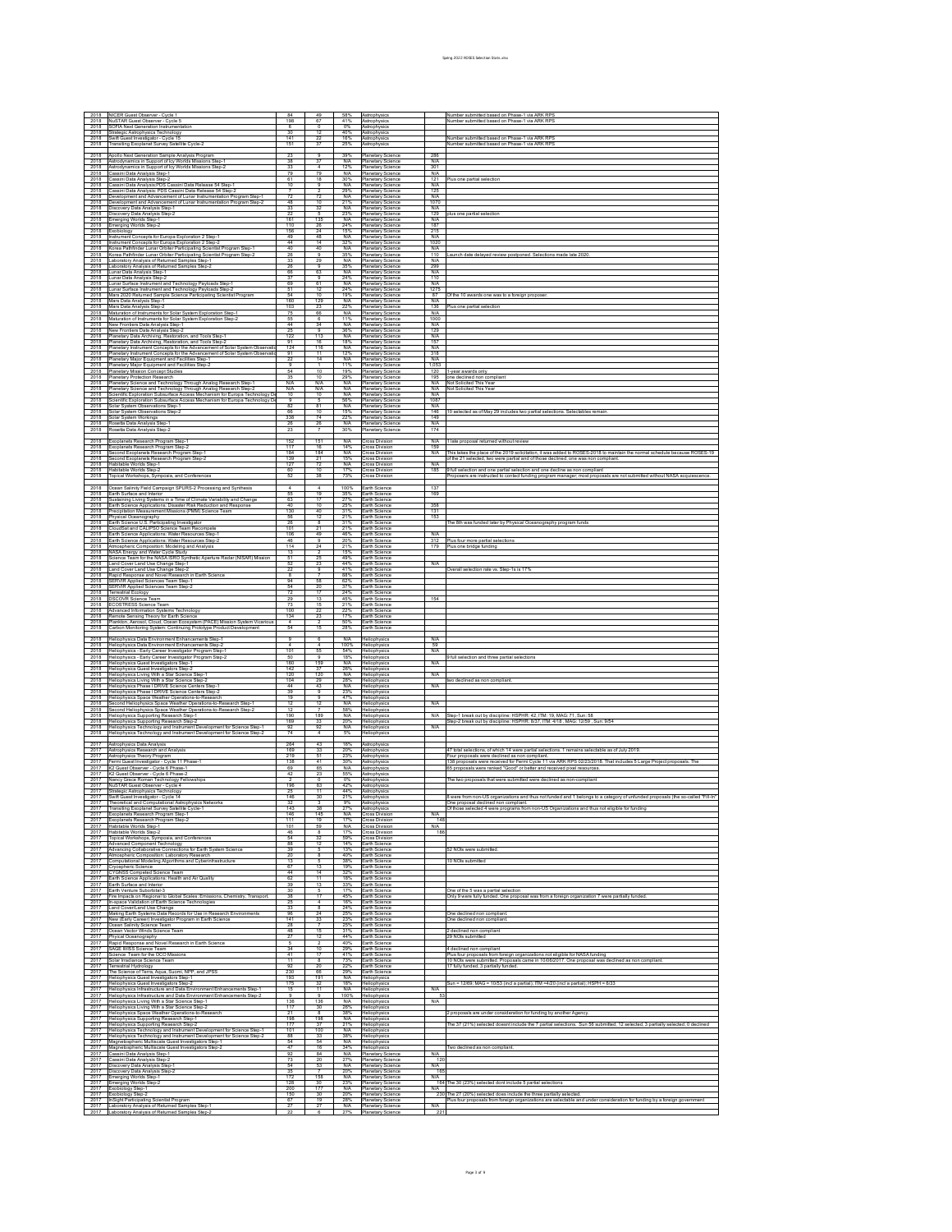| 2018                 | NICER Guest Observer - Cycle 1                                                                                                                                                                                              |                          |                                  |                    | Astrophysic                                                               |                | Number submitted based on Phase-1 via ARK RPS                                                                                                                                                                                                                          |
|----------------------|-----------------------------------------------------------------------------------------------------------------------------------------------------------------------------------------------------------------------------|--------------------------|----------------------------------|--------------------|---------------------------------------------------------------------------|----------------|------------------------------------------------------------------------------------------------------------------------------------------------------------------------------------------------------------------------------------------------------------------------|
| 2018<br>2018         | NuSTAR Guest Observer - Cycle 5<br>SOFIA Next Generation Instrumentation                                                                                                                                                    | 198                      | 67                               | 41%<br>0%          | Astrophysics<br>Astrophysics                                              |                | Number submitted based on Phase-1 via ARK RPS                                                                                                                                                                                                                          |
| 2018<br>2018<br>2018 | Strategic Astrophysics Technology<br>Swift Guest Investigator - Cycle 15                                                                                                                                                    | 30<br>141<br>151         | 12<br>$\overline{2}$<br>37       | 40%<br>16%<br>25%  | Astrophysics<br>Astrophysics                                              |                | Jumber submitted based on Phase-1 via ARK RPS                                                                                                                                                                                                                          |
| 2018                 | ransiting Exoplanet Survey Satellite Cycle-2                                                                                                                                                                                | 23                       | 9                                | 39%                | Astrophysics<br>Planetary Scienc                                          | 286            | Number submitted based on Phase-1 via ARK RPS                                                                                                                                                                                                                          |
| 2018<br>2018         | Apollo Next Generation Sample Analysis Program<br>Astrodynamics in Support of Icy Worlds Missions Step-                                                                                                                     | 38<br>33                 | 37                               | N/A<br>12%         | Planetary Science                                                         | N/A<br>301     |                                                                                                                                                                                                                                                                        |
| 2018<br>2018         | strodynamics in Support of Icy Worlds Missions Step-2<br>assini Data Analysis Step-1                                                                                                                                        | 79<br>61                 | 79<br>18                         | N/A<br>30%         | <b>Planetary Science</b><br>Planetary Science                             | $\frac{N}{41}$ | s one partial selectio                                                                                                                                                                                                                                                 |
| 2018<br>2018         | assini Data Analysis Step-2<br>assini Data Analysis:PDS Cassini Data Release 54 Step-1                                                                                                                                      | 10                       |                                  | N/A<br>29%         | <b>Planetary Science</b><br>Planetary Science                             | N/A<br>125     |                                                                                                                                                                                                                                                                        |
| 2018<br>2018         | assini Data Analysis: PDS Cassini Data Release 54 Step-2<br>evelopment and Advancement of Lunar Instrumentation Program Step-                                                                                               | $\overline{72}$<br>48    | 72<br>10                         | N/A<br>21%         | Planetary Science<br>Planetary Science                                    | N/A<br>1070    |                                                                                                                                                                                                                                                                        |
| 2018<br>2018         | Development and Advancement of Lunar Instrumentation Program Step-2<br>scovery Data Analysis Step-1<br>scovery Data Analysis Step-2                                                                                         | 33<br>$\mathfrak{D}$     | 32                               | N/A<br>23%         | <b>Planetary Science</b><br>Planetary Science                             | N/A<br>129     |                                                                                                                                                                                                                                                                        |
| 2018<br>2018         | nerging Worlds Step-1<br>Emerging Worlds Step-2                                                                                                                                                                             | 110                      | 135<br>26                        | NIA<br>24%         | <b>Planetary Science</b><br>Planetary Science<br>Planetary Science        | N/A<br>187     | us one partial selectio                                                                                                                                                                                                                                                |
| 2018<br>2018         | <b>Exobiology</b><br>nstrument Concepts for Europa Exploration 2 Step-1                                                                                                                                                     | 156<br>49                | 24<br>48                         | 15%<br>N/A         | <b>Planetary Science</b><br>Planetary Science                             | 215<br>N/A     |                                                                                                                                                                                                                                                                        |
| 2018                 | Instrument Concepts for Europa Exploration 2 Step-2<br>2018 Korea Pathfinder Lunar Orbiter Participating Scientist Program Step-1                                                                                           | 44<br>40                 | 14<br>40                         | 32%<br><b>N/A</b>  | Planetary Science<br>Planetary Science                                    | 1020<br>N/A    |                                                                                                                                                                                                                                                                        |
| 2018<br>2018         | Korea Pathfinder Lunar Orbiter Participating Scientist Program Step-2<br>Laboratory Analysis of Returned Samples Step-1                                                                                                     | 26<br>33                 | $\overline{9}$<br>29             | 35%<br>N/A         | <b>Planetary Science</b><br>Planetary Science                             | 110<br>N/A     | aunch date delayed review postponed. Selections made late 202                                                                                                                                                                                                          |
| 2018                 | aboratory Analysis of Returned Samples Step-<br>2018 Lunar Data Analysis Step-1                                                                                                                                             | 26<br>66                 | 9<br>63                          | 35%<br>N/A         | <b>Planetary Science</b><br>Planetary Science                             | 299<br>N/A     |                                                                                                                                                                                                                                                                        |
| 2018<br>2018         | unar Data Analysis Step-2<br>Lunar Surface Instrument and Technology Payloads Step-1                                                                                                                                        | $\overline{37}$<br>69    | $\overline{a}$<br>61             | 24%<br>N/A         | <b>Planetary Science</b><br>Planetary Science                             | 110<br>N/A     |                                                                                                                                                                                                                                                                        |
| 2018                 | unar Surface Instrument and Technology Payloads Step-2<br>2018 Mars 2020 Returned Sample Science Participating Scientist Program                                                                                            | 51<br>54                 | 12<br>10                         | 24%<br>19%         | Planetary Science<br>Planetary Science                                    | 1275<br>87     | Of the 10 awards one was to a foreign proposer                                                                                                                                                                                                                         |
| 2018                 | Mars Data Analysis Step-1<br>2018 Mars Data Analysis Step-2                                                                                                                                                                 | 160<br>103               | 129<br>23                        | N/A<br>22%         | <b>Planetary Science</b><br>Planetary Science                             | N/A<br>136     | Plus one partial selection                                                                                                                                                                                                                                             |
| 2018                 | Maturation of Instruments for Solar System Exploration Step-1<br>2018 Maturation of Instruments for Solar System Exploration Step-2                                                                                         | 75<br>55                 | 66<br>-6                         | N/A<br>11%         | <b>Planetary Science</b><br>Planetary Science                             | N/A<br>1000    |                                                                                                                                                                                                                                                                        |
| 2018                 | New Frontiers Data Analysis Step-1<br>2018 New Frontiers Data Analysis Step-2                                                                                                                                               | 44                       | 34<br>$\theta$                   | N/A<br>36%         | <b>Planetary Science</b><br>Planetary Science                             | N/A<br>129     |                                                                                                                                                                                                                                                                        |
| 2018                 | Planetary Data Archiving, Restoration, and Tools Step-1<br>2018 Planetary Data Archiving, Restoration, and Tools Step-2                                                                                                     | 122<br>91                | 113<br>16                        | N/A<br>18%         | Planetary Science<br>Planetary Science                                    | N/A<br>157     |                                                                                                                                                                                                                                                                        |
| 2018<br>2018         | Planetary Instrument Concepts for the Advancement of Solar System Observati<br>Planetary Instrument Concepts for the Advancement of Solar System Observati                                                                  | 124<br>91                | 116<br>11                        | <b>N/A</b><br>12%  | <b>Planetary Science</b><br>Planetary Science                             | N/A<br>318     |                                                                                                                                                                                                                                                                        |
| 2018<br>2018         | Planetary Major Equipment and Facilities Step-1<br>Planetary Major Equipment and Facilities Step-2                                                                                                                          | 22                       | 14                               | N/A<br>11%         | <b>Planetary Science</b><br>Planetary Science                             | N/A<br>1,053   |                                                                                                                                                                                                                                                                        |
| 2018<br>2018         | Planetary Mission Concept Studies<br>Planetary Protection Research                                                                                                                                                          | 54                       | 10<br>10                         | 19%<br>29%         | <b>Planetary Science</b><br>Planetary Science                             | 120<br>195     | l-year awards only<br>one declined non compliant                                                                                                                                                                                                                       |
| 2018<br>2018         | Planetary Science and Technology Through Analog Research Step-1                                                                                                                                                             | N/A<br>N/A               | N/A<br>N/A                       | N/A<br>N/A         | Planetary Science<br>Planetary Science                                    |                | N/A Not Solicited This Year<br>N/A Not Solicited This Year                                                                                                                                                                                                             |
| 2018<br>2018         | Planetary Science and Technology Through Analog Research Step-2<br>Scientific Exploration Subsurface Access Mechanism for Europa Technology D<br>Scientific Exploration Subsurface Access Mechanism for Europa Technology D | 10                       | 10                               | N/A<br>56%         | <b>Planetary Science</b><br>Planetary Science                             | N/A<br>1087    |                                                                                                                                                                                                                                                                        |
| 2018<br>2018         | Solar System Observations Step-1<br>Solar System Observations Step-2                                                                                                                                                        | 82<br>66                 | 81<br>10                         | N/A<br>15%         | Planetary Science<br>Planetary Science                                    | N/A            | 146 10 selected as of May 29 includes two partial selections. Selectables remai                                                                                                                                                                                        |
| 2018<br>2018         | Solar System Workings<br>Rosetta Data Analysis Step-1                                                                                                                                                                       | 338<br>26                | 74<br>26                         | 22%<br>N/A         | <b>Planetary Science</b><br>Planetary Science                             | 149<br>N/A     |                                                                                                                                                                                                                                                                        |
| 2018                 | Rosetta Data Analysis Step-2                                                                                                                                                                                                | 23                       |                                  | 30%                | <b>Planetary Science</b>                                                  | 174            |                                                                                                                                                                                                                                                                        |
| 2018<br>2018         | oplanets Research Program Step-1<br>Exoplanets Research Program Step-2                                                                                                                                                      | 152<br>117               | 151<br>16                        | N/A<br>14%         | <b>Cross Division</b><br>Cross Division                                   | N/A<br>159     | ate proposal returned without review                                                                                                                                                                                                                                   |
| 2018<br>2018         | econd Exoplanets Research Program Step-<br>Second Exoplanets Research Program Step-2                                                                                                                                        | 184<br>139               | 184<br>21                        | N/A<br>15%         | <b>Cross Division</b><br><b>Cross Division</b>                            | N/A            | his takes the place of the 2019 solicitation, it was added to ROSES-2018 to maintain the normal schedule because ROSES-19<br>of the 21 selected, two were partial and of those declined, one was non compliant.                                                        |
| 2018<br>2018         | Habitable Worlds Step-1<br>Habitable Worlds Step-2                                                                                                                                                                          | 127<br>60                | $\overline{72}$<br>10            | N/A<br>17%         | <b>Cross Division</b><br><b>Cross Division</b>                            | N/A<br>185     | full selection and one partial selection and one decline as non compliant                                                                                                                                                                                              |
| 2018                 | Topical Workshops, Symposia, and Conferences                                                                                                                                                                                | 52                       | 38                               | 73%                | <b>Cross Division</b>                                                     |                | roposers are instructed to contact funding program manager; most proposals are not submitted without NASA acquiescence                                                                                                                                                 |
| 2018<br>2018         | ean Salinity Field Campaign SPURS-2 Processing and Synthesis<br>Earth Surface and Interior                                                                                                                                  | 55                       | $\overline{4}$<br>19             | 100%<br>35%        | Earth Science<br>Earth Science                                            | 137<br>169     |                                                                                                                                                                                                                                                                        |
| 2018<br>2018         | ustaining Living Systems in a Time of Climate Variability and Change<br>Earth Science Applications: Disaster Risk Reduction and Response                                                                                    | 63<br>40                 | $\overline{17}$<br>10            | 27%<br>25%         | Earth Science<br>Earth Science                                            | 358            |                                                                                                                                                                                                                                                                        |
| 2018<br>2018         | Precipitation Measurement Missions (PMM) Science Team<br>Physical Oceanography                                                                                                                                              | 130<br>56                | 40<br>12                         | 31%<br>21%         | Earth Science<br>Earth Science                                            | 131<br>153     |                                                                                                                                                                                                                                                                        |
| 2018                 | Earth Science U.S. Participating Investigator<br>2018 CloudSat and CALIPSO Science Team Recompete                                                                                                                           | 26<br>101                | 8<br>-21                         | 31%<br>21%         | Earth Science<br>Earth Science                                            |                | The 8th was funded later by Physical Oceanography program funds                                                                                                                                                                                                        |
| 2018<br>2018         | Earth Science Applications: Water Resources Step-1<br>Earth Science Applications: Water Resources Step-2                                                                                                                    | 106<br>46                | 49<br>$\theta$                   | 46%<br>20%         | Earth Science<br>Earth Science                                            | N/A<br>312     | Plus four more partial selections                                                                                                                                                                                                                                      |
| 2018                 | Atmospheric Composition: Modeling and Analysis<br>2018 NASA Energy and Water Cycle Study                                                                                                                                    | 114<br>13<br>51          | 24                               | 21%<br>15%<br>49%  | Earth Science<br>Earth Science                                            | 179            | Plus one bridge funding                                                                                                                                                                                                                                                |
| 2018                 | 2018 Science Team for the NASA ISRO Synthetic Aperture Radar (NISAR) Mission<br>2018 Land Cover Land Use Change Step-1                                                                                                      | 52<br>22                 | 25<br>23<br>9                    | 44%<br>41%         | Earth Science<br>Earth Science                                            | N/A            |                                                                                                                                                                                                                                                                        |
| 2018                 | and Cover Land Use Change Step-2<br>2018 Rapid Response and Novel Research in Earth Science<br>SERVIR Applied Sciences Team Step-1                                                                                          | 94                       | 58                               | 88%<br>62%         | Earth Science<br>Earth Science<br>Earth Science                           |                | Dverall selection rate vs. Step-1s is 17%                                                                                                                                                                                                                              |
| 2018                 | 2018 SERVIR Applied Sciences Team Step-2<br><b>Terrestrial Ecology</b>                                                                                                                                                      | 54<br>72                 | 20<br>$\overline{17}$            | 37%<br>24%         | Earth Science<br>Earth Science                                            |                |                                                                                                                                                                                                                                                                        |
| 2018                 | 2018 DSCOVR Science Team<br><b>ECOSTRESS Science Team</b>                                                                                                                                                                   | 29<br>73                 | 13<br>15                         | 45%<br>21%         | Earth Science<br>Earth Science                                            | 154            |                                                                                                                                                                                                                                                                        |
| 2018                 | 2018 Advanced Information Systems Technology<br>Remote Sensing Theory for Earth Science                                                                                                                                     | 100<br>134               | -22<br>23                        | 22%<br>17%         | Earth Science<br>Earth Science                                            |                |                                                                                                                                                                                                                                                                        |
| 2018                 | 2018 Plankton, Aerosol, Cloud, Ocean Ecosystem (PACE) Mission System Vicarious<br>Carbon Monitoring System: Continuing Prototype Product Development                                                                        | 54                       | 15                               | 50%<br>28%         | Earth Science<br>Earth Science                                            |                |                                                                                                                                                                                                                                                                        |
| 2018                 | Heliophysics Data Environment Enhancements Step-1                                                                                                                                                                           | 9                        | $\overline{6}$                   | N/A                | Heliophysics                                                              | N/A            |                                                                                                                                                                                                                                                                        |
|                      | 2018 Heliophysics Data Environment Enhancements Step-2<br>2018 Heliophysics - Early Career Investigator Program Step-1                                                                                                      | 101                      | 4<br>55                          | 100%<br>54%        | Heliophysics<br>Heliophysic                                               | 59<br>N/A      |                                                                                                                                                                                                                                                                        |
| 2018                 | 2018 Heliophysics - Early Career Investigator Program Step-2<br>Heliophysics Guest Investigators Step-1                                                                                                                     | 50<br>160                | 159                              | 18%<br>N/A         | Heliophysics<br>Heliophysic                                               | N/A            | full selection and three partial selection                                                                                                                                                                                                                             |
|                      | 2018 Heliophysics Guest Investigators Step-2<br>2018 Heliophysics Living With a Star Science Step-1                                                                                                                         | 142<br>120               | 37<br>120                        | 26%<br>N/A         | Heliophysics<br>Heliophysic                                               | N/A            |                                                                                                                                                                                                                                                                        |
|                      | 2018 Heliophysics Living With a Star Science Step-2<br>2018 Heliophysics Phase I DRIVE Science Centers Step-1                                                                                                               | 104<br>44                | 29<br>43                         | 28%<br>N/A         | Heliophysics<br>Heliophysic                                               | N/A            | two declined as non compliant                                                                                                                                                                                                                                          |
|                      | 2018 Heliophysics Phase I DRIVE Science Centers Step-2<br>2018 Heliophysics Space Weather Operations-to-Research                                                                                                            | 39<br>19                 | $\overline{9}$<br>$\overline{9}$ | 23%<br>47%         | Heliophysics<br>Heliophysic                                               |                |                                                                                                                                                                                                                                                                        |
| 2018                 | 2018 Second Heliophysics Space Weather Operations-to-Research Step-1<br>Second Heliophysics Space Weather Operations to Research Step-2                                                                                     | -12<br>12                | 12                               | N/A<br>58%         | Heliophysics<br>Heliophysic                                               | N/A            |                                                                                                                                                                                                                                                                        |
|                      | 2018 Heliophysics Supporting Research Step-1<br>2018 Heliophysics Supporting Research Step-2                                                                                                                                | 190<br>169               | 189<br>33                        | N/A<br>20%         | Heliophysics<br>Heliophysic                                               |                | N/A Step-1 break out by discipline: HSPHR: 42, ITM: 19, MAG: 71, Sun: 58<br>Step-2 break out by discipline: HSPHR: 8/37, ITM: 4/18 , MAG: 12/59 , Sun: 9/54                                                                                                            |
| 2018                 | 2018 Heliophysics Technology and Instrument Development for Science Step-1<br>Heliophysics Technology and Instrument Development for Science Step-                                                                          | 74                       | 92<br>$\overline{4}$             | N/A<br>5%          | Heliophysics<br>Heliophysic                                               | N/A            |                                                                                                                                                                                                                                                                        |
| 2017<br>2017         | strophysics Data Analysis                                                                                                                                                                                                   | 264<br>169               | 43<br>33                         | 16%                | Astrophysic                                                               |                |                                                                                                                                                                                                                                                                        |
| 2017<br>2017         | Astrophysics Research and Analysis<br>Astrophysics Theory Program<br>Fermi Guest Investigator - Cycle 11 Phase-1                                                                                                            | 219<br>138               | 51<br>41                         | 20%<br>23%<br>30%  | Astrophysics<br>Astrophysic<br>Astrophysic                                |                | 47 total selections, of which 14 were partial selections. 1 remains selectable as of July 2019<br>Four proposals were declined as non compliant.<br>138 proposals were received for Fermi Cycle 11 via ARK RPS 02/23/2018. That includes 5 Large Project proposals. Th |
| 2017<br>2017         | K2 Guest Observer - Cycle 6 Phase-1<br>K2 Guest Observer - Cycle 6 Phase-2                                                                                                                                                  | 69<br>42                 | 65<br>23                         | N/A<br>55%         | Astrophysic<br>Astrophysics                                               |                | 65 proposals were ranked "Good" or better and received pixel resources                                                                                                                                                                                                 |
| 2017                 | Nancy Grace Roman Technology Fellowships<br>2017 NuSTAR Guest Observer - Cycle 4                                                                                                                                            | 196                      | $\overline{0}$<br>83             | 0%<br>42%          | Astrophysic<br>Astrophysics                                               |                | The two proposals that were submitted were declined as non-compliant                                                                                                                                                                                                   |
|                      | 2017 Strategic Astrophysics Technology<br>2017 Swift Guest Investigator - Cycle 14                                                                                                                                          | 25<br>146                | $\overline{11}$<br>30            | 44%<br>21%         | Astrophysic<br>Astrophysics                                               |                | 8 were from non-US organizations and thus not funded and 1 belongs to a category of unfunded proposals (the                                                                                                                                                            |
| 2017                 | Theoretical and Computational Astrophysics Network<br>2017 Transiting Exoplanet Survey Satellite Cycle-1                                                                                                                    | 32<br>143                | 3<br>-38                         | 9%                 | Astrophysic<br>27% Astrophysics                                           |                | One proposal declined non compliant<br>Of those selected 4 were programs from non-US Organizations and thus not eligible for funding                                                                                                                                   |
|                      | 2017 Exoplanets Research Program Step-1<br>2017 Exoplanets Research Program Step-2                                                                                                                                          | 146<br>111               | 145<br>19                        | N/A<br>17%         | <b>Cross Division</b><br><b>Cross Division</b>                            | N/A<br>148     |                                                                                                                                                                                                                                                                        |
|                      | 2017 Habitable Worlds Step-1<br>2017 Habitable Worlds Step-2                                                                                                                                                                | 101<br>46                | 59                               | <b>N/A</b><br>17%  | <b>Cross Division</b><br><b>Cross Division</b>                            | N/A<br>186     |                                                                                                                                                                                                                                                                        |
|                      | 2017 Topical Workshops, Symposia, and Conferences<br>2017 Advanced Component Technology                                                                                                                                     | <b>54</b><br>88          | $\overline{\mathcal{X}}$<br>-12  | 59%<br>14%         | <b>Cross Division</b><br>Earth Science                                    |                |                                                                                                                                                                                                                                                                        |
|                      | 2017 Advancing Collaborative Connections for Earth System Science<br>2017 Atmospheric Composition: Laboratory Research                                                                                                      | 39<br>20                 |                                  | 13%<br>40%         | Earth Science<br>Earth Science                                            |                | 52 NOIs were submitted.                                                                                                                                                                                                                                                |
|                      | 2017 Computational Modeling Algorithms and Cyberinfrastructure<br>2017 Cryospheric Science                                                                                                                                  | 13<br>67                 | -13                              | 38%<br>19%         | Earth Science<br>Earth Science                                            |                | 10 NOIs submitted                                                                                                                                                                                                                                                      |
|                      | 2017 CYGNSS Competed Science Team<br>2017 Earth Science Applications: Health and Air Quality                                                                                                                                | 44<br>62                 | 14<br>11                         | 32%<br>18%         | Earth Science<br>Earth Science                                            |                |                                                                                                                                                                                                                                                                        |
|                      | 2017 Earth Surface and Interior<br>2017 Earth Venture Suborbital-3                                                                                                                                                          | 39                       | 13                               | 33%<br>17%         | Earth Science<br>Earth Science                                            |                | One of the 5 was a partial selection                                                                                                                                                                                                                                   |
|                      | 2017 Fire Impacts on Regional to Global Scales: Emissions, Chemistry, Transport,<br>2017 In-space Validation of Earth Science Technologies                                                                                  | 38                       | $\overline{17}$<br>4             | 45%<br>16%         | Earth Science<br>Earth Science                                            |                | Only 9 were fully funded. One proposal was from a foreign organization 7 were partially funded                                                                                                                                                                         |
|                      | 2017 Land Cover/Land Use Change<br>2017 Making Earth Systems Data Records for Use in Research Environments                                                                                                                  | $\overline{\mathcal{X}}$ | $\overline{\mathbf{8}}$<br>24    | 24%                | Earth Science<br>Earth Science                                            |                | One declined non compliant.                                                                                                                                                                                                                                            |
|                      | 2017 New (Early Career) Investigator Program in Earth Science<br>2017 Ocean Salinity Science Team                                                                                                                           | 141<br>28                | 33                               | 23%<br>25%         | Earth Science<br>Earth Science                                            |                | One declined non compliant                                                                                                                                                                                                                                             |
|                      | 2017 Ocean Vector Winds Science Team<br>2017 Phyical Oceanography                                                                                                                                                           | 48                       | 15<br>12                         | 31%<br>44%         | Earth Science<br>Earth Science                                            |                | 2 declined non compliant<br>29 NOIs submitted                                                                                                                                                                                                                          |
|                      | 2017 Rapid Response and Novel Research in Earth Science<br>2017 Rapid Response and Novel Research in Earth Science                                                                                                          | 34                       | 10                               | 40%<br>29%         | Earth Science<br>Earth Science                                            |                | 4 declined non compliant                                                                                                                                                                                                                                               |
|                      | 2017 Science Team for the OCO Missions<br>2017 Solar Irradiance Science Team                                                                                                                                                | 41<br>11                 | $\overline{17}$<br>-8            | 41%<br>73%         | Earth Science<br>Earth Science                                            |                | a cucumus rusmomum.<br>Plus four proposals from foreign organizations not eligible for NASA funding<br>10 NOIs were submitted. Proposals came in 10/06/2017. One proposal was declined as non compliant                                                                |
|                      | 2017 Terrestrial Hydrology<br>2017 The Science of Terra, Agua, Suomi, NPP, and JPSS                                                                                                                                         | 92<br>230                | 20<br>66                         | 22%<br>29%         | Earth Science<br>Earth Science                                            |                | 17 fully funded, 3 partially funded                                                                                                                                                                                                                                    |
|                      | 2017 Heliophysics Guest Investigators Step-1<br>2017 Heliophysics Guest Investigators Step-2                                                                                                                                | 193<br>175               | 191<br>-32                       | N/A<br>18%         | Heliophysics<br>Heliophysics                                              |                | Sun = 12/69; MAG = 10/53 (incl a partial); ITM =4/20 (incl a partial); HSPH = 6/33                                                                                                                                                                                     |
|                      | 2017 Heliophysics Infrastructure and Data Environment Enhancements Step-1<br>2017 Heliophysics Infrastructure and Data Environment Enhancements Step-2                                                                      | 15                       | $\overline{11}$                  | N/A<br>100%<br>N/A | Heliophysics<br>Heliophysics                                              | N/A<br>53      |                                                                                                                                                                                                                                                                        |
|                      | 2017 Heliophysics Living With a Star Science Step-1<br>2017 Heliophysics Living With a Star Science Step-2                                                                                                                  | 136<br>117               | 136<br>30                        | 26%                | Heliophysics<br>Heliophysics                                              | N/A            |                                                                                                                                                                                                                                                                        |
|                      | 2017 Heliophysics Space Weather Operations-to-Research<br>2017 Heliophysics Supporting Research Step-1                                                                                                                      | 21<br>198<br>177         | $\overline{R}$<br>198<br>37      | 38%<br>N/A<br>21%  | Heliophysics<br>Heliophysics                                              |                | 2 proposals are under consideration for funding by another Agency.                                                                                                                                                                                                     |
|                      | 2017 Heliophysics Supporting Research Step-2<br>2017 Heliophysics Technology and Instrument Development for Science Step-1                                                                                                  | 101                      | 100                              | N/A                | Heliophysics<br>Heliophysics                                              |                | The 37 (21%) selected doesnt include the 7 partial selections. Sun 56 submitted, 12 selected, 3 partially selected, 0 de                                                                                                                                               |
|                      | 2017 Heliophysics Technology and Instrument Development for Science Step-2<br>2017 Magnetospheric Multiscale Guest Investigators Step-1                                                                                     | 88<br>54<br>47           | 33<br>54<br>16                   | 38%<br>N/A<br>34%  | Heliophysics<br>Heliophysics                                              |                |                                                                                                                                                                                                                                                                        |
| 2017                 | 2017 Magnetospheric Multiscale Guest Investigators Step-2<br>2017 Cassini Data Analysis Step-1                                                                                                                              | 92<br>73                 | -84<br>20                        | N/A                | Heliophysics<br>Planetary Science                                         | N/A<br>120     | wo declined as non compliant                                                                                                                                                                                                                                           |
|                      | assini Data Analysis Step-2<br>2017 Discovery Data Analysis Step-1<br>2017 Discovery Data Analysis Step-2                                                                                                                   | 54<br>35                 | 53                               | 27%<br>N/A<br>20%  | <b>Planetary Science</b><br>Planetary Science<br><b>Planetary Science</b> | N/A<br>165     |                                                                                                                                                                                                                                                                        |
| 2017<br>2017         | Emerging Worlds Step-1<br>Emerging Worlds Step-2                                                                                                                                                                            | 172<br>128               | 158<br>30                        | N/A<br>23%         | Planetary Science<br>Planetary Science                                    | N/A<br>164     | he 30 (23%) selected dont include 5 partial selections                                                                                                                                                                                                                 |
| 2017<br>2017         | Exobiology Step-1<br>Exobiology Step-2                                                                                                                                                                                      | 200<br>150               | 177<br>30                        | N/A<br>20%         | Planetary Science<br><b>Planetary Science</b>                             | N/A<br>230     | e 27 (20%) selected does include the three partially selected                                                                                                                                                                                                          |
|                      | 2017 InSight Participating Scientist Program<br>2017 Laboratory Analysis of Returned Samples Step-1                                                                                                                         | 67<br>27                 | 19<br>27                         | 28%<br><b>N/A</b>  | Planetary Science<br>Planetary Science                                    | N/A            | Plus four proposals from foreign organizations are selectable and under consideration for funding by a foreign government                                                                                                                                              |
|                      | 2017 Laboratory Analysis of Returned Samples Step-2                                                                                                                                                                         |                          |                                  | 27%                | Planetary Science                                                         | 221            |                                                                                                                                                                                                                                                                        |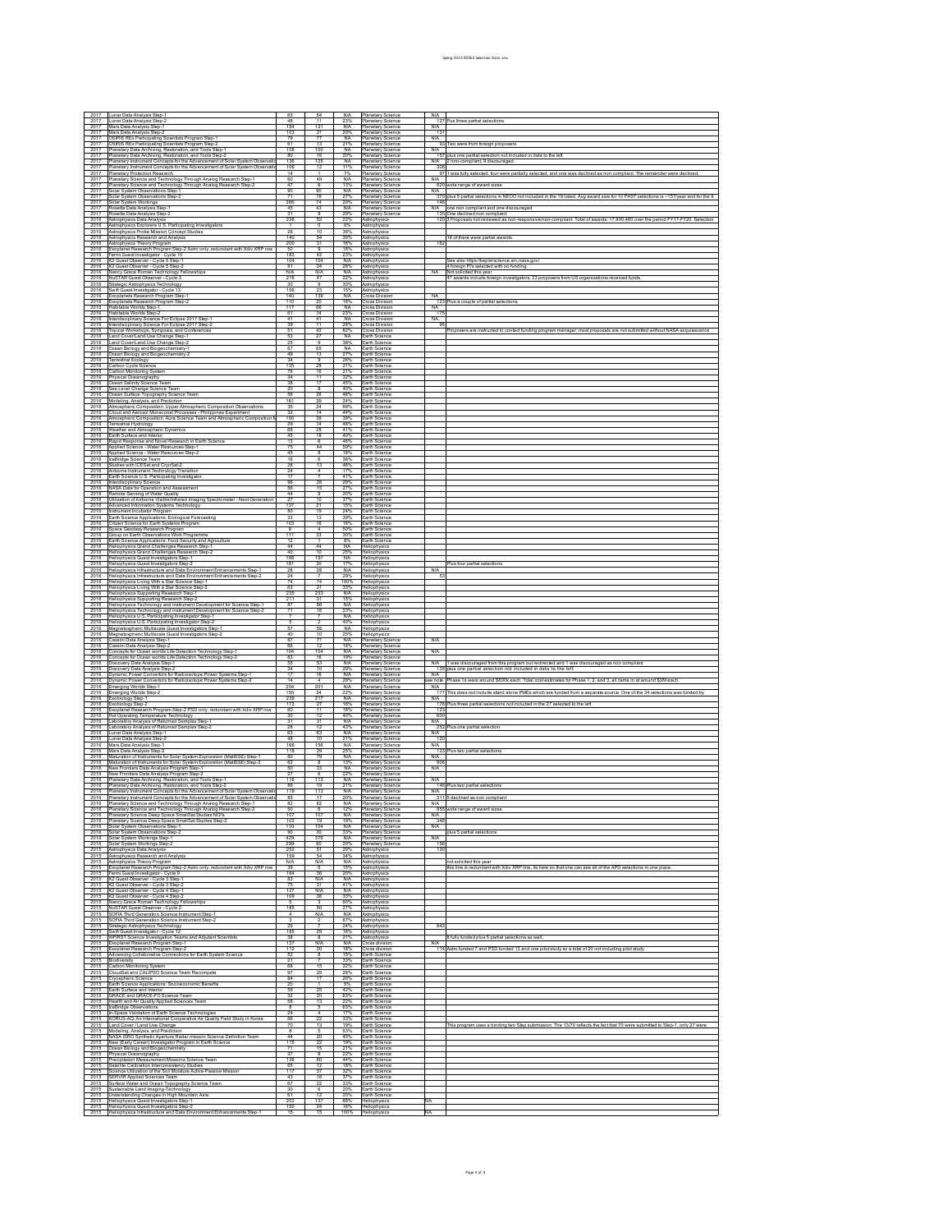|                                                                               | Lunar Data Analysis Step-                                                                                                                                                                                                                                                                                                                                                                                                                                                                                                                                                                                                                                  |                        |                                                                                |                           |                                                      |                            |                                                                                                                                                                                         |
|-------------------------------------------------------------------------------|------------------------------------------------------------------------------------------------------------------------------------------------------------------------------------------------------------------------------------------------------------------------------------------------------------------------------------------------------------------------------------------------------------------------------------------------------------------------------------------------------------------------------------------------------------------------------------------------------------------------------------------------------------|------------------------|--------------------------------------------------------------------------------|---------------------------|------------------------------------------------------|----------------------------|-----------------------------------------------------------------------------------------------------------------------------------------------------------------------------------------|
| $\frac{2017}{2017}$                                                           | Lunar Data Analysis Step-2<br>Mars Data Analysis Step-1                                                                                                                                                                                                                                                                                                                                                                                                                                                                                                                                                                                                    | $rac{65}{48}$<br>154   | $\begin{array}{r} 64 \\ \hline 11 \\ 131 \\ 21 \\ \hline 77 \end{array}$       | N/A<br>23%<br>N/A         | Planetary Science                                    | N/A                        | N/A<br>127 Pus three partial selections                                                                                                                                                 |
| 2017                                                                          | Mars Data Analysis Step-2                                                                                                                                                                                                                                                                                                                                                                                                                                                                                                                                                                                                                                  | 103                    |                                                                                | 20%                       | Planetary Science<br>Planetary Science               | 131                        |                                                                                                                                                                                         |
| 2017<br>2017                                                                  | OSIRIS REx Participating Scientists Program Step-1<br>SIRIS REx Participating Scientists Program Step-2                                                                                                                                                                                                                                                                                                                                                                                                                                                                                                                                                    | 79<br>61               | 13                                                                             | <b>NA</b><br>21%          | Planetary Science<br><b>Planetary Science</b>        |                            | N/A<br>93 Two were from foreign proposers                                                                                                                                               |
| 2017                                                                          | Manetary Data Archiving, Restoration, and Tools Step-1                                                                                                                                                                                                                                                                                                                                                                                                                                                                                                                                                                                                     | 108                    | 100                                                                            | <b>NA</b>                 | <b>Planetary Science</b>                             |                            |                                                                                                                                                                                         |
| 2017<br>2017                                                                  | Planetary Data Archiving, Restoration, and Tools Step-2<br>Planetary Instrument Concepts for the Advancement of Sola                                                                                                                                                                                                                                                                                                                                                                                                                                                                                                                                       | 80<br>136              | $\frac{16}{125}$<br>$\frac{125}{12}$                                           | 20%                       | Planetary Science                                    |                            | 157 plus one partial selection not included in data to the left<br>2 non-compliant, 9 discouraged.                                                                                      |
| 2017<br>2017                                                                  | lanetary Instrument Concepts for the Advancement of Solar System<br>fanetary Protection Research                                                                                                                                                                                                                                                                                                                                                                                                                                                                                                                                                           | 106<br>14              |                                                                                | $\frac{NA}{11%}$<br>7%    | Planetary Science<br>Planetary Science               | N/A<br>308                 | 97 1 was fully selected, four were partially selected, and one was declined as non compliant. The remainder were                                                                        |
| 2017                                                                          | anetary Science and Technology Through Analog Research Step-                                                                                                                                                                                                                                                                                                                                                                                                                                                                                                                                                                                               | 60                     | $\frac{49}{6}$                                                                 | $\frac{N}{13\%}$          | Planetary Science<br>Planetary Science               | N/A                        |                                                                                                                                                                                         |
| 2017<br>2017                                                                  | Planetary Science and Technology Through Analog Research Step-2<br>lar System Observations Step-1                                                                                                                                                                                                                                                                                                                                                                                                                                                                                                                                                          | 47<br>90               | 90                                                                             |                           | Planetary Science<br>Planetary Science               | N/A                        | 820 wide range of award sizes                                                                                                                                                           |
| 2017<br>2017                                                                  | Solar System Observations Step-2<br>olar System Workings                                                                                                                                                                                                                                                                                                                                                                                                                                                                                                                                                                                                   | 71<br>366              | 19                                                                             | $\frac{N/A}{27\%}$<br>20% | Planetary Science<br>lanetary Science                |                            | 370 plus 5 partial selections in NEOO not included in the 19 listed. Avg award size for 10 PAST selections is ~157/year and for the 9                                                   |
| 2017                                                                          | Rosetta Data Analysis Step-1                                                                                                                                                                                                                                                                                                                                                                                                                                                                                                                                                                                                                               | 45                     | $\frac{74}{43}$                                                                | $\frac{N/A}{29\%}$        | Planetary Science<br>Planetary Science               | 146                        | N/A one non compliant and one is<br>one non compliant and one discouraged                                                                                                               |
| 2017<br>2016                                                                  | osetta Data Analysis Step-2                                                                                                                                                                                                                                                                                                                                                                                                                                                                                                                                                                                                                                | 31<br>238              | 52                                                                             | 22%                       | Astrophysics                                         |                            | 120 3 Proposals not reviewed as non-responsive/non-compliant. Total of awards: 17,900,460 over the period FY17-FY20. Selectio                                                           |
| 2016                                                                          |                                                                                                                                                                                                                                                                                                                                                                                                                                                                                                                                                                                                                                                            |                        | $\frac{1}{10}$                                                                 |                           | Astrophysics                                         |                            |                                                                                                                                                                                         |
| 2016<br>2016                                                                  | Nuxeus Loan Avraryars august<br>Astrophysics Data Analysis<br>Astrophysics Explorers U.S. Participating Investigators<br>Astrophysics Probe Mission Concept Studies<br>Astrophysics Research and Analysis                                                                                                                                                                                                                                                                                                                                                                                                                                                  | 28<br>140              | 54                                                                             | $\frac{0\%}{36\%}$        | Astrophysics<br>Astrophysics                         |                            | 16 of there were partial awards.                                                                                                                                                        |
| 2016<br>2016                                                                  |                                                                                                                                                                                                                                                                                                                                                                                                                                                                                                                                                                                                                                                            | 200<br>50              | 31                                                                             | 16%<br>18%                | Astrophysics<br>Astrophysics                         | 162                        |                                                                                                                                                                                         |
| 2016                                                                          | naaciju pasa nouseucu nan zemanjana<br>Astrophysics Theory Program<br>Exorphysics Theory Program<br>Fermi Guest Investigator - Cycle 10<br>Fermi Guest Investigator - Cycle 10<br>X2 Guest Observer - Cycle 5 Step-1                                                                                                                                                                                                                                                                                                                                                                                                                                       | 183                    | $\frac{9}{42}$                                                                 | 23%                       | Astrophysics<br>Astrophysics                         |                            |                                                                                                                                                                                         |
| 2016<br>2016                                                                  |                                                                                                                                                                                                                                                                                                                                                                                                                                                                                                                                                                                                                                                            | 104<br>91              | 104<br>24                                                                      | <b>N/A</b><br>26%         | Astrophysics                                         |                            | See also https://keplerscience.arc.nasa.gov/                                                                                                                                            |
| 2016                                                                          |                                                                                                                                                                                                                                                                                                                                                                                                                                                                                                                                                                                                                                                            | <b>N/A</b>             | <b>N/A</b>                                                                     | <b>N/A</b>                | strophysics                                          | NA                         | 4 foreign PI's selected with no funding.<br>Not solicited this year                                                                                                                     |
| 2016<br>2016                                                                  | nd Causa Courvert - Cycle 5 Step-2<br>K2 Guest Observer - Cycle 5 Step-2<br>Nancy Grace Roman Technology Fellowships<br>NuSTAR Guest Observer - Cycle 3<br>Strategic Astrophysics Technology                                                                                                                                                                                                                                                                                                                                                                                                                                                               | $\frac{216}{30}$       | $\frac{47}{9}$                                                                 | 22%<br>30%                | Astrophysics<br>Astrophysics                         |                            | 47 awards include foreign investigators. 33 proposers from US organizations received fund                                                                                               |
| 2016<br>2016                                                                  | iwift Guest Investigator - Cycle 13<br>Exoplanets Research Program Step-1                                                                                                                                                                                                                                                                                                                                                                                                                                                                                                                                                                                  | 156<br>140             | 23<br>139                                                                      | 15%                       | Astrophysics<br>Cross Division                       | <b>NA</b>                  |                                                                                                                                                                                         |
| 2016                                                                          | Exoplanets Research Program Step-2                                                                                                                                                                                                                                                                                                                                                                                                                                                                                                                                                                                                                         | 110                    | $rac{20}{66}$                                                                  | N/A<br>18%                | <b>Cross Division</b>                                |                            | 123 Plus a couple of partial selections                                                                                                                                                 |
| 2016<br>2016                                                                  | abitable Worlds Step-1<br>Habitable Worlds Step-2                                                                                                                                                                                                                                                                                                                                                                                                                                                                                                                                                                                                          | 117<br>61              | 14                                                                             | NA<br>23%                 | ross Division<br>ross Division                       | $\frac{NA}{175}$           |                                                                                                                                                                                         |
| 2016<br>2016                                                                  | terdisciplinary Science For Eclipse 2017 Step-1                                                                                                                                                                                                                                                                                                                                                                                                                                                                                                                                                                                                            | 41<br>39               | $\frac{41}{11}$                                                                | $\frac{NA}{28%}$          | ross Division<br><b>Cross Division</b>               | NA<br>95                   |                                                                                                                                                                                         |
| 2016                                                                          | nterdisciplinary Science For Eclipse 2017 Step-2<br>Topical Workshops, Symposia, and Conferences                                                                                                                                                                                                                                                                                                                                                                                                                                                                                                                                                           | 51                     | $\frac{42}{27}$                                                                | 82%                       | ross Division                                        |                            | roposers are instructed to contact funding program manager; most prop:                                                                                                                  |
| 2016<br>2016                                                                  | Land Cover/Land Use Change Step-1<br>Land Cover/Land Use Change Step-2<br>Ocean Biology and Biogeochemistry-1                                                                                                                                                                                                                                                                                                                                                                                                                                                                                                                                              | 53                     | 9                                                                              | <b>NA</b><br>36%          | Earth Science<br>Earth Science                       |                            |                                                                                                                                                                                         |
| 2016                                                                          |                                                                                                                                                                                                                                                                                                                                                                                                                                                                                                                                                                                                                                                            | $rac{25}{67}$          | $rac{65}{13}$                                                                  | $\frac{NA}{27\%}$         | Earth Science                                        |                            |                                                                                                                                                                                         |
| 2016<br>2016                                                                  | cean Biology and Biogeochemistry-2<br>errestrial Ecology<br>Carbon Cycle Science                                                                                                                                                                                                                                                                                                                                                                                                                                                                                                                                                                           | 49<br>34               | $\overline{9}$                                                                 | 26%                       | Earth Science<br>Earth Science                       |                            |                                                                                                                                                                                         |
| 2016<br>2016                                                                  | arbon Monitoring System                                                                                                                                                                                                                                                                                                                                                                                                                                                                                                                                                                                                                                    | 135<br>76              | $\frac{28}{16}$                                                                | 21%<br>21%                | Earth Science<br>Earth Science                       |                            |                                                                                                                                                                                         |
| 2016                                                                          |                                                                                                                                                                                                                                                                                                                                                                                                                                                                                                                                                                                                                                                            | 34                     | $\overline{11}$                                                                | 32%                       | Earth Science                                        |                            |                                                                                                                                                                                         |
| 2016<br>2016                                                                  | Cation monitoing system<br>Chysical Oceanography<br>Clean Salinity Science Team<br>Sea Level Change Science Team<br>Clean Surface Topography Science Team<br>Modeling, Analysis, and Prediction                                                                                                                                                                                                                                                                                                                                                                                                                                                            | 38<br>20               | 17                                                                             | 45%<br>40%                | Earth Science<br>Earth Science                       |                            |                                                                                                                                                                                         |
| 2016<br>2016                                                                  |                                                                                                                                                                                                                                                                                                                                                                                                                                                                                                                                                                                                                                                            | 56<br>161              | $rac{8}{26}$                                                                   | 46%<br>24%                | Earth Science<br>Earth Science                       |                            |                                                                                                                                                                                         |
| 2016                                                                          | Imospheric Composition: Upper Atmospheric Composition Observatio<br>Ioud and Aerosol Monsoonal Processes - Philippines Experiment                                                                                                                                                                                                                                                                                                                                                                                                                                                                                                                          | 35                     | 24                                                                             | 69%                       | Earth Science                                        |                            |                                                                                                                                                                                         |
| 2016<br>2016                                                                  | Atmospheric Composition: Aura Science Team and Atmospheric Co                                                                                                                                                                                                                                                                                                                                                                                                                                                                                                                                                                                              | $\frac{32}{100}$       | $\frac{14}{39}$                                                                | 44%<br>39%                | Earth Science<br>Earth Science                       |                            |                                                                                                                                                                                         |
| 2016<br>2016                                                                  | rrestrial Hydrology                                                                                                                                                                                                                                                                                                                                                                                                                                                                                                                                                                                                                                        | 29<br>68               | $\overline{14}$<br>28                                                          | 48%<br>41%                | Earth Science<br>Earth Science                       |                            |                                                                                                                                                                                         |
| 2016                                                                          | Neather and Almospheric Dynamics<br>:arth Surface and Interior                                                                                                                                                                                                                                                                                                                                                                                                                                                                                                                                                                                             | 45                     | 18                                                                             | 40%                       | Earth Science                                        |                            |                                                                                                                                                                                         |
| 2016<br>2016                                                                  | Rapid Response and Novel Research in Earth Science<br>Applied Science - Water Resources Step-1                                                                                                                                                                                                                                                                                                                                                                                                                                                                                                                                                             | $\overline{13}$<br>75  | 6<br>44                                                                        | 46%<br>59%                | Earth Science<br>Earth Science                       |                            |                                                                                                                                                                                         |
| 2016                                                                          | Applied Science - Water Resources Step-2                                                                                                                                                                                                                                                                                                                                                                                                                                                                                                                                                                                                                   | 45                     | $\overline{8}$                                                                 | 18%                       | Earth Science                                        |                            |                                                                                                                                                                                         |
| 2016<br>2016                                                                  | .<br>ceBridge Science Team<br>Studies with ICESat and CryoSat-2                                                                                                                                                                                                                                                                                                                                                                                                                                                                                                                                                                                            | 16<br>28               | $\overline{6}$<br>13                                                           | 38%<br>46%<br>17%         | Earth Science<br>Earth Science                       |                            |                                                                                                                                                                                         |
| 2016<br>2016                                                                  | rborne Instrument Technology Transition                                                                                                                                                                                                                                                                                                                                                                                                                                                                                                                                                                                                                    | 24<br>$\overline{17}$  | 7                                                                              | 41%                       | Earth Science<br>Earth Science                       |                            |                                                                                                                                                                                         |
| 2016                                                                          | Earth Science U.S. Participating Investigator<br>Interdisciplinary Science<br>NASA Data for Operation and Assessment                                                                                                                                                                                                                                                                                                                                                                                                                                                                                                                                       | 96                     | $\frac{28}{15}$                                                                | 29%<br>27%<br>20%<br>37%  | Earth Science                                        |                            |                                                                                                                                                                                         |
| 2016<br>2016                                                                  | emote Sensing of Water Quality                                                                                                                                                                                                                                                                                                                                                                                                                                                                                                                                                                                                                             | 56<br>44               |                                                                                |                           | Earth Science<br>Earth Science                       |                            |                                                                                                                                                                                         |
| 2016                                                                          | Utilization of Airborne Visible/Infrared Imaging Spectrometer - Next Generation                                                                                                                                                                                                                                                                                                                                                                                                                                                                                                                                                                            | 27<br>137              | 10                                                                             | 15%                       | Earth Science<br>Earth Science                       |                            |                                                                                                                                                                                         |
| $\frac{2016}{2016}$                                                           | dvanced Information Systems Technology<br>strument Incubator Program<br>strument Incubator Program<br>arth Science Applications: Ecological Forecasting                                                                                                                                                                                                                                                                                                                                                                                                                                                                                                    | 80                     | $\frac{21}{19}$                                                                | 24%<br>39%                | Earth Science                                        |                            |                                                                                                                                                                                         |
| 2016<br>2016                                                                  |                                                                                                                                                                                                                                                                                                                                                                                                                                                                                                                                                                                                                                                            | 33<br>103              | 16                                                                             | 16%                       | Earth Science<br>Earth Science                       |                            |                                                                                                                                                                                         |
| 2016                                                                          | Cuter Science for Earth Systems Program<br>Citizen Science for Earth Systems Program<br>Space Geodesy Research Program<br>Group on Earth Observations Work Programme<br>Earth Science Applications: Food Security and Agriculture                                                                                                                                                                                                                                                                                                                                                                                                                          | $\frac{8}{111}$        |                                                                                | 50%                       | Earth Science                                        |                            |                                                                                                                                                                                         |
| 2016<br>2016                                                                  |                                                                                                                                                                                                                                                                                                                                                                                                                                                                                                                                                                                                                                                            | 12                     | $\begin{array}{c} 4 \\ 33 \\ 1 \end{array}$                                    | 30%<br>8%                 | Earth Science<br>Earth Science                       |                            |                                                                                                                                                                                         |
| 2016<br>2016                                                                  | Heliophysics Grand Challenges Research Step-1<br>Heliophysics Grand Challenges Research Step-2                                                                                                                                                                                                                                                                                                                                                                                                                                                                                                                                                             | 44<br>40               | 44<br>10                                                                       | <b>NA</b><br>25%          | Heliophysics<br>Heliophysics                         |                            |                                                                                                                                                                                         |
| 2016                                                                          | Heliophysics Guest Investigators Step-1                                                                                                                                                                                                                                                                                                                                                                                                                                                                                                                                                                                                                    | 198                    | $\frac{197}{30}$                                                               | <b>NA</b>                 | Heliophysics<br>Heliophysics                         |                            |                                                                                                                                                                                         |
| 2016<br>2016                                                                  | sliophysics Guest Investigators Step-2<br>Heliophysics Infrastructure and Data Environment Enhancements Step-1                                                                                                                                                                                                                                                                                                                                                                                                                                                                                                                                             | 181<br>28              | 28                                                                             | 17%<br><b>N/A</b>         | Heliophysics                                         | N/A                        |                                                                                                                                                                                         |
| 2016                                                                          | leliophysics Infrastructure and Data Environment Enhancements Step-2                                                                                                                                                                                                                                                                                                                                                                                                                                                                                                                                                                                       | 24                     | $\frac{7}{7}$                                                                  | 29%                       | Heliophysics                                         |                            |                                                                                                                                                                                         |
| 2016<br>2016                                                                  | Heliophysics Living With a Star Science Step-1<br>Heliophysics Living With a Star Science Step-2                                                                                                                                                                                                                                                                                                                                                                                                                                                                                                                                                           | 74<br>63               | 21                                                                             | 33%                       | Heliophysics<br>Heliophysics                         |                            |                                                                                                                                                                                         |
| 2016<br>2016                                                                  | Tutue/prasa Erms Tutu Tutue/Search Step-1<br>Heliophysics Supporting Research Step-1<br>Heliophysics Supporting Research Step-1<br>Heliophysics Technology and Instrument Development for Science Step-1<br>Heliophysics Technology an                                                                                                                                                                                                                                                                                                                                                                                                                     | 235                    | 233                                                                            | <b>N/A</b><br>15%         | Heliophysics<br>Heliophysics                         |                            |                                                                                                                                                                                         |
| 2016                                                                          |                                                                                                                                                                                                                                                                                                                                                                                                                                                                                                                                                                                                                                                            | $\frac{211}{87}$       | $\frac{31}{86}$                                                                | N/A<br>23%                | Heliophysics<br>Heliophysics                         |                            |                                                                                                                                                                                         |
| 2016<br>2016                                                                  |                                                                                                                                                                                                                                                                                                                                                                                                                                                                                                                                                                                                                                                            | $\overline{7}$         | $\overline{7}$                                                                 | <b>N/A</b>                | Heliophysics                                         |                            |                                                                                                                                                                                         |
| 2016<br>2016                                                                  | russipprassa russinoongi uuta raamaman burussigator Step-T<br>Heliophysics U.S. Participating Investigator Step-T<br>Heliophysics U.S. Participating Investigator Step-T<br>Magnetospheric Multiscale Guest Investigators Step-Z<br>Magnet                                                                                                                                                                                                                                                                                                                                                                                                                 | $rac{6}{57}$           | $\frac{2}{55}$                                                                 | 40%                       | Heliophysics                                         |                            |                                                                                                                                                                                         |
| 2016                                                                          |                                                                                                                                                                                                                                                                                                                                                                                                                                                                                                                                                                                                                                                            | 40                     |                                                                                | NA<br>25%                 | <b>Heliophysics</b><br>Heliophysics                  |                            |                                                                                                                                                                                         |
| 2016<br>2016                                                                  | assini Data Analysis Step-1<br>assini Data Analysis Step-2                                                                                                                                                                                                                                                                                                                                                                                                                                                                                                                                                                                                 | 87<br>66               | 71                                                                             | N/A<br>18%                | Planetary Science<br>Planetary Science               | N/A                        |                                                                                                                                                                                         |
| 2016                                                                          | .<br>Concepts for Ocean worlds Life Detection Technology Step-1<br>Concepts for Ocean worlds Life Detection Technology Step-2                                                                                                                                                                                                                                                                                                                                                                                                                                                                                                                              | 104                    | $\frac{12}{104}$                                                               | <b>N/A</b>                | Planetary Science<br>Planetary Science               | N/A                        |                                                                                                                                                                                         |
| 2016<br>2016                                                                  |                                                                                                                                                                                                                                                                                                                                                                                                                                                                                                                                                                                                                                                            | 83<br>55               | 53                                                                             | 19%<br><b>N/A</b>         |                                                      | N/A                        | .<br>The state as a state with the matter of the state of the state of the state of the state of the state of 135 p<br>135 plus one partial selection not included in data to the left. |
| 2016<br>2016                                                                  | xancepar son<br>Discovery Data Analysis Step-1<br>Discovery Data Analysis Step-2<br>Dynamic Power Convertors for Radioisotope Power Systems Step-1                                                                                                                                                                                                                                                                                                                                                                                                                                                                                                         | $\frac{34}{17}$        | 10                                                                             |                           | Planetary Science<br>Planetary Science               | N/A                        |                                                                                                                                                                                         |
| 2016                                                                          | Dynamic Power Convertors for Radioisotope Power Systems Step-2                                                                                                                                                                                                                                                                                                                                                                                                                                                                                                                                                                                             | $\overline{14}$        | $\frac{16}{4}$                                                                 | 29%<br>N/A<br>29%         | Planetary Science<br>Planetary Science               | ee note                    | hase 1s were around \$800k each. Total cost estimates for Phase 1, 2, and 3, all came in at around \$3M eac                                                                             |
| 2016<br>2016                                                                  | nerging Worlds Step-1<br>nerging Worlds Step-2                                                                                                                                                                                                                                                                                                                                                                                                                                                                                                                                                                                                             | 204<br>155             | 201                                                                            | N/A<br>$\frac{22\%}{N/A}$ | Planetary Science<br>Planetary Science               | N/A<br>177                 | his does not include stand alone PMEs which are funded from a separate source. One of the 34 se                                                                                         |
| 2016<br>2016                                                                  | Exobiology Step-1<br>xobiology Step-2                                                                                                                                                                                                                                                                                                                                                                                                                                                                                                                                                                                                                      | 239<br>173             | $\frac{34}{217}$<br>$\frac{27}{27}$<br>11                                      | 16%                       | Planetary Science<br>Planetary Science               | N/A<br>178                 |                                                                                                                                                                                         |
| 2016                                                                          |                                                                                                                                                                                                                                                                                                                                                                                                                                                                                                                                                                                                                                                            | 60                     |                                                                                | 18%                       | Planetary Science<br>Planetary Science               | 123                        |                                                                                                                                                                                         |
| $\frac{2016}{2016}$                                                           | Lauxistory Teatres.<br>Exoplanet Research Program Step-2 PSD only, redundant with Xdiv XRP row<br>Hot Operating Temperature Technology.<br>Laboratory Analysis of Returned Samples Step-1.                                                                                                                                                                                                                                                                                                                                                                                                                                                                 | 30<br>31               | $\frac{12}{31}$<br>$\frac{31}{12}$                                             | 40%<br><b>N/A</b>         | Planetary Science<br>Planetary Science               | 600                        |                                                                                                                                                                                         |
| 2016<br>2016                                                                  | boratory Analysis of Returned Samples Step-2                                                                                                                                                                                                                                                                                                                                                                                                                                                                                                                                                                                                               | 28<br>63               | 63                                                                             | 43%<br><b>N/A</b>         |                                                      | $\frac{N/A}{252}$ F<br>N/A | fus one partial selection                                                                                                                                                               |
| 2016                                                                          | unar Data Analysis Step-1<br>unar Data Analysis Step-1                                                                                                                                                                                                                                                                                                                                                                                                                                                                                                                                                                                                     | 48                     | 10                                                                             | 21%                       | Planetary Science<br>Planetary Science               | 120                        |                                                                                                                                                                                         |
| 2016<br>2016                                                                  | Mars Data Analysis Step-1<br>Mars Data Analysis Step-2                                                                                                                                                                                                                                                                                                                                                                                                                                                                                                                                                                                                     | 166<br>118             | $\frac{156}{29}$                                                               | $\frac{N/A}{25\%}$        | Planetary Science<br>Planetary Science               | $\frac{N/A}{123}$          | fus two partial selection                                                                                                                                                               |
| 2016<br>2016                                                                  | Maturation of Instruments for Solar System Exploration (MatISSE) Step-1                                                                                                                                                                                                                                                                                                                                                                                                                                                                                                                                                                                    | 80<br>62               |                                                                                | <b>N/A</b><br>13%         | <b>Planetary Science</b><br>Hanetary Science         | N/A<br>906                 |                                                                                                                                                                                         |
| 2016                                                                          | Maturation of Instruments for Solar System Exploration (MattSSE) Step-2<br>New Frontiers Data Analysis Program Step-1                                                                                                                                                                                                                                                                                                                                                                                                                                                                                                                                      | 50                     | $\begin{array}{c}\n\phantom{0}8 \\ \phantom{0}33 \\ \phantom{0}6\n\end{array}$ | NA<br>22%                 | Planetary Science<br>Planetary Science               | N/A                        |                                                                                                                                                                                         |
| 2016<br>2016                                                                  | ew Frontiers Data Analysis Program Step-2<br>Planetary Data Archiving, Restoration, and Tools Step-1                                                                                                                                                                                                                                                                                                                                                                                                                                                                                                                                                       | 116                    | 113                                                                            | <b>N/A</b>                | <b>Planetary Science</b>                             | N/A                        |                                                                                                                                                                                         |
|                                                                               | 2016 Planetary Data Archiving, Restoration, and Tools Step-2<br>2016 Planetary Data Archiving, Restoration, and Tools Step-2<br>2016 Planetary Instrument Concepts for the Advancement of Solar System Observation<br>2016 Planetary In                                                                                                                                                                                                                                                                                                                                                                                                                    | $\frac{89}{119}$       | 19                                                                             | 21%                       | Hanetary Science                                     | 146                        | fus two partial selections                                                                                                                                                              |
|                                                                               |                                                                                                                                                                                                                                                                                                                                                                                                                                                                                                                                                                                                                                                            | 85                     | $\frac{113}{17}$                                                               | <b>N/A</b><br>20%         | Planetary Science<br>Planetary Science               | $\frac{N/A}{311}$          |                                                                                                                                                                                         |
|                                                                               | 2016 Planetary Science and Technology Through Analog Research Step-1<br>2016 Planetary Science and Technology Through Analog Research Step-1                                                                                                                                                                                                                                                                                                                                                                                                                                                                                                               | 82<br>50               | 62                                                                             | <b>N/A</b><br>12%         | Planetary Science<br>Planetary Science               | N/A                        | 855 wide range of award sizes                                                                                                                                                           |
| 2016<br>2016                                                                  | Planetary Science Deep Space SmallSat Studies NOI's<br>Planetary Science Deep Space SmallSat Studies Step-2                                                                                                                                                                                                                                                                                                                                                                                                                                                                                                                                                | 107<br>102             | 107<br>19                                                                      | N/A<br>19%                | Planetary Science<br>Planetary Science               | $\frac{N/A}{348}$          |                                                                                                                                                                                         |
| 2016                                                                          | Solar System Observations Step-1                                                                                                                                                                                                                                                                                                                                                                                                                                                                                                                                                                                                                           | 110                    | 104                                                                            | <b>N/A</b>                | Planetary Science                                    | N/A                        |                                                                                                                                                                                         |
| 2016                                                                          | Solar System Observations Step-2                                                                                                                                                                                                                                                                                                                                                                                                                                                                                                                                                                                                                           | 90<br>429              | 376                                                                            | 33%<br>N/A                | <b>Planetary Science</b><br><b>Planetary Science</b> |                            | plus 5 partial selections                                                                                                                                                               |
| 2015                                                                          | 2016 Solar System Workings Step-1<br>2016 Solar System Workings Step-2<br>Astrophysics Data Analysis                                                                                                                                                                                                                                                                                                                                                                                                                                                                                                                                                       | 299<br>252             | 60<br>51                                                                       | 20%<br>20%                | Planetary Science<br>Astrophysics                    | N/A<br>156<br>120          |                                                                                                                                                                                         |
| 2015                                                                          | Astrophysics Research and Analysis                                                                                                                                                                                                                                                                                                                                                                                                                                                                                                                                                                                                                         | 159                    | 54                                                                             | 34%                       | Astrophysics                                         |                            |                                                                                                                                                                                         |
| 2015<br>2015                                                                  | Astrophysics Theory Program<br>Exoplanet Research Program Step-2 Astro only, redundant with Xdiv XRP row                                                                                                                                                                                                                                                                                                                                                                                                                                                                                                                                                   | $\frac{N}{39}$         | <b>N/A</b>                                                                     | <b>N/A</b><br>15%         | Astrophysics<br>Astrophysics                         |                            | not solicited this year<br>this line is redundant with Xdiv XRP line, its here so that one can see all of the APD selections in one plar                                                |
| 2015<br>2015                                                                  | Fermi Guest Investigator - Cycle 9<br>K2 Guest Observer - Cycle 3 Step-1                                                                                                                                                                                                                                                                                                                                                                                                                                                                                                                                                                                   | 184<br>83              | 36<br><b>N/A</b>                                                               | 20%<br><b>N/A</b>         | Astrophysics<br>Astrophysics                         |                            |                                                                                                                                                                                         |
|                                                                               | 2015 K2 Guest Observer - Cycle 3 Step-2<br>2015 K2 Guest Observer - Cycle 4 Step-1                                                                                                                                                                                                                                                                                                                                                                                                                                                                                                                                                                         | 75                     | 31                                                                             | 41%                       | Astrophysics                                         |                            |                                                                                                                                                                                         |
| 2015                                                                          |                                                                                                                                                                                                                                                                                                                                                                                                                                                                                                                                                                                                                                                            | 127<br>109             | <b>N/A</b><br>36                                                               | <b>N/A</b><br>33%         | Astrophysics<br>Astrophysics                         |                            |                                                                                                                                                                                         |
|                                                                               | 2015 G. Guest Observer - Cycle 4 Step-2<br>2015 Nancy Grace Roman Technology Fellowships<br>2015 NuSTAR Guest Observer - Cycle 4 Step-2<br>2015 SOFIA Third Generation Science Instrument Step-1<br>$\begin{tabular}{ c c } \hline \hline \textbf{Gr} & \textbf{Max} & \textbf{Gr} & \textbf{C} \\ \hline \textbf{Gr} & \textbf{Max} & \textbf{Gr} & \textbf{C} \\ \hline \textbf{Gr} & \textbf{G} & \textbf{G} & \textbf{C} & \textbf{C} \\ \hline \textbf{Gr} & \textbf{G} & \textbf{G} & \textbf{G} & \textbf{C} \\ \hline \textbf{Gr} & \textbf{G} & \textbf{G} & \textbf{G} & \textbf{C} & \textbf{C} \\ \hline \textbf{Gr} & \textbf{G} & \textbf{G$ | $\frac{5}{185}$        | 50                                                                             | 60%<br>27%                | Astrophysics                                         |                            |                                                                                                                                                                                         |
|                                                                               |                                                                                                                                                                                                                                                                                                                                                                                                                                                                                                                                                                                                                                                            |                        | <b>N/A</b>                                                                     | <b>N/A</b>                | Astrophysics<br>Astrophysics                         |                            |                                                                                                                                                                                         |
|                                                                               |                                                                                                                                                                                                                                                                                                                                                                                                                                                                                                                                                                                                                                                            | 3                      | $\overline{2}$                                                                 | 67%<br>24%                | Astrophysics<br>Astrophysics                         | 843                        |                                                                                                                                                                                         |
|                                                                               |                                                                                                                                                                                                                                                                                                                                                                                                                                                                                                                                                                                                                                                            | $\frac{29}{185}$<br>38 | 29<br>$\overline{8}$                                                           | 16%<br>21%                | Astrophysics<br>Astrophysics                         |                            |                                                                                                                                                                                         |
|                                                                               |                                                                                                                                                                                                                                                                                                                                                                                                                                                                                                                                                                                                                                                            | 137                    | <b>N/A</b>                                                                     | <b>N/A</b>                | <b>Cross division</b>                                | N/A                        | 8 fully funded plus 5 partial selections as well.                                                                                                                                       |
|                                                                               | Advancing Collaborative Connections for Earth System Science                                                                                                                                                                                                                                                                                                                                                                                                                                                                                                                                                                                               | 112<br>52              | 20<br>$\overline{\mathbf{8}}$                                                  | 18%<br>15%                | <b>Cross division</b><br>Earth Science               |                            | 114 Astro funded 7 and PSD funded 13 and one pilot study so a total of 20 not including pilot study                                                                                     |
| 2015                                                                          | iodiversity                                                                                                                                                                                                                                                                                                                                                                                                                                                                                                                                                                                                                                                | 21                     |                                                                                | 33%                       | Earth Science                                        |                            |                                                                                                                                                                                         |
| $\begin{array}{r} 2015 \\ 2015 \\ 2015 \\ 2015 \\ 2015 \\ \hline \end{array}$ | .<br>Carbon Monitoring System<br>CloudSat and CALIPSO Science Team Recompete                                                                                                                                                                                                                                                                                                                                                                                                                                                                                                                                                                               | 68<br>97               | 15<br>25                                                                       | 22%<br>26%                | Earth Science<br>Earth Science                       |                            |                                                                                                                                                                                         |
| 2015                                                                          | Cryospheric Science<br>Earth Science Applications: Socioeconomic Benefits                                                                                                                                                                                                                                                                                                                                                                                                                                                                                                                                                                                  | 84<br>20               | 17                                                                             | 20%<br>5%                 | Earth Science<br>Earth Science                       |                            |                                                                                                                                                                                         |
|                                                                               |                                                                                                                                                                                                                                                                                                                                                                                                                                                                                                                                                                                                                                                            | 59                     | 25                                                                             | 42%                       | Earth Science                                        |                            |                                                                                                                                                                                         |
|                                                                               | GRACE and GRACE-FO Science Team<br>2015 Health and Air Quality Applied Sciences Team                                                                                                                                                                                                                                                                                                                                                                                                                                                                                                                                                                       | 32<br>58               | 20                                                                             | 63%<br>22%                | Earth Science<br>Earth Science                       |                            |                                                                                                                                                                                         |
|                                                                               | In-Soace Validation of Earth Science Technologies                                                                                                                                                                                                                                                                                                                                                                                                                                                                                                                                                                                                          | 24                     | $\frac{13}{5}$<br>$\overline{4}$                                               | 63%<br>17%                | Earth Science<br>Earth Science                       |                            |                                                                                                                                                                                         |
|                                                                               | $\begin{tabular}{ c c } \hline $2015$ & Each Sistness and Whichof $515$ & Each Sistness and Whichof $2015$ & [434034] & Acl 24462E-FO 5 denotesof $2015$ & [446018 and Atr 0.0allly Apple 50 denotesof $2015$ & [4460194] & Acl 0.001408 & Acl 0.001408 & Acl 0.001408 & Acl 0.001408 & Acl 0.001408 & Acl 0.001408 & Acl 0.001408 & Acl 0.0014$<br>KORUS-AQ: An International Cooperative Air Quality Field Study in Korea                                                                                                                                                                                                                                | 66                     | $22\,$                                                                         | 33%                       | Earth Science                                        |                            |                                                                                                                                                                                         |
|                                                                               |                                                                                                                                                                                                                                                                                                                                                                                                                                                                                                                                                                                                                                                            | 70                     | 13                                                                             | 19%<br>63%                | Earth Science<br>Earth Science                       |                            | This program uses a binding two Step submission. The 13/70 reflects the fact that 70 were submitted to Step-1, only 27 were                                                             |
|                                                                               | NASA ISRO Synthetic Aperture Radar mission Science Definition Team<br>New (Early Career) Investigator Program in Earth Science                                                                                                                                                                                                                                                                                                                                                                                                                                                                                                                             | 44<br>115              | 20<br>22                                                                       | 45%<br>19%                | Earth Science                                        |                            |                                                                                                                                                                                         |
|                                                                               |                                                                                                                                                                                                                                                                                                                                                                                                                                                                                                                                                                                                                                                            | 71                     | 15                                                                             | 21%                       | Earth Science<br>Earth Science                       |                            |                                                                                                                                                                                         |
|                                                                               |                                                                                                                                                                                                                                                                                                                                                                                                                                                                                                                                                                                                                                                            | 37<br>136              | 60                                                                             | 22%<br>44%                | Earth Science<br>Earth Science                       |                            |                                                                                                                                                                                         |
|                                                                               | -<br>Trecipitation Measurement Missions Science Team<br>Satellite Calibration Interconsistency Studies                                                                                                                                                                                                                                                                                                                                                                                                                                                                                                                                                     | $rac{65}{117}$         | 12                                                                             | 18%                       | Earth Science                                        |                            |                                                                                                                                                                                         |
|                                                                               | Science Utilization of the Soil Moisture Active-Passive Mission                                                                                                                                                                                                                                                                                                                                                                                                                                                                                                                                                                                            | 43                     | 37<br>16                                                                       | 32%<br>37%                | Earth Science<br>Earth Science                       |                            |                                                                                                                                                                                         |
|                                                                               | Surface Water and Ocean Topography Science Team<br>Sustainable Land Imaging-Technology                                                                                                                                                                                                                                                                                                                                                                                                                                                                                                                                                                     | 67<br>30               | 22                                                                             | 33%<br>20%                | Earth Science<br>Earth Science                       |                            |                                                                                                                                                                                         |
|                                                                               | 2015<br>2016 - Marc Convilled Use Change<br>2015 - MacAin Convilled International Conviction School Internation<br>2015 - Concel Biology and Biogeoche-mission School Internation<br>2015 - Concel Biology and Biogeoche-mission<br>201                                                                                                                                                                                                                                                                                                                                                                                                                    | 61                     | 12                                                                             | 20%                       | Earth Science                                        |                            |                                                                                                                                                                                         |
|                                                                               | Heliophysics Guest Investigators Step-2                                                                                                                                                                                                                                                                                                                                                                                                                                                                                                                                                                                                                    | 202<br>150             | 137<br>24                                                                      | 68%<br>16%                | Heliophysics<br>Heliophysics                         |                            |                                                                                                                                                                                         |
| 2015                                                                          | 2015 Heliophysics Infrastructure and Data Environment Enhancements Step-1                                                                                                                                                                                                                                                                                                                                                                                                                                                                                                                                                                                  | 15                     | $\overline{15}$                                                                |                           | 100% Heliophysics                                    | <b>NA</b>                  |                                                                                                                                                                                         |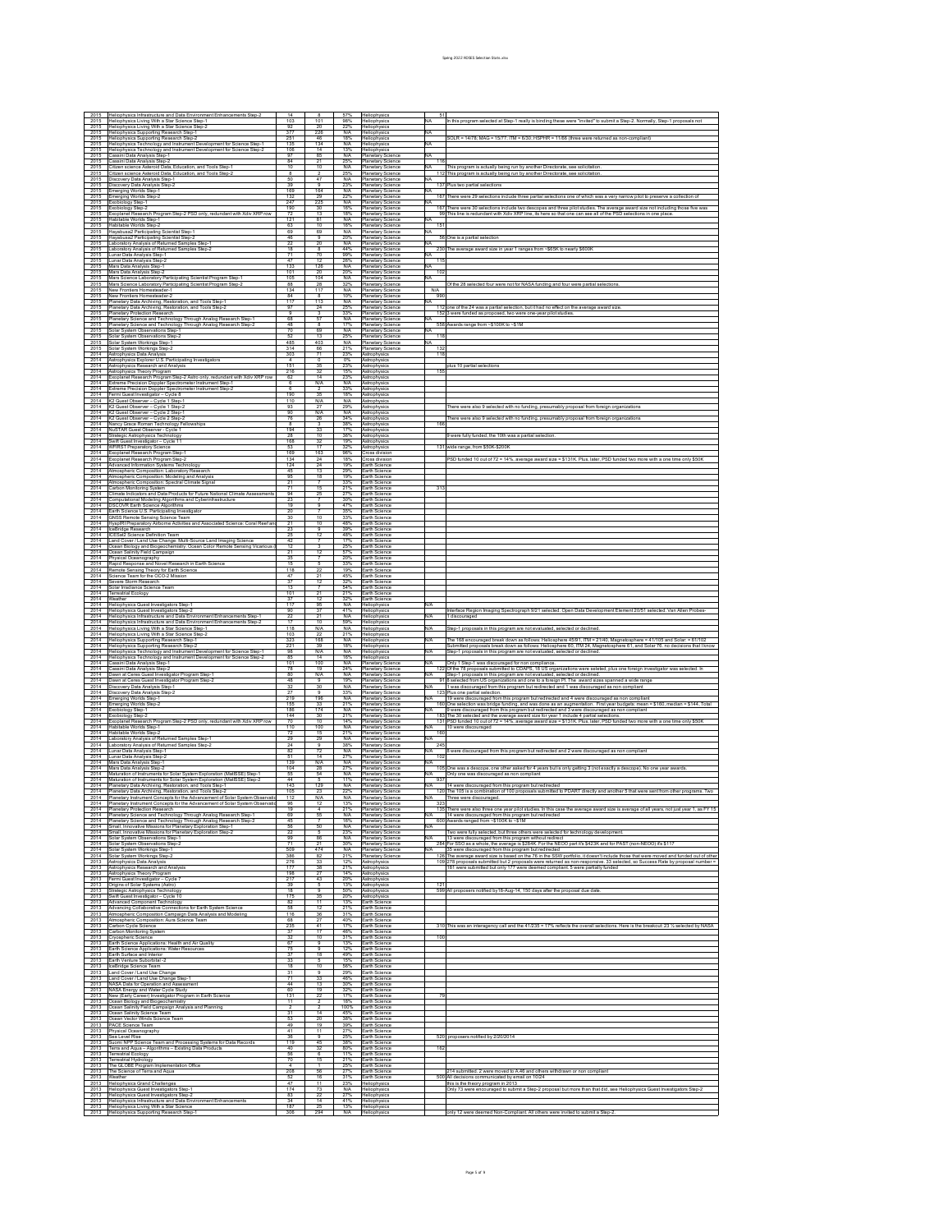| 2015<br>2015                                                         | leliophysics Infrastructure and Data Environment Enhance                                                                                                                      |                         |                               |                          | leliophysii                                       |            |                                                                                                                                                                                                                                                                        |
|----------------------------------------------------------------------|-------------------------------------------------------------------------------------------------------------------------------------------------------------------------------|-------------------------|-------------------------------|--------------------------|---------------------------------------------------|------------|------------------------------------------------------------------------------------------------------------------------------------------------------------------------------------------------------------------------------------------------------------------------|
| 2015                                                                 | Heliophysics Living With a Star Science Step-1<br>Heliophysics Living With a Star Science Step-                                                                               | 103<br>$\frac{92}{377}$ | 101<br>20                     | 98%<br>22%               | Heliophysics<br>Heliophysics                      |            | In this program selected at Step-1 really is binding these were "invited" to submit a Step-2. Normally, Step-1 proposals no                                                                                                                                            |
| 2015<br>2015                                                         | Heliophysics Supporting Research Step-1<br>Heliophysics Supporting Research Step-2                                                                                            | 251                     | 226<br>4 <sub>R</sub>         | N/A<br><b>18%</b>        | leliophysics<br>Heliophysics                      |            | SOLR = 14/78; MAG = 15/77; ITM = 6/30; HSPHR = 11/66 (three were returned as non-compliant)                                                                                                                                                                            |
| 2015<br>2015                                                         | Heliophysics Technology and Instrument Development for Science Step-1<br>eliophysics Technology and Instrument Development for Science Step-                                  | 135<br>106              | 134<br>14                     | N/A<br>13%               | leliophysics<br>Heliophysics                      |            |                                                                                                                                                                                                                                                                        |
| 2015<br>$\frac{2015}{2015}$                                          | Cassini Data Analysis Step-1<br>ssini Data Analysis Step-2                                                                                                                    | 84                      | -85<br>$\overline{21}$        | N/A<br>25%               | Hanetary Science<br>Planetary Science             | 116        |                                                                                                                                                                                                                                                                        |
| 2015                                                                 | itizen science Asteroid Data, Education, and Tools Step-1<br>litizen science Asteroid Data, Education, and Tools Step-                                                        | 10<br>$\overline{R}$    | 10                            | N/A<br>25%               | lanetary Science<br><b>Planetary Science</b>      |            | This program is actually being run by another Directorate, see solicitation<br>112 This program is actually being run by another Directorate, see solicitation                                                                                                         |
| 2015<br>$\frac{2015}{2015}$                                          | Iiscovery Data Analysis Step-1<br>iscovery Data Analysis Step-2                                                                                                               | 50<br>39                | 47<br>$\overline{9}$          | N/A<br>23%               | Hanetary Science<br>Hanetary Science              | 137        | us two partial selections                                                                                                                                                                                                                                              |
| 2015                                                                 | merging Worlds Step-1<br>nerging Worlds Step-2                                                                                                                                | 169<br>132              | 164<br>29                     | N/A<br>22%               | lanetary Science<br><b>Planetary Science</b>      |            | 167 There were 29 selections include three partial selections one of which was a very narrow pilot to preserve a collection o                                                                                                                                          |
| 2015                                                                 | Exobiology Step-1<br>xobiology Step-2                                                                                                                                         | 247<br>190              | 225<br>30                     | N/A<br>16%               | Hanetary Science<br>Hanetary Science              |            |                                                                                                                                                                                                                                                                        |
| $\frac{2015}{2015}$<br>2015                                          | xoplanet Research Program Step-2 PSD only, redundant with Xdiv XRP row<br>labitable Worlds Step-1                                                                             | 121                     | 13<br>81                      | 18%<br>N/A               | 'Ianetary Science<br>Hanetary Science             |            | 167 There were 30 selections include two descopes and three pilot studies. The average award size not including those five<br>99 This line is redundant with Xdiv XRP line, its here so that one can see all of the PSD selection                                      |
| 2015                                                                 | Habitable Worlds Step-2<br>layabusa2 Participating Scientist Step-1                                                                                                           | 63<br>69                | 10<br>69                      | 16%<br>N/A               | lanetary Science<br>lanetary Science              | 151        |                                                                                                                                                                                                                                                                        |
| $\frac{2015}{2015}$<br>2015                                          | Hayabusa2 Participating Scientist Step-2<br>aboratory Analysis of Returned Samples Step-1                                                                                     | 46<br>22                | 20                            | 20%<br>N/A               | lanetary Science<br>Hanetary Science              |            | 56 One is a partial selection                                                                                                                                                                                                                                          |
| 2015<br>2015                                                         | aboratory Analysis of Returned Samples Step-2<br>unar Data Analysis Step-1                                                                                                    | 18<br>71                | 8<br>70                       | 44%<br>99%               | Hanetary Science<br>lanetary Science              |            | 230 The average award size in year 1 ranges from ~\$65K to nearly \$600!                                                                                                                                                                                               |
| 2015<br>2015                                                         | unar Data Analysis Step-2<br>Mars Data Analysis Step-1                                                                                                                        | 133                     | 12<br>126                     | 26%<br>N/A               | lanetary Science<br>Hanetary Science              | 115        |                                                                                                                                                                                                                                                                        |
| 2015                                                                 | Mars Data Analysis Step-2<br>Mars Science Laboratory Participating Scientist Program Step-1                                                                                   | 101<br>105              | 20<br>104                     | 20%<br>N/A               | lanetary Science<br>lanetary Science              | 102        |                                                                                                                                                                                                                                                                        |
| $\frac{2015}{2015}$                                                  | Mars Science Laboratory Participating Scientist Program Step-2<br>New Frontiers Homesteader-1                                                                                 | 88<br>134               | 28<br>117                     | 32%<br>N/A               | lanetary Science<br><b>Planetary Science</b>      | N/A        | Of the 28 selected four were not for NASA funding and four were partial selectio                                                                                                                                                                                       |
| 2015<br>2015                                                         | New Frontiers Homesteader-2                                                                                                                                                   | 84<br>117               | 8<br>113                      | 10%<br>N/A               | Hanetary Science<br>Planetary Scienc              | 990        |                                                                                                                                                                                                                                                                        |
| 2015<br>2015                                                         | Planetary Data Archiving, Restoration, and Tools Step-<br>anetary Data Archiving, Restoration, and Tools Step-2                                                               | 97<br>$\overline{a}$    | 24                            | 25%                      | lanetary Science                                  |            | one of the 24 was a partial selection, but it had no effect on the average award size                                                                                                                                                                                  |
| 2015<br>2015                                                         | <b>Manetary Protection Research</b><br>lanetary Science and Technology Through Analog Research Step-1                                                                         | 68<br>48                | 3<br>57                       | 33%<br>N/A<br>17%        | Hanetary Science<br>lanetary Science              | 152        | were funded as proposed, two were one-year pilot studies                                                                                                                                                                                                               |
| $\frac{2015}{2015}$                                                  | Planetary Science and Technology Through Analog Research Step-2<br>olar System Observations Step-1                                                                            | 70                      | $\overline{R}$<br>69          | N/A                      | Hanetary Scieno<br>lanetary Science               | 558        | vards range from ~\$100K to ~\$1M                                                                                                                                                                                                                                      |
| 2015<br>2015                                                         | olar System Observations Step-2<br>Solar System Workings Step-1                                                                                                               | 52<br>485               | 13<br>403                     | 25%<br>N/A               | <b>Planetary Science</b><br>Hanetary Science      | 118        |                                                                                                                                                                                                                                                                        |
| 2015<br>2014                                                         | Solar System Workings Step-2<br>Astrophysics Data Analysis                                                                                                                    | 314<br>303              | 66<br>71                      | 21%<br>23%               | Planetary Scier<br>Astrophysics                   | 132<br>118 |                                                                                                                                                                                                                                                                        |
| 2014<br>2014                                                         | strophysics Explorer U.S. Participating Investigators<br>Astrophysics Research and Analysis                                                                                   | 151                     | $\overline{0}$<br>35          | 0%<br>23%                | strophysic<br>Astrophysics                        |            | olus 10 partial selections                                                                                                                                                                                                                                             |
| 2014<br>2014                                                         | strophysics Theory Program<br>ixoplanet Research Program Step-2 Astro only, redundant with Xdiv XRP row                                                                       | 216<br>62               | 32<br>14                      | 15%<br>23%               | <i>strophysii</i><br>Astrophysics                 | 155        |                                                                                                                                                                                                                                                                        |
| 2014<br>2014                                                         | xtreme Precision Doppler Spectrometer Instrument Step-1<br>Extreme Precision Doppler Spectrometer Instrument Step-2                                                           |                         | N/A                           | N/A<br>33%               | <i>strophysic</i><br>Astrophysics                 |            |                                                                                                                                                                                                                                                                        |
| 2014<br>2014                                                         | ermi Guest Investigator - Cycle 8<br>2 Guest Observer - Cycle 1 Step-1                                                                                                        | 190<br>110              | 35<br>N/A                     | 18%<br>N/A               | strophysi<br>Astrophysic                          |            |                                                                                                                                                                                                                                                                        |
| 2014<br>2014                                                         | 2 Guest Observer - Cycle 1 Step-2<br>2 Guest Observer - Cycle 2 Step-1                                                                                                        | 93<br>90                | 27<br>N/A                     | 29%<br>N/A               | strophysic<br>Astrophysic                         |            | here were also 9 selected with no funding, presumably proposal from foreign organization                                                                                                                                                                               |
| 2014<br>2014                                                         | 2 Guest Observer - Cycle 2 Step-2<br>Nancy Grace Roman Technology Fellowships                                                                                                 | 76                      | 26                            | 34%<br>38%               | <i>strophysii</i><br>Astrophysics                 | 166        | here were also 9 selected with no funding, presumably proposal from foreign organizat                                                                                                                                                                                  |
| 2014<br>2014                                                         | NuSTAR Guest Observer - Cycle 1<br>Strategic Astrophysics Technology                                                                                                          | 194<br>28               | 33<br>10                      | 17%<br>36%               | <i>strophysic</i><br>Astrophysics                 |            | were fully funded, the 10th was a partial selection                                                                                                                                                                                                                    |
| 2014<br>2014                                                         | wift Guest Investigator - Cycle 11<br><b>NFIRST Preparatory Science</b>                                                                                                       | 168<br>53               | $\frac{32}{17}$               | 19%<br>32%               | <i>strophysii</i><br>Astrophysics                 |            | 131 wide range, from \$50K-\$200H                                                                                                                                                                                                                                      |
| 2014<br>2014                                                         | xoplanet Research Program Step-1<br>Exoplanet Research Program Step-2                                                                                                         | 169<br>134              | 163<br>24                     | 96%<br>18%               | ross division<br>ross division                    |            | >SD funded 10 out of 72 = 14%, average award size = \$131K. Plus, later, PSD funded two more with a one time                                                                                                                                                           |
| 2014<br>2014                                                         | Advanced Information Systems Technology<br><b>Imospheric Composition: Laboratory Research</b>                                                                                 | 124<br>45               | 24<br>13                      | 19%<br>29%               | arth Science<br>arth Science                      |            |                                                                                                                                                                                                                                                                        |
| 2014<br>2014                                                         | <b>Imospheric Composition: Modeling and Analysis</b>                                                                                                                          | 95<br>21                | 18                            | 19%<br>33%               | arth Science<br>arth Science                      |            |                                                                                                                                                                                                                                                                        |
| 2014                                                                 | Atmospheric Composition: Spectral Climate Signa<br>arbon Monitoring System                                                                                                    | 71                      | 15                            | 21%<br>27%               | arth Science                                      |            |                                                                                                                                                                                                                                                                        |
| 2014<br>2014                                                         | limate Indicators and Data Products for Future National Climate Assessments<br>mputational Modeling Algorithms and Cyberinfrastructure<br>SCOVR Earth Science Algorithms      | 94<br>23                |                               | 30%<br>47%               | arth Science<br>arth Science                      |            |                                                                                                                                                                                                                                                                        |
| 2014<br>2014                                                         | arth Science U.S. Participating Investigator                                                                                                                                  | 19<br>20                |                               | 35%                      | arth Science<br>arth Science                      |            |                                                                                                                                                                                                                                                                        |
| 2014<br>2014                                                         | <b>SNSS Remote Sensing Science Team</b><br>lyspIRI Preparatory Airborne Activities and Associated Science: Coral Reef an                                                      | 30<br>$\overline{21}$   | 10<br>10                      | 33%<br>48%               | arth Science<br>arth Science                      |            |                                                                                                                                                                                                                                                                        |
| 2014<br>2014                                                         | ceBridge Research<br>CESat2 Science Definition Team                                                                                                                           | 25                      | 12                            | 39%<br>48%               | arth Science<br>arth Science                      |            |                                                                                                                                                                                                                                                                        |
| 2014<br>2014                                                         | and Cover / Land Use Change: Multi-Source Land Imaging Science<br>cean Biology and Biogeochemistry: Ocean Color Remote Sensing Vicarious                                      | 12                      |                               | 17%<br>25%               | arth Science<br>arth Science                      |            |                                                                                                                                                                                                                                                                        |
| 2014<br>2014                                                         | Cean Salinity Field Campaign<br>hysical Oceanography                                                                                                                          | 21<br>35                | 12                            | 57%<br>20%               | arth Science<br>arth Science                      |            |                                                                                                                                                                                                                                                                        |
| 2014<br>2014                                                         | Rapid Response and Novel Research in Earth Science<br>Remote Sensing Theory for Earth Science                                                                                 | 118                     | $\overline{2}$                | 33%<br>19%               | arth Science<br>arth Science                      |            |                                                                                                                                                                                                                                                                        |
| 2014<br>2014                                                         | Science Team for the OCO-2 Mission<br>evere Storm Research                                                                                                                    | 47<br>37                | 12                            | 45%<br>32%               | arth Science<br>arth Science                      |            |                                                                                                                                                                                                                                                                        |
| 2014<br>2014                                                         | olar Irradiance Science Team<br>Terrestrial Ecology                                                                                                                           | 101                     | 21                            | 54%<br>21%               | arth Science<br>arth Science                      |            |                                                                                                                                                                                                                                                                        |
| 2014<br>2014                                                         | Weather<br>leliophysics Guest Investigators Step-1                                                                                                                            | 37<br>117               | 12<br>96                      | 32%<br>N/A               | arth Science<br>feliophysics                      |            |                                                                                                                                                                                                                                                                        |
| 2014<br>2014                                                         | Heliophysics Guest Investigators Step-2<br>leliophysics Infrastructure and Data Environment Enhancements Step-1                                                               | 90<br>22                | $\overline{21}$               | 41%<br>N/A               | leliophysics<br>feliophysics                      | N/A        | nterface Region Imaging Spectrograph 9/21 selected. Open Data Development Element 20/51 selected. Van Allen Pro<br>1 discouraged                                                                                                                                       |
| 2014                                                                 | Heliophysics Infrastructure and Data Environment Enhancements Step-2                                                                                                          |                         |                               |                          |                                                   |            |                                                                                                                                                                                                                                                                        |
| 2014                                                                 | leliophysics Living With a Star Science Step-1                                                                                                                                | 118                     | 10<br><b>N/A</b>              | 59%<br>N/A               | leliophysics<br>leliophysics                      |            | lep-1 proposals in this program are not evaluated, selected or declined                                                                                                                                                                                                |
| 2014<br>2014                                                         | Heliophysics Living With a Star Science Step-2                                                                                                                                | 103<br>323              | 168                           | 21%<br>N/A               | leliophysics<br>feliophysics                      | N/A        | he 168 encouraged break down as follows: Heliosphere 45/91, ITM = 21/40, Magnetosphere = 41/105 and Solar: = 61/102                                                                                                                                                    |
| 2014<br>2014                                                         | leliophysics Supporting Research Step-1<br>Heliophysics Supporting Research Step-2                                                                                            | 221<br>98               | 39<br><b>N/A</b>              | 18%<br>N/A               | leliophysics<br>leliophysics                      |            | Submitted proposals break down as follows: Heliosphere 60, ITM 24, Magnetosphere 61, and Solar 76. no decisions that I know<br>Step-1 proposals in this program are not evaluated, selected or declined.                                                               |
| 2014<br>2014                                                         | Heliophysics Technology and Instrument Development for Science Step-1<br>Heliophysics Technology and Instrument Development for Science Step-2<br>assini Data Analysis Step-1 | 85<br>101               | 14<br>100                     | 16%<br>N/A               | leliophysics<br><b>Planetary Science</b>          |            | Only 1 Step-1 was discouraged for non compliance.                                                                                                                                                                                                                      |
| 2014<br>2014                                                         | Cassini Data Analysis Step-2<br>wwn at Ceres Guest Investigator Program Step-1                                                                                                | 78<br>80                | 19<br>N/A                     | 24%<br>N/A               | Planetary Science<br>Hanetary Scieno              |            | 122 Of the 78 proposals submitted to CDAPS, 18 US organizations were seleted, plus one foreign investigator was selected.<br>Step-1 proposals in this program are not evaluated, selected or declined.                                                                 |
| 2014<br>2014                                                         | awn at Ceres Guest Investigator Program Step-2<br>iscovery Data Analysis Step-1                                                                                               | 48<br>32                | $\theta$<br>30                | 19%<br>N/A               | 'Ianetary Science<br>Hanetary Science             |            | selected from US organizations and one to a foreign PI. The award sizes spanned a wide range<br>was discouraged from this program but redirected and 1 was discouraged as non compliant                                                                                |
| 2014<br>2014                                                         | )iscovery Data Analysis Step-2<br>merging Worlds Step-1                                                                                                                       | 27<br>219               | 196                           | 33%<br>N/A               | lanetary Science<br>lanetary Science              |            | Yus one partial selection.<br>19 were discouraged from this program but redirected and 4 were discouraged as                                                                                                                                                           |
| 2014<br>2014                                                         | merging Worlds Step-2<br>xobiology Step-1                                                                                                                                     | 155<br>186              | 33<br>174                     | 21%<br>N/A               | lanetary Science<br>Hanetary Science              |            | One selection was bridge funding, and was done as an augmentation. First year budgets: mean = \$160<br>were discouraged from this program but redirected and 3 were discouraged as non compliant                                                                       |
| 2014<br>2014                                                         | Exobiology Step-2<br>oplanet Research Program Step-2 PSD only, redundant with Xdiv XRP row                                                                                    | 144<br>70               | 30<br>10                      | 21%<br>14%               | Hanetary Science<br>lanetary Science              |            | 183 The 30 selected and the average award size for year 1 include 4 partial selections.<br>131 PSD funded 10 out of 72 = 14%, average award size = \$131K. Plus, later, PSD funded two more                                                                            |
| 2014<br>2014                                                         | Habitable Worlds Step-1<br>Habitable Worlds Step-2                                                                                                                            | 110<br>72               | 100<br>15                     | N/A<br>21%               | lanetary Science<br>Hanetary Science              | 160        | 10 were discouraged                                                                                                                                                                                                                                                    |
| 2014<br>2014                                                         | Laboratory Analysis of Returned Samples Step-1<br>aboratory Analysis of Returned Samples Step-2                                                                               | 29<br>24                | 29<br>$\overline{a}$          | <b>N/A</b><br>38%        | lanetary Science<br>lanetary Science              | 245        |                                                                                                                                                                                                                                                                        |
| 2014<br>2014                                                         | unar Data Analysis Step-1<br>unar Data Analysis Step-2                                                                                                                        | 51                      | 72<br>14                      | N/A<br>27%               | lanetary Science<br><b>Planetary Science</b>      | 102        | 8 were discouraged from this program but redirected and 2 were discouraged as non compliar                                                                                                                                                                             |
| 2014<br>2014                                                         | Mars Data Analysis Step-1<br>Mars Data Analysis Step-2                                                                                                                        | 139<br>104              | N/A<br>28                     | N/A<br>27%               | Hanetary Science<br>Hanetary Science              | 105        | e was a descope, one other asked for 4 years but is only getting 3 (not exactly a descope). No                                                                                                                                                                         |
| 2014<br>2014                                                         | Maturation of Instruments for Solar System Exploration (MatISSE) Step-1<br>Maturation of Instruments for Solar System Exploration (MatISSE) Step-2                            | 44                      | 54<br>$\overline{\mathbf{s}}$ | N/A<br>11%               | lanetary Science<br>Hanetary Science              | 937        | Only one was discouraged as non compliant                                                                                                                                                                                                                              |
| 2014<br>2014                                                         | Planetary Data Archiving, Restoration, and Tools Step-1<br>Planetary Data Archiving, Restoration, and Tools Step-2                                                            | 143                     | 129<br>$\overline{23}$        | N/A<br>22%               | Hanetary Science<br><b>Planetary Science</b>      |            | 14 were discouraged from this program but redirected<br>120 The 105 is a combination of 100 proposals submitted to PDART directly and an                                                                                                                               |
|                                                                      | 2014 Planetary Instrument Concepts for the Advancement of Solar System Observation<br>2014 Planetary Instrument Concepts for the Advancement of Solar System Observation      | $\frac{105}{112}$<br>96 | N/A<br>12                     | <b>N/A</b><br>13%        | Planetary Science<br><b>Planetary Science</b>     | 323        | Three were discouraged.                                                                                                                                                                                                                                                |
|                                                                      | 2014 Planetary Protection Research<br>2014 Planetary Science and Technology Through Analog Research Step-1                                                                    | 19<br>69                | -4<br>55                      | <b>N/A</b>               | 21% Planetary Science<br><b>Planetary Science</b> | <b>N/A</b> | 135 There were also three one year pilot studies. In this case the average award size is average of all years, not just year 1, as FY 15<br>14 were discouraged from this program but redirected                                                                       |
| 2014                                                                 | Planetary Science and Technology Through Analog Research Step-2<br>Small, Innovative Missions for Planetary Exploration Step-1                                                | 56                      | 50                            | 16%<br>N/A               | Planetary Science<br><b>Planetary Science</b>     | N/A        | 600 Awards ranged from ~\$100K to ~\$1M                                                                                                                                                                                                                                |
| 2014<br>2014                                                         | Small, Innovative Missions for Planetary Exploration Step-2<br>Solar System Observations Step-1                                                                               | 99                      | 86                            | 23%<br>N/A               | Planetary Science<br>Planetary Science            |            | Two were fully selected, but three others were selected for technology development<br>13 were discouraged from this program without redirect                                                                                                                           |
| 2014                                                                 | Solar System Observations Step-2<br>Solar System Workings Step-1                                                                                                              | 71<br>509               | 474                           | 30%<br>N/A               | Hanetary Science<br><b>Planetary Science</b>      | 284        | For SSO as a whole, the average is \$284K. For the NEOO part it's \$423K and for PAST (non-NEOO) it's \$117<br>35 were discouraged from this program but redirected                                                                                                    |
| 2014<br>2013                                                         | Solar System Workings Step-2<br>Astrophysics Data Analysis                                                                                                                    | 386<br>276              | -82<br>33                     | 21%<br>12%               | Planetary Science<br>Astrophysics                 |            | 126 The average award size is based on the 76 in the SSW portfolio, it doesn't include those that were moved and funded out of other<br>109 278 proposals submitted but 2 proposals were returned as non-responsive. 33 selected, so Success Rate by proposal number = |
| 2013<br>2013                                                         | Astrophysics Research and Analysis<br>Astrophysics Theory Program                                                                                                             | 198                     | 38<br>27                      | 21%<br>14%               | Astrophysics<br>Astrophysics                      |            | 181 were submitted but only 177 were deemed compliant. 5 were partially funded                                                                                                                                                                                         |
| 2013<br>2013                                                         | Fermi Guest Investigator - Cycle 7<br>Origins of Solar Systems (Astro)                                                                                                        | 217<br>39               | 43<br>-5                      | 20%<br>13%               | Astrophysics<br>Astrophysics                      | 121        |                                                                                                                                                                                                                                                                        |
| 2013                                                                 | Strategic Astrophysics Technology<br>wift Guest Investigator - Cycle 10                                                                                                       | 18<br>175               | 35                            | 50%<br>20%               | Astrophysics<br>strophysics                       |            | 599 All proposers notified by18-Aug-14, 150 days after the proposal due date                                                                                                                                                                                           |
| 2013<br>2013                                                         | Advanced Component Technology<br>Advancing Collaborative Connections for Earth System Science                                                                                 | 82<br>58                | -11<br>12                     | 13%<br>21%               | Earth Science<br>arth Science                     |            |                                                                                                                                                                                                                                                                        |
| 2013                                                                 | Atmospheric Composition Campaign Data Analysis and Modeling                                                                                                                   | 116<br>68               | 36<br>27                      | 31%<br>40%               | arth Science<br>arth Science                      |            |                                                                                                                                                                                                                                                                        |
| 2013<br>2013                                                         | Almospheric Composition: Aura Science Team<br>Carbon Cycle Science<br>arbon Monitoring System                                                                                 | 235<br>37               | 41<br>17                      | 17%<br>46%               | arth Science<br>arth Science                      |            | 310 This was an interagency call and the 41/235 = 17% reflects the overall selections. Here is the breakout: 23 % selected by NASA                                                                                                                                     |
| 2013<br>2013                                                         | Cryospheric Science<br>arth Science Applications: Health and Air Quality                                                                                                      | 67                      | 10<br>9                       | 31%<br>13%               | arth Science<br>arth Science                      | 100        |                                                                                                                                                                                                                                                                        |
| 2013                                                                 | Earth Science Applications: Water Resources                                                                                                                                   | 75<br>37                | 18                            | 12%<br>49%               | arth Science                                      |            |                                                                                                                                                                                                                                                                        |
| 2013                                                                 | Earth Surface and Interior<br>Earth Venture Suborbital -2                                                                                                                     | 33<br>18                | 10                            | 15%<br>56%               | arth Science<br>arth Science                      |            |                                                                                                                                                                                                                                                                        |
| 2013<br>2013                                                         | ceBridge Science Team<br>Land Cover / Land Use Change                                                                                                                         | 31<br>71                | 33                            | 29%<br>46%               | arth Science<br>arth Science                      |            |                                                                                                                                                                                                                                                                        |
| 2013                                                                 | and Cover / Land Use Change Step-1<br>NASA Data for Operation and Assessment                                                                                                  | 44<br>60                | 13<br>19                      | 30%                      | arth Science<br>arth Science                      |            |                                                                                                                                                                                                                                                                        |
| 2013<br>2013                                                         | NASA Energy and Water Cycle Study<br>New (Early Career) Investigator Program in Earth Science                                                                                 | 131<br>11               |                               | 32%<br>17%<br><b>18%</b> | arth Science<br>arth Science                      | 79         |                                                                                                                                                                                                                                                                        |
| 2013                                                                 | cean Biology and Biogeochemistry<br>Icean Salinity Field Campaign Analysis and Planning                                                                                       | 31                      | 14                            | 100%<br>45%              | arth Science<br>arth Science                      |            |                                                                                                                                                                                                                                                                        |
| 2013<br>2013                                                         | cean Salinity Science Team<br>Icean Vector Winds Science Team                                                                                                                 | 53                      | 20                            | 38%                      | arth Science<br>arth Science                      |            |                                                                                                                                                                                                                                                                        |
| 2013<br>2013                                                         | ACE Science Team<br>Physical Oceanography                                                                                                                                     | 49<br>41                | 19<br>11                      | 39%<br>27%               | arth Science<br>arth Science                      |            |                                                                                                                                                                                                                                                                        |
| 2013<br>2013                                                         | sea Level Rise                                                                                                                                                                | 36<br>119               | 9<br>45                       | 25%<br>38%               | arth Science<br>arth Science                      |            | 520 proposers notified by 2/20/2014                                                                                                                                                                                                                                    |
| 2013<br>2013                                                         | Suomi NPP Science Team and Processing Systems for Data Records<br>Terra and Aqua – Algorithms – Existing Data Products<br>Terrestrial Ecology                                 | 40<br>56                | 32                            | 80%<br>11%               | arth Science<br>arth Science                      | 162        |                                                                                                                                                                                                                                                                        |
| 2014<br>2014<br>2013<br>2013<br>2013<br>2013<br>2013<br>2013<br>2013 | Ferrestrial Hydrology<br>The GLOBE Program Implementation Office                                                                                                              | 70                      | 15                            | 21%<br>25%               | arth Science<br>arth Science                      |            |                                                                                                                                                                                                                                                                        |
| 2013<br>2013                                                         | The Science of Terra and Aqua<br>Weather                                                                                                                                      | 208                     | 56<br>16                      | 27%<br>31%               | arth Science<br>arth Science                      |            | 214 submitted. 2 were moved to A.46 and others withdrawn or non compliant<br>500 All decisions communicated by email on 10/24                                                                                                                                          |
| 2013<br>2013                                                         | Heliophysics Grand Challenges<br>Heliophysics Guest Investigators Step-1                                                                                                      | 47<br>174               | 11<br>73                      | 23%<br>N/A               | Heliophysics<br>leliophysics                      |            | this is the theory program in 2013<br>Only 73 were encouraged to submit a Step-2 proposal but more than that did, see Heliophysics Guest Investigators Step-                                                                                                           |
| 2013<br>2013                                                         | Heliophysics Guest Investigators Step-2<br>Heliophysics Infrastructure and Data Environment Enhancements<br>2013 Heliophysics Living With a Star Science                      | 83<br>34<br>187         | 22<br>14<br>25                | 27%<br>41%<br>13%        | Heliophysics<br>Heliophysics<br>Heliophysics      |            |                                                                                                                                                                                                                                                                        |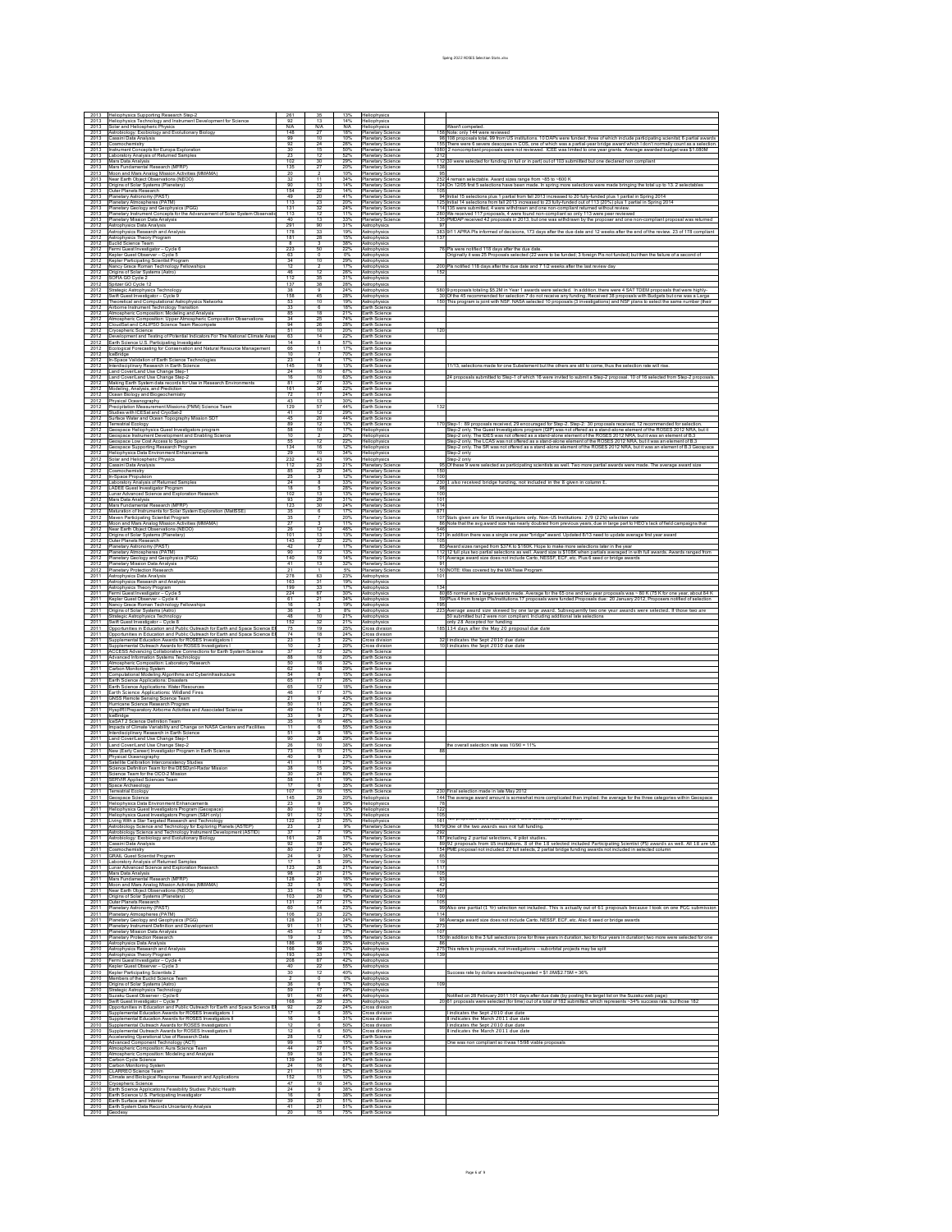| 2013                 | Heliophysics Supporting Research Step-2                                                                                                       |                        |                          |                         | Heliophysics                                 |                       |                                                                                                                                                                                                                                                                           |
|----------------------|-----------------------------------------------------------------------------------------------------------------------------------------------|------------------------|--------------------------|-------------------------|----------------------------------------------|-----------------------|---------------------------------------------------------------------------------------------------------------------------------------------------------------------------------------------------------------------------------------------------------------------------|
| 2013<br>2013         | Heliophysics Technology and Instrument Development for Scie<br>Solar and Heliospheric Physics                                                 | N/A                    | 13<br>N/A                | 14%<br>N/A              | Heliophysics<br>Heliophysics                 |                       | Nasn't competed                                                                                                                                                                                                                                                           |
| 2013                 | Astrobiology: Exobiology and Evolutionary Biology                                                                                             | 148                    | 27                       | 18%                     | Planetary Scien                              |                       | 158 Note: only 144 were reviewed                                                                                                                                                                                                                                          |
| 2013<br>2013         | Cassini Data Analysis<br>smochemistry                                                                                                         | 99<br>92               | 10<br>2 <sub>d</sub>     | 10%<br>26%              | lanetary Science<br><b>Planetary Science</b> |                       | 108 proposals total, 99 from US institutions. 10 DAPs were funded, three of which include participating scienitst; 6 partial awards<br>155 There were 6 severe descopes in COS, one of which was a partial-year bridge award which I don't normally count as a selection. |
| 2013<br>2013         | nstrument Concepts for Europa Exploration<br>aboratory Analysis of Returned Samples                                                           | 30<br>$\overline{23}$  | 15<br>12                 | 50%<br>52%              | lanetary Science<br>Planetary Scienc         | 1080<br>212           | 2 noncompliant proposals were not reviewed. ICEE was limited to one year grants. Average awarded budget was \$1.080M                                                                                                                                                      |
| 2013                 | Mars Data Analysis<br>Mars Fundamental Research (MFRP)                                                                                        | 102<br>135             | 30<br>27                 | 29%<br>20%              | lanetary Science                             | 112<br>138            | 30 were selected for funding (in full or in part) out of 103 submiitted but one declared non compliant                                                                                                                                                                    |
| 2013<br>2013         | Moon and Mars Analog Mission Activities (MMAMA)                                                                                               | 20                     |                          | 10%                     | Planetary Science<br>lanetary Science        | 95                    |                                                                                                                                                                                                                                                                           |
| 2013<br>2013         | Near Earth Object Observations (NEOO)<br>trigins of Solar Systems (Planetary)                                                                 | $\overline{3}$<br>90   | 11<br>13                 | 34%<br>14%              | Planetary Scienc<br>lanetary Science         | 252<br>124            | remain selectable. Award sizes range from ~85 to ~600 K<br>On 12/05 first 5 selections have been made. In spring more selections were made bringing the total up to 13. 2 selectables                                                                                     |
| 2013<br>2013         | luter Planets Research<br>fanetary Astronomy (PAST)                                                                                           | 154<br>49              | 22<br>20                 | 14%<br>41%              | Hanetary Science<br>lanetary Science         | 105<br>94             | itial 15 selections plus 1 partial from fall 2013 increased to 20 fully-funded plus 1 partial in Spring 2014                                                                                                                                                              |
| 2013<br>2013         | Planetary Atmospheres (PATM)<br><sup>9</sup> lanetary Geology and Geophysics (PGG)                                                            | 113<br>131             | $\overline{23}$<br>32    | 20%<br>24%              | Planetary Scienc<br>lanetary Science         | 125<br>114            | nitial 14 selections from fall 2013 increased to 23 fully-funded out of 113 (20%) plus 1 partial in Spring 2014<br>35 were submitted, 4 were withdrawn and one non-compliant returned without review.                                                                     |
| 2013                 | Planetary Instrument Concepts for the Advancement of Solar System Observat                                                                    | 113                    | 12                       | 11%                     | Planetary Science                            | 280                   | Ve received 117 proposals, 4 were found non-compliant so only 113 were peer reviewed                                                                                                                                                                                      |
| 2013<br>2012         | Planetary Mission Data Analysis<br>Astrophysics Data Analysis                                                                                 | 40<br>291              | -13<br>90                | 33%<br>31%              | Planetary Science<br>Astrophysic             | 135<br>$\overline{a}$ | PMDAP received 42 proposals in 2013, but one was withdrawn by the proposer and one non-compliant proposal was return                                                                                                                                                      |
| 2012<br>2012         | Astrophysics Research and Analysis<br>Astrophysics Theory Program                                                                             | 178<br>181             | 33<br>28                 | 19%<br>15%              | Astrophysics<br>Astrophysic                  | 383<br>137            | 9/11 APRA PIs informed of decisions, 173 days after the due date and 12 weeks after the end of the review. 23 of 178 compliar                                                                                                                                             |
| 2012                 | Euclid Science Team<br>ermi Guest Investigator - Cycle 6                                                                                      | -8<br>223              | 50                       | 38%<br>22%              | Astrophysics<br><b>Astrophysic</b>           | 76                    | s were notified 118 days after the due date.                                                                                                                                                                                                                              |
| $\frac{2012}{2012}$  | Kepler Guest Observer - Cycle 5                                                                                                               | 63<br>34               | 0<br>10                  | 0%<br>29%               | Astrophysics                                 |                       | Originally it was 25 Proposals selected (22 were to be funded; 3 foreign Pis not funded) but then the failure of a second o                                                                                                                                               |
| 2012<br>2012         | Kepler Participating Scientist Program<br>Nancy Grace Roman Technology Fellowships                                                            | 12                     |                          | 17%                     | Astrophysic<br>Astrophysics                  |                       | 200 Pls notified 118 days after the due date and 7 1/2 weeks after the last review day                                                                                                                                                                                    |
| 2012<br>2012         | Origins of Solar Systems (Astro)<br>SOFIA GO Cycle 2                                                                                          | 4 <sub>R</sub><br>112  | 12<br>35                 | 26%<br>31%              | Astrophysii<br>Astrophysics                  | 152                   |                                                                                                                                                                                                                                                                           |
| 2012<br>2012         | Spitzer GO Cycle 12<br>Strategic Astrophysics Technology                                                                                      | 137<br>38              | 38                       | 28%<br>24%              | Astrophysic<br>Astrophysics                  | 580                   | proposals totaling \$5.2M in Year 1 awards were selected. In addition, there were 4 SAT TDEM proposals that were highly                                                                                                                                                   |
| 2012                 | Swift Guest Investigator - Cycle 9                                                                                                            | 158                    | 45                       | 28%                     | Astrophysic                                  |                       | 30 Of the 45 recommended for selection 7 do not receive any funding. Received 38 proposals with Budgets but one was a Large                                                                                                                                               |
| 2012<br>2012         | Theoretical and Computational Astrophysics Networks<br>Airborne Instrument Technology Transition                                              | -53<br>33              | 10<br>6                  | 19%<br><b>18%</b>       | Astrophysics<br>arth Science                 |                       | 150 This program is joint with NSF. NASA selected 10 proposals (3 investigations) and NSF plans to select the same number (th                                                                                                                                             |
| 2012<br>2012         | Atmospheric Composition: Modeling and Analysis<br>Atmospheric Composition: Upper Atmospheric Composition Observation                          | 85<br>34               | 18<br>25                 | 21%<br>74%              | Earth Science<br>arth Scieno                 |                       |                                                                                                                                                                                                                                                                           |
| 2012<br>2012         | CloudSat and CALIPSO Science Team Recompete<br>nyospheric Science                                                                             | 51                     | 26<br>10                 | 28%<br>20%              | arth Science<br>arth Science                 | 120                   |                                                                                                                                                                                                                                                                           |
| 2012                 | Jevelopment and Testing of Potential Indicators For The National Climate Asse<br>arth Science U.S. Participating Investigator                 | 63<br>14               | 14<br>$\overline{R}$     | 22%<br>57%              | arth Science<br>arth Science                 |                       |                                                                                                                                                                                                                                                                           |
| 2012<br>2012         | cological Forecasting for Conservation and Natural Resource Management                                                                        | -66                    | -11                      | 17%                     | arth Science                                 |                       |                                                                                                                                                                                                                                                                           |
| 2012<br>2012         | ceBridge<br>In-Space Validation of Earth Science Technologies                                                                                 | 10                     |                          | 70%<br>17%              | arth Science<br>arth Science                 |                       |                                                                                                                                                                                                                                                                           |
| 2012<br>2012         | nterdisciplinary Research in Earth Science<br>Land Cover/Land Use Change Step-1                                                               | 145                    | 19<br>16                 | 13%<br>67%              | arth Science<br>arth Science                 |                       |                                                                                                                                                                                                                                                                           |
| 2012<br>2012         | and Cover/Land Use Change Step-2<br>Making Earth System data records for Use in Research Environments                                         | 16<br>81               | 10<br>-27                | 63%<br>33%              | arth Science<br>arth Science                 |                       | proposals submitted to Step-1 of which 16 were invited to submit a Step-2 proposal. 10 of 16 selected from Step-2 proposal                                                                                                                                                |
| 2012                 | Modeling, Analysis, and Prediction                                                                                                            | 161                    | 36                       | 22%<br>24%              | arth Science                                 |                       |                                                                                                                                                                                                                                                                           |
| 2012<br>2012         | Cean Biology and Biogeochemistry<br>hysical Oceanography                                                                                      | 43                     | 17<br>13                 | 30%                     | arth Science<br>arth Science                 |                       |                                                                                                                                                                                                                                                                           |
| 2012<br>2012         | Precipitation Measurement Missions (PMM) Science Team<br>Studies with ICESat and CryoSat-2                                                    | 129<br>$\overline{41}$ | -57<br>12                | 44%<br>29%              | arth Science<br>arth Science                 | 132                   |                                                                                                                                                                                                                                                                           |
| 2012<br>2012         | Surface Water and Ocean Topography Mission SDT<br>Ferrestrial Ecology                                                                         | 89                     | 20<br>$\overline{12}$    | 44%<br>13%              | arth Science<br>arth Science                 |                       | lep-1: 89 proposals received, 29 encouraged for Step-2. Step-2: 30 proposals received, 12 recommended for selectic                                                                                                                                                        |
| 2012                 | Seospace Heliophysics Guest Investigators program<br>eospace Instrument Development and Enabling Science                                      | 58<br>$10^{-}$         | 10                       | 17%<br>20%              | leliophysics<br>feliophysics                 |                       | Step-2 only. The Guest Investigators program (GIP) was not offered as a stand-alone element of the ROSES 2012 NRA; but i<br>lep-2 only. The IDES was not offered as a stand-alone element of the ROSES 2012 NRA, but it was an element of B.3                             |
| 2012<br>2012         | leospace Low Cost Access to Space                                                                                                             |                        | -12                      |                         | leliophysics                                 |                       | lep-2 only. The LCAS was not offered as a stand-alone element of the ROSES 2012 NRA, but it was an element of B.3                                                                                                                                                         |
| 2012<br>2012         | Seospace Supporting Research Program<br>Heliophysics Data Environment Enhancements                                                            | 134<br>29              | 16<br>-10                | 12%<br>34%              | Heliophysics<br>Heliophysics                 |                       | tep-2 only. The SR was not offered as a stand-alone element of the ROSES 2012 NRA, but it was an element of B.3 Geospace<br>Step-2 only                                                                                                                                   |
| 2012<br>2012         | olar and Heliospheric Physics<br>assini Data Analysis                                                                                         | 232<br>112             | 43                       | 19%<br>21%              | rieliophysics<br>lanetary Science            |                       | Step-2 only<br>Of these 9 were selected as participating scientists as well. Two more partial awards were made. The average award size                                                                                                                                    |
| 2012<br>2012         | smochemistry<br>n-Space Propulsion                                                                                                            | R <sup>c</sup>         | 29                       | 34%<br>12%              | Planetary Science<br>lanetary Science        | 150<br>100            |                                                                                                                                                                                                                                                                           |
| 2012                 | aboratory Analysis of Returned Samples                                                                                                        | 2d                     | $\overline{R}$           | 33%                     | Planetary Scienc                             | 230                   | also received bridge funding, not included in the 8 given in column E                                                                                                                                                                                                     |
| 2012<br>2012         | ADEE Guest Investigator Program<br>unar Advanced Science and Exploration Research                                                             | 18<br>102              | 13                       | 28%<br>13%              | lanetary Science<br>Planetary Science        | 100                   |                                                                                                                                                                                                                                                                           |
| 2012<br>2012         | Mars Data Analysis<br>Mars Fundamental Research (MFRP)                                                                                        | 93<br>123              | 30                       | 31%<br>24%              | lanetary Science<br>Planetary Scienc         | 101<br>114            |                                                                                                                                                                                                                                                                           |
| 2012                 | Maturation of Instruments for Solar System Exploration (MatISSE)                                                                              | 35                     |                          | 17%                     | lanetary Science                             | 871                   |                                                                                                                                                                                                                                                                           |
| 2012<br>2012         | Maven Participating Scientist Program<br>Moon and Mars Analog Mission Activities (MMAMA)                                                      |                        |                          | 20%<br>11%              | Hanetary Science<br>lanetary Science         | 107<br>86             | Stats given are for US investigations only. Non-US Institutions: 2/9 (22%) selection rate<br>Note that the avg award size has nearly doubled from previous years, due in large part to HEO's lack of field campaigns tha                                                  |
| 2012<br>2012         | Near Earth Object Observations (NEOO)<br>Drigins of Solar Systems (Planetary)                                                                 | 26<br>101              | 12<br>13                 | 46%<br>13%              | Planetary Scieno<br>lanetary Science         | 546<br>121            | In addition there was a single one year "bridge" award. Updated 8/13 need to update average first year awar                                                                                                                                                               |
| 2012<br>2012         | Outer Planets Research<br><b>Ranetary Astronomy (PAST)</b>                                                                                    | 143<br>42              | 32                       | 22%<br>$\frac{1}{17}$ % | Planetary Science<br>lanetary Science        | 105<br>85             | ward sizes ranged from \$37K to \$160K. Hope to make more selections later in the year                                                                                                                                                                                    |
| 2012<br>2012         | Planetary Atmospheres (PATM)                                                                                                                  | 90<br>140              | 12<br>19                 | 13%<br>14%              | Planetary Scienc                             | 112<br>101            | <br>2 full plus two partial selections as well. Award size is \$108K when partials averaged in with full<br>werage award size does not include Carto, NESSF, ECF, etc. Plus 6 seed or bridge awards                                                                       |
| 2012                 | Hanetary Geology and Geophysics (PGG)<br>Planetary Mission Data Analysis                                                                      | 41                     | 13                       | 32%                     | lanetary Science<br>Hanetary Science         | 91                    |                                                                                                                                                                                                                                                                           |
| 2012<br>2011         | Planetary Protection Research<br>Astrophysics Data Analysis                                                                                   | 278                    | 63                       | 5%<br>23%               | lanetary Science<br><i>strophysii</i>        | 150<br>101            | NOTE: Was covered by the MATisse Program                                                                                                                                                                                                                                  |
| 2011<br>2011         | Astrophysics Research and Analysis<br>Astrophysics Theory Program                                                                             | 163<br>199             | 31<br>33                 | 19%<br>17%              | Astrophysics<br>Astrophysic                  | 134                   |                                                                                                                                                                                                                                                                           |
| 2011<br>2011         | Fermi Guest Investigator - Cycle 5                                                                                                            | 224<br>61              | 67<br>$\overline{21}$    | 30%<br>34%              | Astrophysics                                 | 80<br>59              | 5 normal and 2 large awards made. Average for the 65 one and two year proposals was ~80 K (75 K for one year, about 84 K                                                                                                                                                  |
| 2011                 | Kepler Guest Observer - Cycle 4<br>Nancy Grace Roman Technology Fellowships                                                                   | -16                    |                          | 19%                     | Astrophysic<br>Astrophysics                  | 195                   | lus 4 from foreign Pls/institutions.17 proposals were funded Proposals due: 20 January 2012, Proposers notified of sel                                                                                                                                                    |
| 2011<br>2011         | Origins of Solar Systems (Astro)<br>Strategic Astrophysics Technology                                                                         | 36<br>48               | 10                       | 8%<br>21%               | Astrophysic<br>Astrophysics                  | 223                   | erage award size skewed by one large award. Subsequently two one year awards were selected. If those two ar<br>50 submitted but 2 were non compliant. Including additional late selections                                                                                |
| 2011<br>2011         | wift Guest Investigator - Cycle 8<br>Opportunities in Education and Public Outreach for Earth and Space Science E                             | 152                    | 32<br>19                 | 21%                     | <b>Astrophysic</b><br>ross division          | 185                   | only 28 Accepted for funding<br>134 days after the May 20 proposal due date                                                                                                                                                                                               |
| 2011<br>2011         | Proportunities in Education and Public Outreach for Earth and Space Science El<br>Supplemental Education Awards for ROSES Investigators I     | 74                     | 18                       | 24%<br>22%              | ross division<br>ross division               |                       | I indicates the Sept 2010 due date                                                                                                                                                                                                                                        |
| 2011                 | pplemental Outreach Awards for ROSES Investigators I                                                                                          | $10^{-}$               |                          | 20%                     | ross divisio                                 | 10                    | indicates the Sept 2010 due date                                                                                                                                                                                                                                          |
| 2011<br>2011         | <b>ACCESS Advancing Collaborative Connections for Earth System Science</b><br>Advanced Information Systems Technology                         | <b>RR</b>              | -12<br>18                | 32%<br>20%              | arth Science<br>arth Science                 |                       |                                                                                                                                                                                                                                                                           |
| 2011<br>2011         | Atmospheric Composition: Laboratory Research<br>arbon Monitoring System                                                                       | 50<br>62               | 16<br>18                 | 32%<br>29%              | arth Science<br>arth Science                 |                       |                                                                                                                                                                                                                                                                           |
| 2011<br>2011         | omputational Modeling Algorithms and Cyberinfrastructure<br>arth Science Applications: Disasters                                              | 65                     | 8<br>17                  | 15%<br>26%              | arth Science<br>arth Science                 |                       |                                                                                                                                                                                                                                                                           |
| 2011                 | Earth Science Applications: Water Resources                                                                                                   | 65<br>46               | -12<br>17                | 18%<br>37%              | arth Science<br>arth Science                 |                       |                                                                                                                                                                                                                                                                           |
| 2011<br>2011         | Earth Science Applications: Wildland Fires<br><b>SNSS Remote Sensing Science Team</b>                                                         |                        |                          | 43%                     | arth Science                                 |                       |                                                                                                                                                                                                                                                                           |
| 2011<br>2011         | Iurricane Science Research Program<br>HyspIRI Preparatory Airborne Activities and Associated Science                                          | 50<br>49               | $\overline{11}$<br>14    | 22%<br>29%              | arth Science<br>arth Science                 |                       |                                                                                                                                                                                                                                                                           |
| 2011<br>2011         | eBridge<br>ceSAT 2 Science Definition Team                                                                                                    | 33                     | $\overline{a}$<br>16     | 27%<br>46%              | arth Science<br>arth Science                 |                       |                                                                                                                                                                                                                                                                           |
| 2011<br>2011         | mpacts of Climate Variability and Change on NASA Centers and Facilities<br>Interdisciplinary Research in Earth Science                        | 11                     | $\overline{6}$           | 55%<br>18%              | arth Science<br>arth Science                 |                       |                                                                                                                                                                                                                                                                           |
| 2011                 | and Cover/Land Use Change Step-1                                                                                                              | 90                     | 26                       | 29%                     | arth Science                                 |                       |                                                                                                                                                                                                                                                                           |
| 2011<br>2011         | and Cover/Land Use Change Step-2<br>New (Early Career) Investigator Program in Earth Science                                                  | 73                     | 10<br>15                 | 38%<br>21%              | arth Science<br>arth Science                 | 88                    | the overall selection rate was 10/90 = 119                                                                                                                                                                                                                                |
| 2011<br>2011         | Physical Oceanography<br>Satellite Calibration Interconsistency Studies                                                                       | 40<br>41               | 9<br>11                  | 23%<br>27%              | arth Science<br>arth Science                 |                       |                                                                                                                                                                                                                                                                           |
| 2011<br>2011         | cience Definition Team for the DESDynl-Radar Mission<br>cience Team for the OCO-2 Mission                                                     | 38<br>30               | 15<br>2 <sub>d</sub>     | 39%<br>80%              | arth Science<br>arth Science                 |                       |                                                                                                                                                                                                                                                                           |
| 2011                 | <b>SERVIR Applied Sciences Team</b>                                                                                                           | 58<br>17               | 11                       | 19%<br>35%              | arth Science<br>arth Science                 |                       |                                                                                                                                                                                                                                                                           |
| 2011<br>2011         | pace Archaeology<br>Terrestrial Ecology                                                                                                       | 107                    | 6<br>16                  | 15%                     | arth Science                                 | 230                   | Final selection made in late May 2012                                                                                                                                                                                                                                     |
| 2011<br>2011         | Geospace Science<br>ophysics Data E                                                                                                           | 145                    | 29                       | 20%                     | Heliophysics                                 |                       | 144 The average award amount is somewhat more complicated                                                                                                                                                                                                                 |
| $\frac{2011}{2011}$  | Heliophysics Guest Investigators Program (Geospace)<br>Heliophysics Guest Investigators Program (S&H only)                                    | 80<br>9 <sup>1</sup>   | 10<br>-12                | 13%<br>13%              | Heliophysics<br>Heliophysics                 | 122<br>105            |                                                                                                                                                                                                                                                                           |
| 2011<br>2011         | Living With a Star Targeted Research and Technology<br>Astrobiology Science and Technology for Exploring Planets (ASTEP)                      | 122                    | 31                       | 25%<br>9%               | Heliophysics<br>Planetary Science            | 161<br>1679           | One of the two awards was not full funding                                                                                                                                                                                                                                |
| 2011                 | Astrobiology Science and Technology Instrument Development (ASTID)                                                                            | 37                     | $\overline{\phantom{a}}$ | 19%                     | Planetary Science                            | 292                   |                                                                                                                                                                                                                                                                           |
| 2011<br>2011         | Astrobiology: Exobiology and Evolutionary Biology<br>Cassini Data Analysis                                                                    | 161<br>92              | -28<br>18                | 17%<br>20%              | lanetary Science<br>Planetary Science        | 187                   | including 2 partial selections, 4 pilot studies<br>89 92 proposals from US institutions. 8 of the 18 selected included Participating Scientist (PS) awards as well. All 18 are US                                                                                         |
| 2011<br>2011         | smochemistry<br>SRAIL Guest Scientist Program                                                                                                 | 80<br>2d               | -27<br>$\overline{9}$    | 34%<br>38%              | lanetary Science<br>Planetary Science        | 154<br>R5             | ME proposal not included. 27 full selects, 2 partial bridge funding awards not included in selected column                                                                                                                                                                |
| 2011<br>2011         | Laboratory Analysis of Returned Samples<br>unar Advanced Science and Exploration Research                                                     | 123                    | 26                       | 29%<br>21%              | lanetary Science<br>Hanetary Science         | 119<br>117            |                                                                                                                                                                                                                                                                           |
| 2011<br>2011         | Mars Data Analysis                                                                                                                            | 98<br>128              | 20                       | 21%<br>16%              | lanetary Science                             | 105<br>93             |                                                                                                                                                                                                                                                                           |
| 2011                 | Mars Fundamental Research (MFRP)<br>Moon and Mars Analog Mission Activities (MMAMA)                                                           |                        |                          | 16%                     | Planetary Science<br>lanetary Science        | -42                   |                                                                                                                                                                                                                                                                           |
| 2011<br>2011         | Near Earth Object Observations (NEOO)<br>Drigins of Solar Systems (Planetary)                                                                 | 33<br>103              | 14<br>-20                | 42%<br>19%              | Planetary Science<br>lanetary Science        | 407<br>100            |                                                                                                                                                                                                                                                                           |
| 2011<br>2011         | Outer Planets Research<br>fanetary Astronomy (PAST)                                                                                           | 131<br>60              | 27<br>14                 | 21%<br>23%              | Planetary Science<br>lanetary Science        | 105                   | Also one partial (1 Yr) selection not included. This is actually out of 61 proposals because I took on one PGG submission                                                                                                                                                 |
| 2011<br>2011         | Planetary Atmospheres (PATM)<br>Planetary Geology and Geophysics (PGG)                                                                        | 108<br>128             | 23<br>31                 | 22%<br>24%              | Planetary Science<br>Planetary Science       | 114<br>98             | werage award size does not include Carto, NESSF, ECF, etc. Also 6 seed or bridge awards                                                                                                                                                                                   |
| 2011                 | Planetary Instrument Definition and Develops                                                                                                  | 91                     | $\overline{11}$          | 12%                     | Planetary Science                            | 273                   |                                                                                                                                                                                                                                                                           |
| 2011<br>2011         | <b>Nanetary Mission Data Analysis</b><br>Planetary Protection Research                                                                        | 45<br>19               | -12                      | 27%<br>16%              | lanetary Science<br>Planetary Science        | 107<br>150            | addition to the 3 full selections (one for three years in duration, two for four years in duration) two more were selected for one                                                                                                                                        |
| 2010<br>2010         | Astrophysics Data Analysis<br>Astrophysics Research and Analysis                                                                              | 186<br>166             | 66<br>39                 | 35%<br>23%              | Astrophysics<br>Astrophysic                  | 86<br>275             | his refers to proposals, not investigations -- suborbital projects may be split                                                                                                                                                                                           |
| 2010<br>2010         | Astrophysics Theory Program<br>Fermi Guest Investigator - Cycle 4                                                                             | 193<br>208             | 33<br>87                 | 17%<br>42%              | Astrophysics<br>Astrophysics                 | 139                   |                                                                                                                                                                                                                                                                           |
| 2010<br>2010         | Kepler Guest Observer - Cycle 3<br>Kepler Participating Scientists 2                                                                          | 40<br>30               | $\overline{12}$          | 55%<br>40%              | Astrophysics                                 |                       |                                                                                                                                                                                                                                                                           |
| 2010                 | Members of the Euclid Science Team                                                                                                            |                        | - 0                      | 0%                      | Astrophysics<br>Astrophysics                 |                       | uccess rate by dollars awarded/requested = \$1.0M/\$2.75M = 36%                                                                                                                                                                                                           |
| 2010<br>2010         | Origins of Solar Systems (Astro)<br>Strategic Astrophysics Technology                                                                         | 36<br>59               | $^-6$<br>-17             | 17%<br>29%              | Astrophysics<br>Astrophysics                 | 109                   |                                                                                                                                                                                                                                                                           |
| 2010<br>2010         | .<br>Juzaku Guest Observer - Cycle 6<br>Wrift Guest Investigator - Cycle 7                                                                    | 91<br>168              | 40<br>39                 | 44%<br>23%              | Astrophysics<br>Astrophysics                 | 20                    | lotified on 28 February 2011 101 days after due date (by posting the target list on the Suzaku web page)<br>61 proposals were selected (for time) out of a total of 182 submitted, which represents ~34% success rate, but those 182                                      |
| 2010                 | .<br>Opportunities in Education and Public Outreach for Earth and Space Science El<br>Supplemental Education Awards for ROSES Investigators 1 | 92                     | 22                       | 24%                     | Cross division                               |                       |                                                                                                                                                                                                                                                                           |
| 2010<br>2010         | upplemental Education Awards for ROSES Investigators II                                                                                       | -17<br>16              |                          | 35%<br>31%              | ross division<br>ross division               |                       | indicates the Sept 2010 due date<br>I indicates the March 2011 due date<br>I indicates the Sept 2010 due date                                                                                                                                                             |
| 2010<br>2010         | supplemental Outreach Awards for ROSES Investigators I<br>upplemental Outreach Awards for ROSES Investigators II                              | -12<br>12              | - 6<br>$^-6$             | 50%<br>50%              | ross division<br>ross division               |                       | Il indicates the March 2011 due date                                                                                                                                                                                                                                      |
| 2010<br>2010         | Accelerating Operational Use of Research Data<br>Advanced Component Technology (ACT)                                                          | 28<br>99               | -12<br>15                | 43%<br>15%              | arth Science<br>arth Science                 |                       | ne was non compliant so it was 15/98 viable proposals                                                                                                                                                                                                                     |
| 2010<br>2010         | mospheric Composition: Aura Science Team                                                                                                      | 44<br>59               | -27<br>18                | 61%<br>31%              | arth Science                                 |                       |                                                                                                                                                                                                                                                                           |
| 2010                 | Mmospheric Composition: Modeling and Analysis<br>Carbon Cycle Science                                                                         | 139                    | -34                      | 24%                     | arth Science<br>arth Science                 |                       |                                                                                                                                                                                                                                                                           |
| 2010<br>2010         | arbon Monitoring System<br>LARREO Science Team                                                                                                | 2d                     | 16<br>-11                | 67%<br>52%              | arth Science<br>arth Science                 |                       |                                                                                                                                                                                                                                                                           |
| 2010                 | limate and Biological Response: Research and Applications<br>nyospheric Science                                                               | 152<br>4i              | 15<br>16                 | 10%<br>34%              | arth Science<br>arth Science                 |                       |                                                                                                                                                                                                                                                                           |
|                      |                                                                                                                                               |                        | $\overline{9}$           | 38%                     | arth Science                                 |                       |                                                                                                                                                                                                                                                                           |
| 2010<br>2010         | arth Science Applications Feasibility Studies: Public Health                                                                                  | 2 <sub>d</sub>         |                          |                         |                                              |                       |                                                                                                                                                                                                                                                                           |
| 2010<br>2010<br>2010 | Earth Science U.S. Participating Investigator<br>Earth Surface and Interior<br>Earth System Data Records Uncertainty Analysis                 | 16<br>39<br>41         | - 6<br>20<br>-21         | 38%<br>51%<br>51%       | arth Science<br>arth Science<br>arth Science |                       |                                                                                                                                                                                                                                                                           |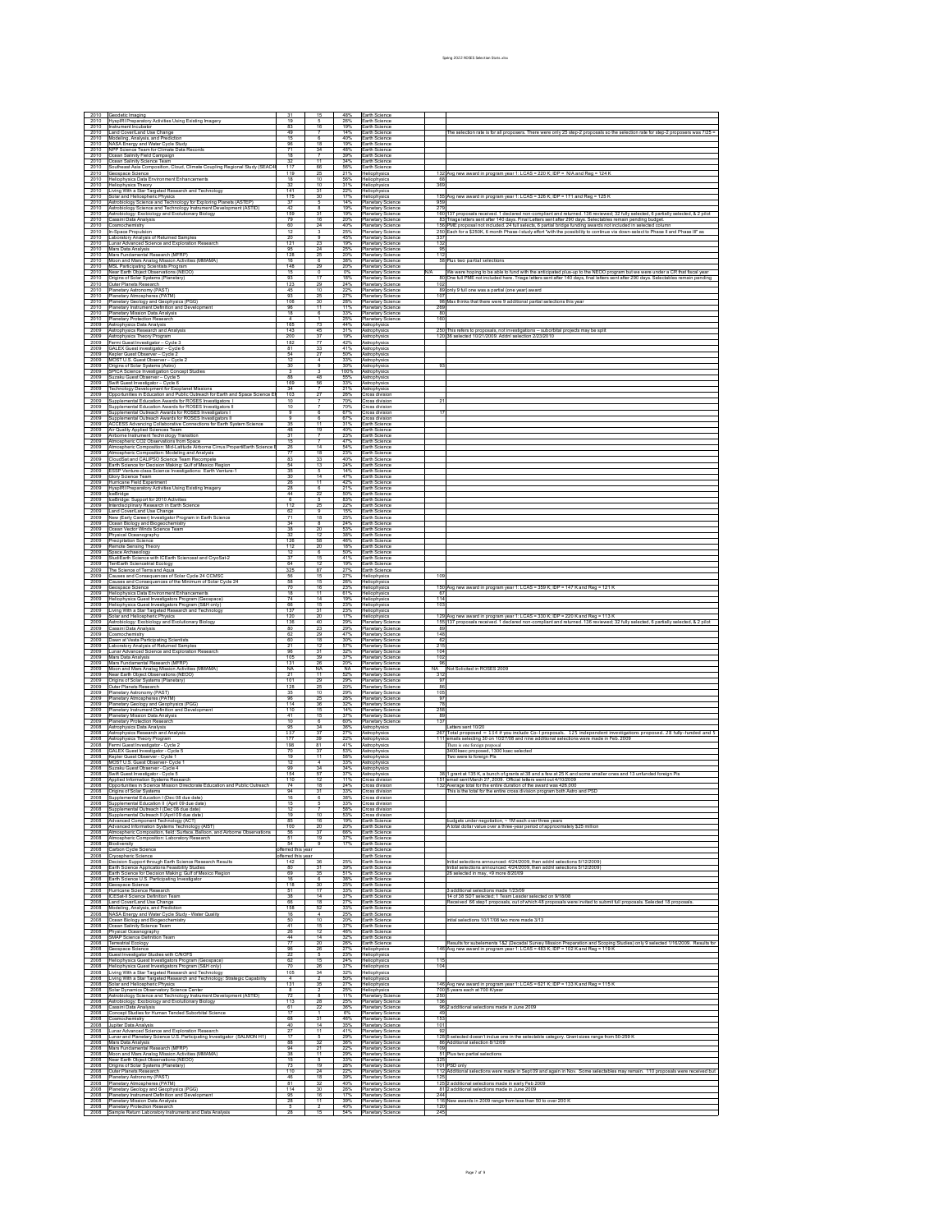| 2010                 | Seodetic Imaging                                                                                                              |                          |                               | 48%               | Earth Science                                                      |            |                                                                                                                                                                                                                                                        |
|----------------------|-------------------------------------------------------------------------------------------------------------------------------|--------------------------|-------------------------------|-------------------|--------------------------------------------------------------------|------------|--------------------------------------------------------------------------------------------------------------------------------------------------------------------------------------------------------------------------------------------------------|
| 2010<br>2010         | HyspIRI Preparatory Activities Using Existing Imagery<br>strument Incubator                                                   | 19<br>83                 | 16                            | 26%<br>19%        | Earth Science<br>arth Science                                      |            |                                                                                                                                                                                                                                                        |
| 2010                 | and Cover/Land Use Change                                                                                                     | 49                       |                               | 14%               | arth Science                                                       |            | The selection rate is for all proposers. There were only 25 step-2 proposals so the selection rate for step-2 proposers was 7/25 =                                                                                                                     |
| 2010<br>2010         | Modeling, Analysis, and Prediction                                                                                            | 15<br>96                 | 18                            | 40%<br>19%        | arth Science<br>arth Science                                       |            |                                                                                                                                                                                                                                                        |
| 2010                 | NASA Energy and Water Cycle Study<br>NPP Science Team for Climate Data Records                                                | 71                       | 34                            | 48%               | arth Science                                                       |            |                                                                                                                                                                                                                                                        |
| 2010<br>2010         | cean Salinity Field Campaign<br>cean Salinity Science Team                                                                    | 18<br>32                 | 7<br>11                       | 39%<br>34%        | arth Science<br>arth Science                                       |            |                                                                                                                                                                                                                                                        |
| 2010                 | outheast Asia Composition, Cloud, Climate Coupling Regional Study (SEAC4                                                      | 117                      | 66                            | 56%               | arth Science                                                       |            |                                                                                                                                                                                                                                                        |
| 2010<br>2010         | eospace Science<br>Heliophysics Data Environment Enhancements                                                                 | 119<br>18                | 10                            | 21%<br>56%        | leliophysics                                                       | <b>RR</b>  | 132 Avg new award in program year 1: LCAS = 220 K; IDP = N/A and Reg = 124 P                                                                                                                                                                           |
| 2010                 | <b>Ieliophysics Theory</b>                                                                                                    | 32                       | 10                            | 31%               | Heliophysics<br>Heliophysics                                       | 369        |                                                                                                                                                                                                                                                        |
| 2010<br>2010         | wing With a Star Targeted Research and Technology<br>olar and Heliospheric Physics                                            | 141<br>175               | 31<br>30                      | 22%<br>17%        | feliophysics<br>Heliophysics                                       | 155        | Avg new award in program year 1: LCAS = 326 K; IDP = 171 and Reg = 125 K                                                                                                                                                                               |
| 2010                 | Astrobiology Science and Technology for Exploring Planets (ASTEP                                                              | 37                       | 5                             | 14%               | <b>Planetary Science</b>                                           | 959        |                                                                                                                                                                                                                                                        |
| 2010<br>2010         | istrobiology Science and Technology Instrument Development (ASTID)<br>istrobiology: Exobiology and Evolutionary Biology       | 42<br>159                | 8<br>31                       | 19%<br>19%        | Planetary Science<br>Planetary Science                             | 279<br>160 | 37 proposals received. 1 declared non-compliant and returned. 136 reviewed; 32 fully selected; 6 partially selected; & 2 pilo                                                                                                                          |
| 2010                 | assini Data Analysis                                                                                                          | 79                       | 16                            | 20%               | anetary Science                                                    |            | 83 Triage letters sent after 140 days. Final Letters sent after 290 days. Selectables remain pending budget.                                                                                                                                           |
| 2010<br>2010         | smochemistry<br>1-Space Propulsion                                                                                            | 60<br>-12                | 24                            | 40%<br>25%        | <b>Planetary Science</b><br>Hanetary Science                       |            | 156 PME proposal not included. 24 full selects, 6 partial bridge funding awards not included in selected column<br>250 Each for a \$250K, 6 month Phase-I study effort "with the possibility to continue via down-select to Phase II and Phase III" as |
| 2010                 | aboratory Analysis of Returned Samples                                                                                        | 20                       | $\overline{a}$                | 45%               | Planetary Science                                                  | 337        |                                                                                                                                                                                                                                                        |
| 2010<br>2010         | unar Advanced Science and Exploration Research<br>Mars Data Analysis                                                          | 121<br>95                | 23<br>24                      | 19%<br>25%        | lanetary Science<br><b>Planetary Science</b>                       | 132<br>95  |                                                                                                                                                                                                                                                        |
| 2010                 | Mars Fundamental Research (MFRP)                                                                                              | 128                      | 25                            | 20%               | Hanetary Science                                                   | 112        |                                                                                                                                                                                                                                                        |
| 2010<br>2010         | Moon and Mars Analog Mission Activities (MMAMA)                                                                               | 16                       | $\overline{\mathbf{g}}$<br>29 | 38%               | <b>Planetary Science</b>                                           | 58         | lus two partial selections                                                                                                                                                                                                                             |
| 2010                 | <b>MSL Participating Scientists Program</b><br>Near Earth Object Observations (NEOO)                                          | 148<br>15                | $\overline{0}$                | 20%<br>0%         | lanetary Science<br><b>Planetary Science</b>                       |            | Ne were hoping to be able to fund with the anticipated plus-up to the NEOO program but we were under a CR that fiscal yes                                                                                                                              |
| 2010<br>2010         | Drigins of Solar Systems (Planetary)<br>uter Planets Research                                                                 | 93<br>123                | 17<br>29                      | 18%<br>24%        | Planetary Science<br><b>Planetary Science</b>                      | 102        | 80 One full PME not included here. Triage letters sent after 140 days, final letters sent after 290 days. Selectables remain pending                                                                                                                   |
| 2010                 | lanetary Astronomy (PAST)                                                                                                     | 45                       | 10                            | 22%               | lanetary Science                                                   |            | 89 only 9 full one was a partial (one year) award                                                                                                                                                                                                      |
| 2010<br>2010         | <b>Hanelary Atmospheres (PATM)</b><br>fanetary Geology and Geophysics (PGG                                                    | 93<br>106                | 25<br>30                      | 27%<br>28%        | <b>Planetary Science</b><br>Hanetary Science                       | 107        | 98 Max thinks that there were 9 additional partial selections this year                                                                                                                                                                                |
| 2010                 | lanetary Instrument Definition and Developme                                                                                  | 96                       | $\overline{11}$               | 11%               | Planetary Science                                                  | 269        |                                                                                                                                                                                                                                                        |
| 2010<br>2010         | lanetary Mission Data Analysis<br>Planetary Protection Research                                                               | 18                       | -6                            | 33%<br>25%        | lanetary Science<br><b>Planetary Science</b>                       | 80<br>160  |                                                                                                                                                                                                                                                        |
| 2009                 | Astrophysics Data Analysis                                                                                                    | 165                      | 73                            | 44%               | Astrophysics                                                       |            |                                                                                                                                                                                                                                                        |
| 2009<br>2009         | Astrophysics Research and Analysis<br>strophysics Theory Program                                                              | 143<br>200               | 45                            | 31%<br>19%        | strophysi<br>Astrophysics                                          |            | 250 This refers to proposals, not investigations -- suborbital projects may be splited 36 selected 10/21/2009. Addnl selection 2/23/2010                                                                                                               |
| 2009                 | ermi Guest Investigator - Cycle 3                                                                                             | 182                      | 77                            | 42%               | strophysic                                                         |            |                                                                                                                                                                                                                                                        |
| 2009<br>2009         | SALEX Guest investigator - Cycle 6<br>Gepler Guest Observer<br>$-Cycle2$                                                      | 81<br>54                 | 33<br>27                      | 41%<br>50%        | Astrophysics<br>strophysi                                          |            |                                                                                                                                                                                                                                                        |
| 2009                 | MOST U.S. Guest Observer - Cycle 2                                                                                            |                          |                               | 33%               | Astrophysics                                                       |            |                                                                                                                                                                                                                                                        |
| 2009<br>2009         | Ingins of Solar Systems (Astro)<br>SPICA Science Investigation Concept Studies                                                | 30                       | $\overline{a}$                | 30%<br>100%       | strophysic<br>Astrophysics                                         | 93         |                                                                                                                                                                                                                                                        |
| 2009                 | uzaku Guest Observer - Cycle 5                                                                                                | 88                       | 48                            | 55%               | strophysi                                                          |            |                                                                                                                                                                                                                                                        |
| 2009<br>2009         | vift Guest Investigator - Cycle 6<br>echnology Development for Exoplanet Missions                                             | 169<br>34                | 56                            | 33%<br>21%        | Astrophysics<br>strophysics                                        |            |                                                                                                                                                                                                                                                        |
| 2009                 | pportunities in Education and Public Outreach for Earth and Space Science El                                                  | 103                      |                               | 26%               | Cross division                                                     |            |                                                                                                                                                                                                                                                        |
| 2009<br>2009         | upplemental Education Awards for ROSES Investigators 1<br>upplemental Education Awards for ROSES Investigators II             | $10^{-}$<br>10           | 7                             | 70%<br>70%        | ross division<br>ross division                                     |            |                                                                                                                                                                                                                                                        |
| 2009                 | upplemental Outreach Awards for ROSES Investigators I                                                                         | $\overline{a}$           | 6                             | 67%               | ross division                                                      |            |                                                                                                                                                                                                                                                        |
| 2009<br>2009         | upplemental Outreach Awards for ROSES Investigators II<br>ACCESS Advancing Collaborative Connections for Earth System Science | 35                       | -6<br>$\overline{11}$         | 67%<br>31%        | Cross division<br>arth Science                                     |            |                                                                                                                                                                                                                                                        |
| 2009<br>2009         | ir Quality Applied Sciences Team                                                                                              | 48                       | 19<br>7                       | 40%               | arth Science                                                       |            |                                                                                                                                                                                                                                                        |
| 2009                 | Airborne Instrument Technology Transition<br>Imospheric CO2 Observations from Space                                           | 31<br>15                 |                               | 23%<br>47%        | arth Science<br>arth Science                                       |            |                                                                                                                                                                                                                                                        |
| 2009                 | Atmospheric Composition: Mid-Latitude Airborne Cirrus PropertiEarth Science                                                   | 26                       | 14                            | 54%               | arth Science                                                       |            |                                                                                                                                                                                                                                                        |
| 2009<br>2009         | tmospheric Composition: Modeling and Analysis<br>loudSat and CALIPSO Science Team Recompete                                   | 83                       | 18<br>33                      | 23%<br>40%        | arth Science<br>arth Science                                       |            |                                                                                                                                                                                                                                                        |
| 2009                 | arth Science for Decision Making: Gulf of Mexico Region                                                                       | 54                       | 13                            | 24%               | Earth Science                                                      |            |                                                                                                                                                                                                                                                        |
| 2009<br>2009         | SSP Venture-class Science Investigations: Earth Venture-1<br>llory Science Team                                               | 35<br>30                 | 5<br>14                       | 14%<br>47%        | arth Science<br>arth Science                                       |            |                                                                                                                                                                                                                                                        |
| 2009                 | lurricane Field Experiment                                                                                                    | 26                       | $\overline{11}$               | 42%               | arth Science                                                       |            |                                                                                                                                                                                                                                                        |
| 2009<br>2009         | lysplRI Preparatory Activities Using Existing Imagery<br>eBridge                                                              | 28<br>44                 | -6<br>22                      | 21%<br>50%        | arth Science<br>arth Science                                       |            |                                                                                                                                                                                                                                                        |
| 2009<br>2009         | ceBridge: Support for 2010 Activities                                                                                         | 6<br>112                 | 25                            | 83%               | arth Science                                                       |            |                                                                                                                                                                                                                                                        |
| 2009                 | Merdisciplinary Research in Earth Science<br>and Cover/Land Use Change                                                        | -62                      |                               | 22%<br>15%        | arth Science<br>arth Science                                       |            |                                                                                                                                                                                                                                                        |
| 2009<br>2009         | ew (Early Career) Investigator Program in Earth Science<br>cean Biology and Biogeochemistry                                   | 71<br>34                 | 18<br>-8                      | 25%<br>24%        | arth Science<br>arth Science                                       |            |                                                                                                                                                                                                                                                        |
| 2009                 | cean Vector Winds Science Team                                                                                                | 38                       | 20                            | 53%               | arth Science                                                       |            |                                                                                                                                                                                                                                                        |
| 2009<br>2009         | hysical Oceanography<br>ecipitation Scien                                                                                     | 32<br>126                | 12<br>58                      | 38%<br>46%        | arth Science<br>arth Science                                       |            |                                                                                                                                                                                                                                                        |
| 2009                 | temote Sensing Theory                                                                                                         | 112                      | 20                            | 18%               | arth Science                                                       |            |                                                                                                                                                                                                                                                        |
| 2009<br>2009         | pace Archaeology<br>tudiEarth Science with ICEarth Scienceat and CryoSat-2                                                    | 12<br>-37                | $\overline{6}$<br>15          | 50%<br>41%        | arth Science<br>arth Science                                       |            |                                                                                                                                                                                                                                                        |
| 2009                 | errEarth Sciencetrial Ecology                                                                                                 | RA                       | $\overline{12}$               | 19%               | arth Science                                                       |            |                                                                                                                                                                                                                                                        |
| 2009<br>2009         | The Science of Terra and Aqua<br>auses and Consequences of Solar Cycle 24 CCMSC                                               | 325<br>56                | 87<br>15                      | 27%<br>27%        | arth Science<br>Heliophysics                                       | 109        |                                                                                                                                                                                                                                                        |
| 2009                 | auses and Consequences of the Minimum of Solar Cycle 24                                                                       | 58                       | 15                            | 26%               | Heliophysics                                                       |            |                                                                                                                                                                                                                                                        |
| 2009<br>2009         | eospace Science<br>eliophysics Data Environment Enhancements                                                                  | $\overline{70}$<br>18    | 16<br>11                      | 23%<br>61%        | feliophysics<br>Heliophysics                                       | 150<br>67  | vg new award in program year 1: LCAS = 359 K; IDP = 147 K and Reg = 121 I                                                                                                                                                                              |
| 2009                 | Heliophysics Guest Investigators Program (Geospace)                                                                           | 74                       | 14                            | 19%               | Heliophysics                                                       | 114        |                                                                                                                                                                                                                                                        |
| 2009<br>2009         | leliophysics Guest Investigators Program (S&H only)<br>ring With a Star Targeted Research and Technology                      | 66<br>137                | 15<br>31                      | 23%<br>23%<br>17% | Heliophysics<br>feliophysics                                       | 103        |                                                                                                                                                                                                                                                        |
|                      | olar and Heliospheric Physics<br>strobiology: Exobiology and Evolutionary Biology                                             | 120<br>136               | 20                            |                   | Heliophysics                                                       | 129        | Avg new award in program year 1: LCAS = 330 K; IDP = 220 K and Reg = 113 K                                                                                                                                                                             |
| 2009                 |                                                                                                                               |                          |                               |                   |                                                                    |            |                                                                                                                                                                                                                                                        |
| 2009<br>2009         |                                                                                                                               | 80                       | 40<br>23                      | 29%<br>29%        | <b>Planetary Science</b><br>Planetary Science                      | 89         | 155 137 proposals received. 1 declared non-compliant and returned. 136 reviewed; 32 fully selected, 6 partially selected, & 2 pi                                                                                                                       |
| 2009                 | assini Data Analysis<br>smochemistry                                                                                          | 62                       | 29                            | 47%               | Planetary Science                                                  | 148        |                                                                                                                                                                                                                                                        |
| 2009<br>2009         | swn at Vesta Participating Scientists                                                                                         | 60<br>21                 | 18<br>12                      | 30%<br>57%        | lanetary Science<br><b>Planetary Science</b>                       | -62<br>215 |                                                                                                                                                                                                                                                        |
| 2009                 | aboratory Analysis of Returned Samples<br>unar Advanced Science and Exploration Research                                      | 96                       | 31                            | 32%               | Planetary Science                                                  | 104        |                                                                                                                                                                                                                                                        |
| 2009<br>2009         | lars Data Analysis<br>Mars Fundamental Research (MFRP)                                                                        | 105<br>131               | 39<br>26                      | 37%<br>20%        | <b>Planetary Science</b><br>lanetary Science                       | 102<br>96  |                                                                                                                                                                                                                                                        |
| 2009                 | Moon and Mars Analog Mission Activities (MMAMA)                                                                               | <b>NA</b>                | NA<br>11                      | <b>NA</b>         | <b>Planetary Science</b>                                           |            | NA Not Solicited in ROSES 2009                                                                                                                                                                                                                         |
| 2009<br>2009         | Vear Earth Object Observations (NEOO)<br>rigins of Solar Systems (Planetary)                                                  | 21<br>101                | 29                            | 52%<br>29%        | Hanetary Science<br>Planetary Science                              | 31<br>97   |                                                                                                                                                                                                                                                        |
| 2009<br>2009         | luter Planets Research                                                                                                        | 128<br>35                | 10                            | 20%<br>29%        | lanetary Science                                                   | -86<br>105 |                                                                                                                                                                                                                                                        |
| 2009                 | fanetary Astronomy (PAST)<br>lanetary Atmospheres (PATM)                                                                      | 96                       | 25                            | 26%               | <b>Planetary Science</b><br>Planetary Science                      | 97         |                                                                                                                                                                                                                                                        |
| 2009<br>2009         | <sup>9</sup> lanetary Geology and Geophysics (PGG)<br>lanetary Instrument Definition and Development                          | 114<br>110               | 36<br>15                      | 32%<br>14%        | <b>Planetary Science</b><br>lanetary Science                       | 7R<br>258  |                                                                                                                                                                                                                                                        |
| 2009                 | fanetary Mission Data Analysis                                                                                                | 41                       | 15                            | 37%               | <b>Planetary Science</b>                                           | 89         |                                                                                                                                                                                                                                                        |
| 2009<br>2008         | lanetary Protection Research                                                                                                  | 10<br>95                 | -6<br>34                      | 60%<br>36%        | Planetary Science                                                  | 137        |                                                                                                                                                                                                                                                        |
| 2008                 | Astrophysics Data Analysis<br>strophysics Research and Analysis                                                               | 137                      |                               | 27%               | strophysi<br>Astrophysics                                          |            | etters sent 10/20<br>267 Total proposed = 134 if you include Co-I proposals. 125 independent investigations proposed                                                                                                                                   |
| 2008<br>2008         | Astrophysics Theory Program<br>ermi Guest Investigator - Cycle 2                                                              | 177<br>198               | 39<br>81                      | 22%<br>41%        | strophysic<br>Astrophysics                                         | 111        | mails selecting 30 on 10/27/08 and nine additional selections were made in Feb. 2009<br>There is one foreign proposal                                                                                                                                  |
| 2008                 | SALEX Guest Investigator - Cycle 5                                                                                            | 70                       | 37                            | 53%               | strophysi                                                          |            | 3400ksec proposed, 1300 ksec selected                                                                                                                                                                                                                  |
| 2008<br>2008         | Cepler Guest Observer - Cycle 1                                                                                               | 19<br>12                 | 11<br>$\overline{4}$          | 58%<br>33%        | Astrophysics<br>strophysic                                         |            | Two were to foreign PIs                                                                                                                                                                                                                                |
| 2008                 | MOST U.S. Guest Observer- Cycle 1<br>uzaku Guest Observer - Cycle 4                                                           | 99<br>154                | 34                            | 34%               | Astrophysics                                                       |            |                                                                                                                                                                                                                                                        |
| 2008<br>2008         | wift Guest Investigator - Cycle 5<br>oplied Information Systems Research                                                      | 110                      | 57<br>12                      | 37%<br>11%        | strophysic<br>ross division                                        |            | 38 1 grant at 135 K, a bunch of grants at 38 and a few at 25 K and some smaller ones and 13 unfunded foreign<br>151 lemail sent March 27, 2009. Official letters went out 4/10/2009.                                                                   |
| 2008                 | Opportunities in Science Mission Directorate Education and Public Outreach                                                    | 74<br>94                 | 18                            | 24%<br>33%        | ross division                                                      |            | 132 Average total for the entire duration of the award was 426,000                                                                                                                                                                                     |
| 2008<br>2008         | <b>Drigins of Solar Systems</b><br>upplemental Education I (Dec 08 due date)                                                  | 16                       | 31<br>$\overline{6}$          | 38%               | Cross division<br>ross division                                    |            | This is the total for the entire cross division program both Astro and PSI                                                                                                                                                                             |
| 2008<br>2008         | upplemental Education II (April 09 due date)<br>Supplemental Outreach I (Dec 08 due date                                      | 12                       |                               | 33%<br><b>58%</b> | Cross division<br><b>Cross division</b>                            |            |                                                                                                                                                                                                                                                        |
| 2008                 | Supplemental Outreach II (April 09 due date)                                                                                  | 19<br><b>R5</b>          | 10                            | 53%<br>19%        | <b>Cross division</b>                                              |            |                                                                                                                                                                                                                                                        |
| 2008<br>2008         | Advanced Component Technology (ACT)<br>Advanced Information Systems Technology (AIST)                                         | 100                      | 16<br>-20                     | 20%               | Earth Science<br>arth Science                                      |            | udgets under negotiation, ~ 1M each over three years<br>I total dollar value over a three-vear period of approximately \$25 million                                                                                                                    |
| 2008                 | Almospheric Composition, field: Surface, Balloon, and Airborne Observations                                                   | 56                       | 37                            | 66%               | Earth Science                                                      |            |                                                                                                                                                                                                                                                        |
| 2008<br>2008         | Atmospheric Composition: Laboratory Research<br>Biodiversity                                                                  | 54                       | 19<br>9                       | 37%<br>17%        | Earth Science<br>arth Science                                      |            |                                                                                                                                                                                                                                                        |
| 2008                 | Carbon Cycle Science                                                                                                          | fferred this year        |                               |                   | arth Science                                                       |            |                                                                                                                                                                                                                                                        |
| 2008<br>2008         | nyospheric Science<br>lecision Support through Earth Science Research Results                                                 | ifferred this yea<br>142 | 36                            | 25%               | arth Science<br>Earth Science                                      |            | nitial selections announced: 4/24/2009, then addnl selections 5/12/2009                                                                                                                                                                                |
| 2008                 | Earth Science Applications Feasibility Studies                                                                                | R <sub>0</sub>           | 31                            | 39%               | Earth Science                                                      |            | hitial selections announced: 4/24/2009, then addnl selections 5/12/2009)                                                                                                                                                                               |
| 2008<br>2008         | arth Science for Decision Making: Gulf of Mexico Regior<br>Earth Science U.S. Participating Investigator                      | 69<br>16                 | 35<br>$\overline{\mathbf{g}}$ | 51%<br>38%        | arth Science<br>arth Science                                       |            | 26 selected in may, +9 more 8/20/09                                                                                                                                                                                                                    |
| 2008                 | eospace Science                                                                                                               | 118<br>51                | 30<br>17                      | 25%               | Earth Science                                                      |            |                                                                                                                                                                                                                                                        |
| 2008<br>2008         | Iurricane Science Research<br>CESat-II Science Definition Team                                                                | 38                       | 14                            | 33%<br>37%        | arth Science<br>arth Science                                       |            | 3 additional selections made 1/23/09<br>14 of 38 SDT selected; 1 Team Leader selected on 9/18/08                                                                                                                                                       |
| 2008                 | and Cover/Land Use Change                                                                                                     | 66                       | 18<br>52                      | 27%               | arth Science                                                       |            | Received 66 step1 proposals, out of which 48 proposals were invited to submit full proposals. Selected 18 proposals                                                                                                                                    |
| 2008<br>2008         | Modeling, Analysis, and Prediction<br>NASA Energy and Water Cycle Study - Water Quality                                       | 158<br>16                | $\overline{4}$                | 33%<br>25%        | arth Science<br>arth Science                                       |            |                                                                                                                                                                                                                                                        |
| 2008<br>2008         | cean Biology and Biogeochemistry                                                                                              | 50<br>41                 | 10<br>15                      | 20%<br>37%        | arth Science                                                       |            | intial selections 10/17/08 two more made 3/13                                                                                                                                                                                                          |
| 2008                 | cean Salinity Science Team<br>hysical Oceanography                                                                            | 26                       | -12                           | 46%               | arth Science<br>arth Science                                       |            |                                                                                                                                                                                                                                                        |
| 2008<br>2008         | SMAP Science Definition Team<br>Terrestrial Ecology                                                                           | 44                       | 14<br>20                      | 32%<br>26%        | arth Science<br>arth Science                                       |            | Results for subelements 182 (Decadal Survey Mission Preparation and Scoping Studies) only 9 selected 1/16/2009. Results for                                                                                                                            |
| 2008                 | eospace Science                                                                                                               | 96                       | 26                            | 27%               | Heliophysics                                                       |            | 146 Avg new award in program year 1: LCAS = 483 K; IDP = 102 K and Reg = 119 K                                                                                                                                                                         |
| 2008<br>2008         | uest Investigator Studies with C/NOFS<br>teliophysics Guest Investigators Program (Geospace)                                  | 22<br>62                 | 15                            | 23%<br>24%        | Heliophysics<br>Heliophysics                                       | 115        |                                                                                                                                                                                                                                                        |
| 2008<br>2008         | eliophysics Guest Investigators Program (S&H only)                                                                            | 70<br>105                | 26<br>34                      | 37%               | Heliophysics                                                       | 104        |                                                                                                                                                                                                                                                        |
| 2008                 | iving With a Star Targeted Research and Technology<br>wing With a Star Targeted Research and Technology: Strategic Capability |                          |                               | 32%<br>50%        | Heliophysics<br>Heliophysics                                       |            |                                                                                                                                                                                                                                                        |
| 2008<br>2008         | olar and Heliospheric Physics<br>olar Dynamics Observatory Science Center                                                     | 131                      | 35                            | 27%<br>25%        | Heliophysics<br>Heliophysics                                       |            | 146 Avg new award in program year 1: LCAS = 621 K; IDP = 133 K and Reg = 115                                                                                                                                                                           |
| 2008                 | Astrobiology Science and Technology Instrument Development (ASTID)                                                            | 72                       | $\overline{R}$                | 11%               | <b>Planetary Science</b>                                           | 250        | 700 5 years each at 700 K/year                                                                                                                                                                                                                         |
| 2008<br>2008         | Astrobiology: Exobiology and Evolutionary Biology                                                                             | 113<br>61                | 28<br>22                      | 25%<br>36%        | Planetary Science                                                  | 136<br>96  |                                                                                                                                                                                                                                                        |
| 2008                 | assini Data Analysis<br>oncept Studies for Human Tended Suborbital Science                                                    |                          |                               | 6%                | <b>Planetary Science</b><br>lanetary Science                       | 49         | additional selections made in June 2009                                                                                                                                                                                                                |
| 2008<br>2008         | smochemistry<br>upiter Data Analysis                                                                                          | 68<br>40                 | 31<br>14                      | 46%<br>35%        | <b>Planetary Science</b><br>Planetary Science                      | 153<br>101 |                                                                                                                                                                                                                                                        |
| 2008                 | nar Advanced Science and Exploration Research                                                                                 | 27                       | $\overline{11}$               | 41%               | Planetary Science                                                  | 92         |                                                                                                                                                                                                                                                        |
| 2008<br>2008         | unar and Planetary Science U.S. Participating Investigator (SALMON H1)<br>Mars Data Analysis                                  | 88                       | $\overline{3}$                | 29%<br>36%        | Hanetary Science<br>Planetary Science                              | 128        | selected doesn't inclue one in the selectable category. Grant sizes range from 50-259 <b>P</b><br>86 Additional selection 8/12/09                                                                                                                      |
| 2008<br>2008         | Mars Fundamental Research (MFRP)                                                                                              | 94<br>38                 | $\overline{11}$               | 22%<br>29%        | Planetary Science                                                  | 109<br>51  |                                                                                                                                                                                                                                                        |
| 2008                 | Moon and Mars Analog Mission Activities (MMAMA).<br>Near Earth Object Observations (NEOO)                                     | 15                       |                               | 33%               | <b>Planetary Science</b><br>lanetary Science                       | 325        | lus two partial selections                                                                                                                                                                                                                             |
| 2008<br>2008         | Drigins of Solar Systems (Planetary)<br>Outer Planets Research                                                                | 73<br>110                | 19<br>24                      | 26%<br>22%        | <b>Planetary Science</b><br>Hanetary Science                       |            | 101 PSD only<br>112 Additional selections were made in Sept 09 and again in Nov. Some selectables may remain. 110 proposals were received but                                                                                                          |
| 2008                 | fanetary Astronomy (PAST)                                                                                                     | 46                       | 18                            | 39%               | <b>Planetary Science</b>                                           | 125        |                                                                                                                                                                                                                                                        |
| 2008<br>2008         | lanetary Atmospheres (PATM)<br><b>Planetary Geology and Geophysics (PGG)</b>                                                  | 81<br>114                | 32<br>30                      | 40%<br>26%        | lanetary Science<br><b>Planetary Science</b>                       | 125        | additional selections made in early Feb 2009<br>81 2 additional selections made in June 2009                                                                                                                                                           |
| 2008<br>2008<br>2008 | Planetary Instrument Definition and Development<br>Planetary Mission Data Analysis<br>Planetary Protection Research           | 95<br>28                 | 16<br>$\overline{11}$         | 17%<br>39%<br>40% | Planetary Science<br><b>Planetary Science</b><br>Planetary Science | 244        | 116 New awards in 2009 range from less than 50 to over 200 K                                                                                                                                                                                           |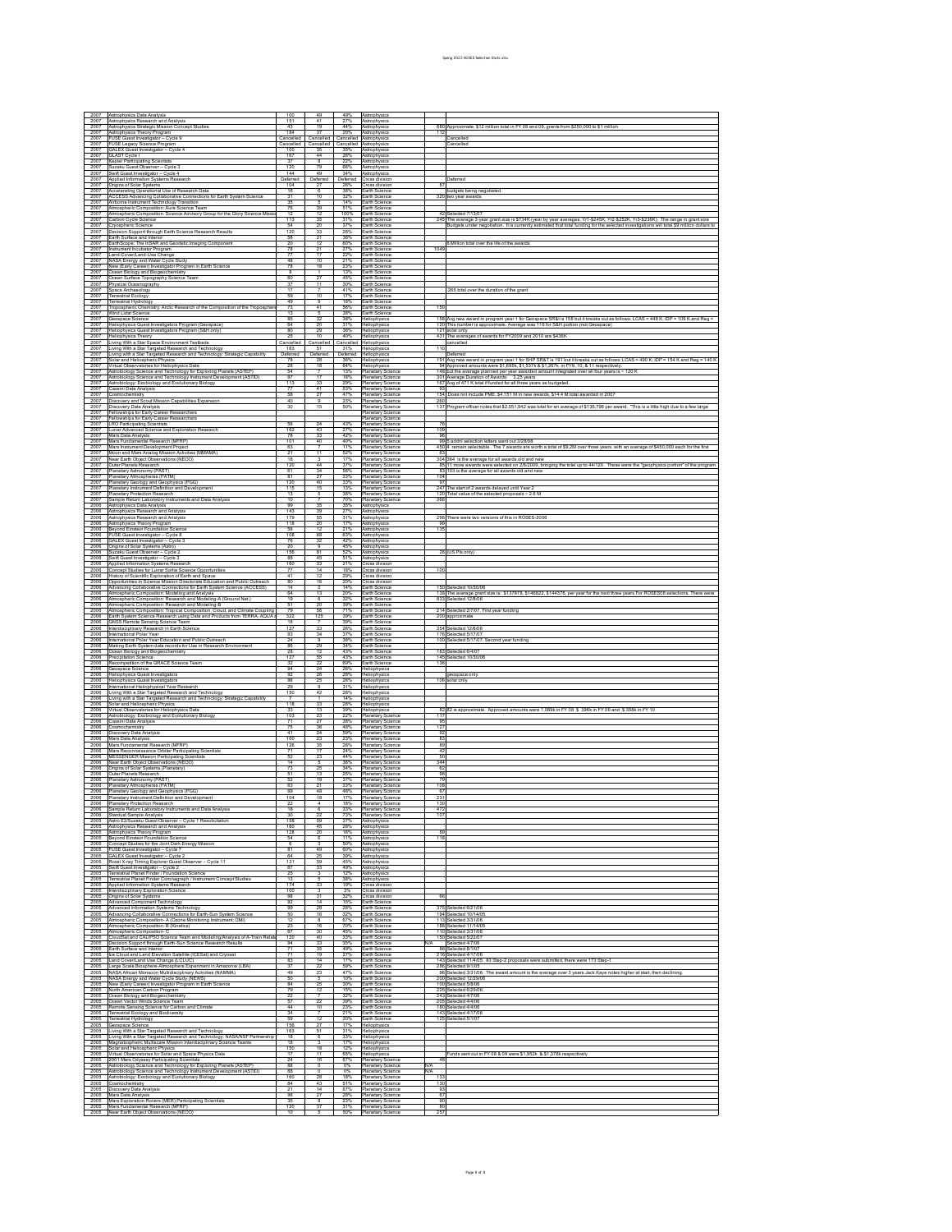| 2007                                                                                              | strophysics Data Analysis<br>strophysics Research and Analysis                                                                                                                                                                                                                  |                                 |                                |                              |                                                                    |            |                                                                                                                                                                                                                                       |
|---------------------------------------------------------------------------------------------------|---------------------------------------------------------------------------------------------------------------------------------------------------------------------------------------------------------------------------------------------------------------------------------|---------------------------------|--------------------------------|------------------------------|--------------------------------------------------------------------|------------|---------------------------------------------------------------------------------------------------------------------------------------------------------------------------------------------------------------------------------------|
| 2007<br>2007                                                                                      | strophysics Strategic Mission Concept Studies                                                                                                                                                                                                                                   | 151<br>43                       | 19                             | 27%<br>44%                   | Astrophysis<br>Astrophysic                                         |            | 680 Approximate. \$12 million total in FY 08 and 09, grants from \$250,000 to \$1 millio                                                                                                                                              |
| 2007<br>2007                                                                                      | Astrophysics Oddugle Research<br>Astrophysics Theory Program<br>FUSE Guest Investigator -- Cycle 9<br>FUSE Legacy Science Program                                                                                                                                               | 184<br>Cancelled                | 37<br>Cancelled                | 20%<br>Cancelled Astrophysic | Astrophysic                                                        | 112        | ancelled                                                                                                                                                                                                                              |
| 2007<br>2007                                                                                      | SALEX Guest Investigator -- Cycle 4                                                                                                                                                                                                                                             | Cancelled<br>100                | Cancelled<br>35                | Cancelled Astrophysic<br>35% | Astrophysic                                                        |            | ancellec                                                                                                                                                                                                                              |
| 2007<br>2007                                                                                      | <b>LAST Cycle I</b><br>epler Participating Scientists                                                                                                                                                                                                                           | 167<br>37                       | 44<br>$\overline{8}$           | $\frac{26\%}{22\%}$          | Astrophysic<br>Astrophysic                                         |            |                                                                                                                                                                                                                                       |
| 2007<br>2007                                                                                      | ızaku Guest Observer -- Cycle 3                                                                                                                                                                                                                                                 | 120<br>144                      | 79<br>49                       | 66%<br>34%                   | Astrophysic<br>Astrophysics                                        |            |                                                                                                                                                                                                                                       |
| 2007<br>2007                                                                                      | iwift Guest Investigator -- Cycle 4<br>\pplied Information Systems Research<br>igins of Solar Systems                                                                                                                                                                           | Deferred<br>104                 | Deferred<br>27                 | Deferred<br>26%              | cross division<br><b>Cross division</b>                            | 87         | Deferred                                                                                                                                                                                                                              |
| 2007<br>2007                                                                                      | celerating Operational Use of Research Data                                                                                                                                                                                                                                     | 16<br>31                        | 10                             | 38%<br>32%                   | Earth Science<br>Earth Science                                     |            | budgets being negotiated                                                                                                                                                                                                              |
| 2007                                                                                              | .<br>ICCESS Advancing Collaborative Connections for Earth System Science<br>Virborne Instrument Technology Transition                                                                                                                                                           | 35<br>76                        | 39                             | 14%<br>51%                   | Earth Science                                                      |            | 320 two year awards                                                                                                                                                                                                                   |
| 2007<br>2007                                                                                      | Imospheric Composition: Aura Science Team<br>mospheric Composition: Science Advisory Group for the Glory Science Miss                                                                                                                                                           | 12                              | $\overline{12}$                | 100%                         | Earth Science<br>Earth Science                                     |            | 42 Selected 7/13/07                                                                                                                                                                                                                   |
| 2007<br>2007                                                                                      | arbon Cycle Science<br>nyospheric Science                                                                                                                                                                                                                                       | 113<br>54                       | 35<br>20                       | 31%<br>37%                   | Earth Science<br>Earth Science                                     |            | 245 The average 3-year grant size is \$734K (year by year averages: Yr1-\$245K, Yr2-\$252K, Yr3-\$236K). The range in grant size<br>Budgets under negotiation. It is currently estimated that total funding for the selected investig |
| 2007<br>2007                                                                                      | lecision Support through Earth Science Research Results<br>Earth Surface and Interior<br>EarthScope: The InSAR and Geodetic Imaging Component                                                                                                                                   | 120<br>58                       | 33<br>$\overline{21}$          | 28%<br>36%                   | Earth Science<br>Earth Science                                     |            |                                                                                                                                                                                                                                       |
| 2007<br>2007                                                                                      |                                                                                                                                                                                                                                                                                 | 20<br>78                        | 12<br>21                       | 60%<br>27%                   | Earth Science<br>Earth Science                                     | 1049       | 6 Million total over the life of the awards                                                                                                                                                                                           |
| 2007<br>2007                                                                                      | <b>JASA Energy and Water Cycle Study</b>                                                                                                                                                                                                                                        | 77<br>48                        | 17<br>10                       | 22%<br>21%                   | Earth Science<br>arth Science                                      |            |                                                                                                                                                                                                                                       |
| 2007<br>2007                                                                                      | Vew (Early Career) Investigator Program in Earth Science<br>Joean Biology and Biogeochemistry                                                                                                                                                                                   | 78                              | 18                             | 23%<br>13%                   | Earth Science<br>Earth Science                                     |            |                                                                                                                                                                                                                                       |
| 2007                                                                                              | cean Surface Topography Science Team                                                                                                                                                                                                                                            | 60                              | 27                             | 45%                          | Earth Science                                                      |            |                                                                                                                                                                                                                                       |
| 2007<br>2007                                                                                      | hysical Oceanography<br>pace Archaeology                                                                                                                                                                                                                                        | 37<br>17                        | 11<br>$\overline{7}$           | 30%<br>41%                   | Earth Science<br>Earth Science                                     |            | 265 total over the duration of the grant                                                                                                                                                                                              |
| 2007<br>2007                                                                                      | errestrial Ecology<br>errestrial Hydrology<br>errestrial Hydrology<br>ropospheric Chemistry: Arctic Research of the Composition of the T                                                                                                                                        | 59<br>49                        | 10<br>$\overline{9}$           | 17%<br>18%                   | Earth Science<br>Earth Science                                     |            |                                                                                                                                                                                                                                       |
| 2007<br>2007                                                                                      | find Lidar Science                                                                                                                                                                                                                                                              | 73<br>13                        | 41<br>5                        | 56%<br>38%                   | Earth Science<br>Earth Science                                     | 150        |                                                                                                                                                                                                                                       |
| 2007<br>2007                                                                                      | eospace Science<br>eliophysics Guest Investigators Program (Geospace                                                                                                                                                                                                            | 85<br>64                        | 32<br>20                       | 38%<br>31%                   | leliophysics                                                       |            | 158 Avg new award in program year 1 for Geospace SR&t is 158 but it breaks out as follows: LCAS = 448 K; IDP = 109 K and Reg<br>120 This number is approximate. Average was 116 for S&H portion (not Geospace)                        |
| 2007<br>2007                                                                                      | eliophysics Guest Investigators Program (S&H only)                                                                                                                                                                                                                              | 80<br>25                        | 29<br>10                       | 36%<br>40%                   | Heliophysics<br>Heliophysics<br>Heliophysics                       |            | 121 solar only<br>431 The averages of awards for FY2009 and 2010 are \$436K                                                                                                                                                           |
| 2007<br>2007                                                                                      | eliophysics Theory<br>iving With a Star Space Environment Testbeds                                                                                                                                                                                                              | Cancelled<br>163                | Cancelled<br>51                | Cancelled  <br>31%           | leliophysics                                                       | 110        | cancelled                                                                                                                                                                                                                             |
| 2007                                                                                              | wing With a Star Targeted Research and Technology<br>ving with a Star Targeted Research and Technology: Strategic Capability                                                                                                                                                    | Deferred                        | Deferred                       | Deferred                     | Heliophysics<br>leliophysics                                       |            | Deferred                                                                                                                                                                                                                              |
| 2007<br>2007                                                                                      | olar and Heliospheric Physics<br>Triual Observatories for Heliophysics Data                                                                                                                                                                                                     | 78<br>28                        | 28<br>18                       | 36%<br>64%                   | Heliophysics<br>leliophysics                                       |            | 191 Avg new award in program year 1 for SHP SR&T is 191 but it breaks out as follows: LCAS = 490 K; IDP = 154 K<br>94 Approved amounts were \$1,695k, \$1,537k & \$1,267k in FY9, 10, & 11 respectively                               |
| 2007<br>2007                                                                                      | strobiology Science and Technology for Exploring Planets (ASTEP)<br>strobiology Science and Technology Instrument Development (ASTID                                                                                                                                            | 54<br>97                        | 7<br>$\overline{17}$           | 13%<br>18%                   | Planetary Science<br>Planetary Science                             |            | 148 but the average planned per year awarded amount integrated over all four years is ~ 120 K<br>301 Average Duration of Awards: 3.25 years                                                                                           |
| 2007<br>$\frac{2007}{2007}$                                                                       | strobiology: Exobiology and Evolutionary Biology<br>assini Data Analysis                                                                                                                                                                                                        | 113                             | 33<br>41                       | 29%<br>53%                   | <b>Planetary Science</b><br><b>Planetary Science</b>               |            | 167 Avg of 471 K total if funded for all three years as budgeted.                                                                                                                                                                     |
| 2007<br>2007                                                                                      | :osmochemistry<br>liscovery and Scout Mission Capabilities Expansion                                                                                                                                                                                                            | 58<br>40                        | 27                             | 47%<br>23%                   | <b>Planetary Science</b><br><b>Planetary Science</b>               | 260        | 154 Does not include PME. \$4.151 M in new awards, \$14.4 M total awarded in 2007                                                                                                                                                     |
| 2007<br>2007                                                                                      | )<br>iscovery Data Analysis<br>fellowships for Early Career Researchers                                                                                                                                                                                                         | 30                              | 15                             | 50%                          | Planetary Science<br>Planetary Science                             |            | 137 Program officer notes that \$2,051,942 was total for an average of \$136,796 per award. "This is a little high due to a few large                                                                                                 |
| 2007                                                                                              | Fellowships for Early Career Researchers<br>LRO Participating Scientists                                                                                                                                                                                                        |                                 | 24                             |                              | Planetary Science                                                  |            |                                                                                                                                                                                                                                       |
| 2007<br>2007                                                                                      | unar Advanced Science and Exploration Research                                                                                                                                                                                                                                  | 56<br>162                       | 43                             | 43%<br>27%                   | <b>Planetary Science</b><br>Planetary Science                      | 109        |                                                                                                                                                                                                                                       |
| 2007<br>2007                                                                                      | Mars Data Analysis<br>Mars Fundamental Research (MFRP)                                                                                                                                                                                                                          | 78<br>101                       | 33<br>40                       | 42%<br>40%                   | Planetary Science<br><b>Planetary Science</b>                      |            | ou<br>_99   5 addnl selection letters went out 3/28/08<br>450   4 remain selectable. The 7 awards are worth a total of \$9.2M over three years, with an average of \$450,000 each for the                                             |
| 2007<br>2007                                                                                      | lars Instrument Development Project                                                                                                                                                                                                                                             | 63<br>21                        | $\overline{11}$                | 11%<br>52%                   | Planetary Science                                                  | 63         |                                                                                                                                                                                                                                       |
| 2007<br>2007                                                                                      | Moon and Mars Analog Mission Activities (MMAMA)<br>Vear Earth Object Observations (NEOO)<br>Cuter Planets Research                                                                                                                                                              | 18<br>120                       | 44                             | 17%<br>37%                   | Planetary Science<br>Planetary Science<br><b>Planetary Science</b> |            | 304 364 is the average for all awards old and new<br>85 11 more awards were selected on 2/6/2009, bringing the total up to 44/120. Thes                                                                                               |
| 2007<br>2007                                                                                      | lanetary Astronomy (PAST)                                                                                                                                                                                                                                                       | 61<br>81                        | 34<br>27                       | 56%<br>33%                   | <b>Planetary Science</b><br><b>Planetary Science</b>               | 104        | 83 103 is the average for all awards old and new                                                                                                                                                                                      |
| 2007                                                                                              | Manetary Atmospheres (PATM)<br>Manetary Atmospheres (PATM)<br>Manetary Geology and Geophysics (PGG)                                                                                                                                                                             | 120<br>115                      | 40<br>15                       | 33%<br>13%                   | Planetary Science                                                  |            |                                                                                                                                                                                                                                       |
| 2007<br>2007                                                                                      | .<br>Manetary Instrument Definition and Development<br>Manetary Protection Research                                                                                                                                                                                             | 13                              |                                | 38%                          | <b>Planetary Science</b><br><b>Planetary Science</b>               |            | 247 The start of 2 awards delayed until Year 2<br>120 Total value of the selected proposals ~ 2.6 M                                                                                                                                   |
| 2007<br>2006                                                                                      | ample Return Laboratory Instruments and Data Analysis<br>strophysics Data Analysis                                                                                                                                                                                              | 10<br>99                        | 35                             | 70%<br>35%<br>27%            | Planetary Science<br>Astrophysics                                  | 366        |                                                                                                                                                                                                                                       |
| 2006<br>2006                                                                                      | strophysics Research and Analysis<br>strophysics Research and Analysis                                                                                                                                                                                                          | 143<br>179                      | 39<br>55                       | 31%                          | Astrophysics<br>Astrophysics                                       |            | 298 There were two versions of this in ROSES-200                                                                                                                                                                                      |
| 2006<br>2006                                                                                      | strophysics Theory Program<br>leyond Einstein Foundation Science                                                                                                                                                                                                                | 118<br>56                       | 20<br>12                       | 17%<br>21%                   | Astrophysics<br>Astrophysic                                        | 135        |                                                                                                                                                                                                                                       |
| 2006<br>2006                                                                                      | USE Guest Investigator -- Cycle 8<br>SALEX Guest Investigator -- Cycle 3                                                                                                                                                                                                        | 108<br>76                       | 68<br>32                       | 63%<br>42%                   | Astrophysic<br>Astrophysics                                        |            |                                                                                                                                                                                                                                       |
| 2006<br>2006                                                                                      | tigins of Solar Systems (Astro)<br>uzaku Guest Observer -- Cycle 2                                                                                                                                                                                                              | 20<br>156                       | $\overline{9}$<br>81           | 45%<br>52%                   | Astrophysics<br>Astrophysics                                       |            | 28 (US Pls only)                                                                                                                                                                                                                      |
| 2006<br>2006                                                                                      | iwift Guest Investigator -- Cycle 3<br>upplied Information Systems Research                                                                                                                                                                                                     | 88<br>160                       | 45<br>33                       | 51%<br>21%                   | Astrophysics                                                       |            |                                                                                                                                                                                                                                       |
| 2006                                                                                              | encept Studies for Lunar Sortie Science Opportunities<br>istory of Scientific Exploration of Earth and Space                                                                                                                                                                    | 77                              | 14                             | 18%                          | <b>Cross division</b><br>ross division                             | 100        |                                                                                                                                                                                                                                       |
| 2006<br>2006                                                                                      | pportunities in Science Mission Directorate Education and Public Outreach                                                                                                                                                                                                       | 41<br>80                        | 12<br>16                       | 29%<br>20%                   | cross division<br>Cross division                                   |            |                                                                                                                                                                                                                                       |
| 2006<br>2006                                                                                      | dvancing Collaborative Connections for Earth System Science (ACCESS)<br>lmospheric Composition: Modeling and Analysis<br>Imospheric Composition: Research and Modeling-A (Ground Net.)                                                                                          | 14<br>64                        | 13                             | 14%<br>20%                   | arth Science<br>Earth Science                                      |            | 150 Selected 10/30/06<br>138 The average grant size is: \$137878, \$146822, \$144376, per year for<br>833 Selected 12/8/06                                                                                                            |
| 2006<br>2006                                                                                      |                                                                                                                                                                                                                                                                                 | 19<br>51                        | 20                             | 32%<br>39%                   | arth Science<br>Earth Science                                      |            |                                                                                                                                                                                                                                       |
| 2006<br>2006                                                                                      | Imospheric Composition: Research and Modeling-B<br>Imospheric Composition: Tropical Composition, Cloud, and Clii                                                                                                                                                                | 79<br>322                       | 56<br>125                      | 71%<br>39%                   | arth Science<br>Earth Science                                      |            | 214 Selected 2/7/07. First year funding<br>200 approximate                                                                                                                                                                            |
| 2006<br>2006                                                                                      | Earth System Science Research using Data and Products from TERRA, AQUA<br>INSS Remote Sensing Science Team                                                                                                                                                                      | 18<br>127                       | 33                             | 39%<br>26%                   | Earth Science<br>Earth Science                                     |            | 354 Selected 12/6/06                                                                                                                                                                                                                  |
| 2006<br>2006                                                                                      | iterdisciplinary Research in Earth Science<br>iternational Polar Year<br>ternational Polar Year Education and Public Outreach                                                                                                                                                   | 93<br>24                        | 34<br>$\overline{9}$           | 37%<br>38%                   | Earth Science<br>Earth Science                                     |            | 176 Selected 5/17/07<br>100 Selected 5/17/07. Second year funding                                                                                                                                                                     |
| 2006<br>2006                                                                                      | laking Earth System data records for Use in Research Environment                                                                                                                                                                                                                | 86<br>28                        | 29<br>$\overline{12}$          | 34%<br>43%                   | Earth Science<br>Earth Science                                     |            | 183 Selected 6/4/07                                                                                                                                                                                                                   |
| 2006                                                                                              | Cean Biology and Biogeochemistry<br>Yecipitation Science<br>ecompetition of the GRACE Science Team                                                                                                                                                                              | 127                             | 55                             | 43%                          | Earth Science                                                      |            | 145 Selected 10/30/06                                                                                                                                                                                                                 |
| 2006<br>2006                                                                                      | eospace Science                                                                                                                                                                                                                                                                 | 32<br>94                        | 22<br>24                       | 69%<br>26%                   | Earth Science<br>leliophysics                                      | 136        |                                                                                                                                                                                                                                       |
| 2006<br>2006                                                                                      | Heliophysics Guest Investigators<br>sliophysics Guest Investigators                                                                                                                                                                                                             | 92<br>96                        | 26<br>25                       | 28%<br>26%                   | Heliophysics<br>feliophysics                                       |            | geospace only<br>106 solar only                                                                                                                                                                                                       |
| 2006<br>2006                                                                                      | lernational Heliophysical Year Research<br>wing With a Star Targeted Research and Technology                                                                                                                                                                                    | 29<br>150                       | $\overline{9}$<br>42           | 31%<br>28%                   | Heliophysics<br>leliophysics                                       |            |                                                                                                                                                                                                                                       |
| 2006<br>2006                                                                                      | iving with a Star Targeted Research and Technology: Strategic Capability<br>Jolar and Heliospheric Physics                                                                                                                                                                      | $\overline{\phantom{a}}$<br>118 | т<br>33                        | 14%<br>28%                   | Heliophysics<br>Heliophysics                                       |            |                                                                                                                                                                                                                                       |
| 2006<br>2006                                                                                      | Share and Honogeneiter Hyano<br>Tritual Observatories for Heliophysics Data<br>Istrobiology: Exobiology and Evolutionary Biology                                                                                                                                                | 33<br>103                       | 13                             | 39%<br>22%                   | Heliophysics<br><b>Planetary Science</b>                           | 117        | 82 82 is approximate. Approved amounts were 1,069k in FY 08 \$ 396k in FY 09 and \$ 358k in FY 10                                                                                                                                     |
| 2006<br>2006                                                                                      | assini Data Analysis<br>smochemistry                                                                                                                                                                                                                                            | 71<br>75                        | $\frac{23}{27}$<br>36          | 38%<br>48%                   | Planetary Science                                                  | 95<br>127  |                                                                                                                                                                                                                                       |
| 2006<br>2006                                                                                      | Iiscovery Data Analysis<br>ars Data Analysis                                                                                                                                                                                                                                    | 41<br>100                       | 24<br>23                       | 59%<br>23%                   | <b>Planetary Science</b><br><b>Planetary Science</b>               | 92         |                                                                                                                                                                                                                                       |
| 2006                                                                                              | Mars Fundamental Research (MFRP)                                                                                                                                                                                                                                                | 126<br>$\overline{71}$          | 35<br>$\overline{17}$          | 28%                          | anetary Science<br><b>Planetary Science</b>                        | 89         |                                                                                                                                                                                                                                       |
| 2006<br>2006                                                                                      | Mars Reconnaissance Orbiter Participating Scientists<br>MESSENGER Mission Participating Scientists<br>Near Earth Object Observations (NEOO)                                                                                                                                     | 52                              | 23                             | 24%<br>44%                   | <b>Planetary Science</b><br>Planetary Science                      | -50        |                                                                                                                                                                                                                                       |
| 2006<br>2006                                                                                      | higins of Solar Systems (Planetary)                                                                                                                                                                                                                                             | 14<br>73                        | 25                             | 36%<br>34%                   | anetary Science<br>Planetary Science                               | 344<br>62  |                                                                                                                                                                                                                                       |
| 2006<br>2006                                                                                      | uter Planets Research<br>lanetary Astronomy (PAST)                                                                                                                                                                                                                              | 51<br>52                        | 13<br>19                       | 25%<br>37%                   | anetary Science<br>Planetary Science                               |            |                                                                                                                                                                                                                                       |
| 2006<br>2006                                                                                      | Planetary Atmospheres (PATM)                                                                                                                                                                                                                                                    | 63<br>99                        | 48                             | 33%<br>48%                   | anetary Science<br><b>Planetary Science</b>                        | 108<br>67  |                                                                                                                                                                                                                                       |
| 2006<br>2006                                                                                      | Planetary Geology and Geophysics (PGG)<br>Planetary Instrument Definition and Development                                                                                                                                                                                       | 104<br>22                       | 18                             | 17%<br>18%                   | Planetary Science<br><b>Planetary Science</b>                      | 231<br>130 |                                                                                                                                                                                                                                       |
| 2006                                                                                              | Planetary Protection Research<br>Sample Return Laboratory Instruments and Data Analysis                                                                                                                                                                                         | 18<br>30                        | $\overline{22}$                | 33%<br>73%                   | <b>Planetary Science</b><br>Planetary Science                      | 107        |                                                                                                                                                                                                                                       |
|                                                                                                   | Stardust Sample Analysis<br>Astro E2/Suzaku Guest Observer - Cycle 1 Resolicitation                                                                                                                                                                                             | 158                             | 59                             | 37%                          | Astrophysics                                                       |            |                                                                                                                                                                                                                                       |
| $\begin{array}{r} 2006 \\ 2006 \\ 2005 \\ 2005 \\ 2005 \\ \hline 2006 \\ \hline 0006 \end{array}$ | strophysics Research and Analysis<br>strophysics Theory Program                                                                                                                                                                                                                 | 160<br>128                      | 45<br>20                       | 28%<br>16%                   | Astrophysics<br>Astrophysics                                       |            |                                                                                                                                                                                                                                       |
| 2005<br>2005                                                                                      | Beyond Einstein Foundation Science<br>oncept Studies for the Joint Dark Energy Mission                                                                                                                                                                                          | 54                              | 6                              | 11%<br>50%                   | Astrophysics<br>Astrophysics                                       | 118        |                                                                                                                                                                                                                                       |
| 2005<br>2005                                                                                      | FUSE Guest Investigator - Cycle 7<br>GALEX Guest Investigator - Cycle 2                                                                                                                                                                                                         | 81<br>64                        | 49<br>25                       | 60%<br>39%                   | Astrophysics<br>Astrophysics                                       |            |                                                                                                                                                                                                                                       |
| 2005<br>2005                                                                                      | Rossi X-ray Timing Explorer Guest Observer – Cycle 11<br>Swift Guest Investigator – Cycle 2                                                                                                                                                                                     | 131<br>67                       | 59<br>33                       | 45%<br>49%                   | Astrophysics<br>Astrophysics                                       |            |                                                                                                                                                                                                                                       |
| 2005<br>2005                                                                                      | errestrial Planet Finder / Foundation Science<br>errestrial Planet Finder Coronagraph / Instrument Concept Studies                                                                                                                                                              | 25<br>13                        | 3                              | 12%<br>38%                   | Astrophysics                                                       |            |                                                                                                                                                                                                                                       |
| 2005                                                                                              | pplied Information Systems Research                                                                                                                                                                                                                                             | 174                             | 33                             | 19%                          | Astrophysics<br>Cross division                                     |            |                                                                                                                                                                                                                                       |
| 2005<br>2005                                                                                      | terdisciplinary Exploration Science<br>Inigins of Solar Systems                                                                                                                                                                                                                 | 100<br>98                       | 31                             | 3%<br>32%                    | <b>Cross division</b><br>ross division                             | 66         |                                                                                                                                                                                                                                       |
| 2005<br>2005                                                                                      | dvanced Component Technology<br>Advanced Information Systems Technology<br>Advanced Information Systems Technology<br>Advancing Collaborative Connections for Earth-Sun System Science                                                                                          | 92<br>99                        | 14<br>28                       | 15%<br>28%                   | Earth Science<br>Earth Science                                     |            | 375 Selected 6/21/06                                                                                                                                                                                                                  |
| 2005<br>2005                                                                                      | Imospheric Composition- A (Ozone Monitoring Instrument; OMI)                                                                                                                                                                                                                    | 50<br>12                        | 16<br>8                        | 32%<br>67%                   | Earth Science<br>Earth Science                                     |            | 194 Selected 10/14/05<br>113 Selected 3/31/06                                                                                                                                                                                         |
| 2005<br>2005                                                                                      | Imospheric Composition- B (Kinetics)                                                                                                                                                                                                                                            | 23<br>67                        | 16<br>30                       | 70%<br>45%                   | Earth Science<br>Earth Science                                     |            | 188 Selected 11/14/0<br>110 Selected 3/31/06                                                                                                                                                                                          |
| 2005<br>2005                                                                                      | Almospheric Composition-C<br>CloudSat and CALIPSO Science Team and Modeling/Analysis of A-Trai                                                                                                                                                                                  | 120<br>94                       | 40<br>33                       | 33%<br>35%                   | Earth Science<br>Earth Science                                     |            | 150 Selected 5/22/07<br>Selected 4/7/06                                                                                                                                                                                               |
| 2005                                                                                              | Decision Support through Earth-Sun Science Research Results<br>Earth Surface and Interior<br>calul Summer and anti-called Satellite (ICESat) and Cryosat                                                                                                                        | 71<br>$\overline{71}$           | 35                             | 49%<br>27%                   | Earth Science                                                      |            | 86 Selected 8/1/07                                                                                                                                                                                                                    |
| 2005<br>2005                                                                                      | and Cover/Land Use Change (LCLUC)                                                                                                                                                                                                                                               | 83                              | 19                             | 17%                          | Earth Science<br>Earth Science                                     |            | 216 Selected 4/17/06<br>143 Selected 11/4/05. 83 Step-2 proposals were submitted, there were 173 Step-1                                                                                                                               |
| 2005<br>2005                                                                                      | arge Scale Biosphere-Atmosphere Experiment in Amazonia (LBA).<br>IASA African Monsoon Multidisciplinary Activities (NAMMA)                                                                                                                                                      | 37<br>49                        | 22<br>23                       | 59%<br>47%                   | Earth Science<br>Earth Science                                     |            | 286 Selected 9/1/05<br>96 Selected 3/31/06. The award amount is the average over 3 years Jack Kaye notes higher at start, then declining                                                                                              |
| 2005<br>2005                                                                                      | NASA Energy and Water Cycle Study (NEWS)<br>ew (Early Career) Investigator Program in Earth Science                                                                                                                                                                             | 50<br>84                        | -5<br>25                       | 10%<br>30%                   | Earth Science<br>Earth Science                                     |            | 200 Selected 12/29/06<br>100 Selected 5/8/08                                                                                                                                                                                          |
| 2005<br>2005                                                                                      | <b>North American Carbon Program</b><br>Doean Biology and Biogeochemistry                                                                                                                                                                                                       | 79<br>22                        | 12                             | 15%<br>32%                   | Earth Science<br>Earth Science                                     |            | 225 Selected 6/29/06<br>243 Selected 4/7/08                                                                                                                                                                                           |
| 2005<br>2005                                                                                      | Icean Vector Winds Science Team<br>emote Sensing Science for Carbon and Climate                                                                                                                                                                                                 | 57<br>44                        | $\overline{22}$<br>10          | 39%<br>23%                   | Earth Science<br>Earth Science                                     |            | 205 Selected 4/4/06<br>180 Selected 4/4/06                                                                                                                                                                                            |
| 2005                                                                                              | errestrial Ecology and Biodiversity                                                                                                                                                                                                                                             | 34                              | $\overline{12}$                | 21%                          | Earth Science                                                      |            | 143 Selected 4/17/06                                                                                                                                                                                                                  |
| 2005<br>2005                                                                                      | errestrial Hydrology<br>Seospace Science                                                                                                                                                                                                                                        | 59<br>156                       | 27                             | 20%<br>17%                   | Earth Science<br>Heliophysics                                      |            | 125 Selected 5/1/07                                                                                                                                                                                                                   |
| 2005<br>2005                                                                                      | wing With a Star Targeted Research and Technology<br>ximia wini is Star Targeled Research and Technology: NASA/NSF Partnership<br>Jwing With a Star Targeled Research and Technology: NASA/NSF Partnership<br>Aagnetospheric Multiscale Mission Interdisciplinary Science Teams | 163<br>18                       | 51<br>$\overline{\phantom{a}}$ | 31%<br>33%                   | Heliophysics<br>Heliophysics                                       |            |                                                                                                                                                                                                                                       |
| 2005<br>2005                                                                                      |                                                                                                                                                                                                                                                                                 | 18<br>150                       | 18                             | 17%<br>12%                   | Heliophysics                                                       |            |                                                                                                                                                                                                                                       |
| 2005<br>2005                                                                                      | Solar and Heliospheric Physics<br>/irtual Observatories for Solar and Space Physics Data                                                                                                                                                                                        | $\overline{17}$<br>24           | 16                             | 65%<br>67%                   | Heliophysics<br>Heliophysics<br><b>Planetary Science</b>           | 48         | Funds sent out in FY 08 & 09 were \$1,952k & \$1,376k respectively                                                                                                                                                                    |
| 2005<br>2005                                                                                      | 001 Mars Odyssey Participating Scientists<br>istrobiology Science and Technology for Exploring Planets (ASTEP)                                                                                                                                                                  | 88<br>88                        | $\overline{0}$                 | 0%<br>0%                     | Planetary Science<br><b>Planetary Science</b>                      | 17A<br>N/A |                                                                                                                                                                                                                                       |
| 2005                                                                                              | <b>Istrobiology Science and Technology Instrument Development (ASTID)</b><br>Istrobiology: Exobiology and Evolutionary Biology                                                                                                                                                  | 160                             | 28                             | 18%                          | <b>Planetary Science</b>                                           | 133        |                                                                                                                                                                                                                                       |
| 2005<br>2005                                                                                      | osmochemistry<br>Iscovery Data Analysis                                                                                                                                                                                                                                         | 84<br>21                        | 43<br>14                       | 51%<br>67%                   | <b>Planetary Science</b><br><b>Planetary Science</b>               | 130        |                                                                                                                                                                                                                                       |
| 2005<br>2005                                                                                      | Mars Data Analysis<br>Mars Exploration Rovers (MER) Participating Scientists                                                                                                                                                                                                    | 96<br>35                        | $\overline{27}$                | 28%<br>23%                   | <b>Planetary Science</b><br><b>Planetary Science</b>               | 67         |                                                                                                                                                                                                                                       |
| 2005                                                                                              | Mars Fundamental Research (MFRP)<br>2005 Mars Fundamental Research (MFRP)<br>2005 Near Earth Object Observations (NEOO)                                                                                                                                                         | 120                             | 37                             | 31%<br>50%                   | <b>Planetary Science</b><br>Planetary Science                      | 80<br>257  |                                                                                                                                                                                                                                       |